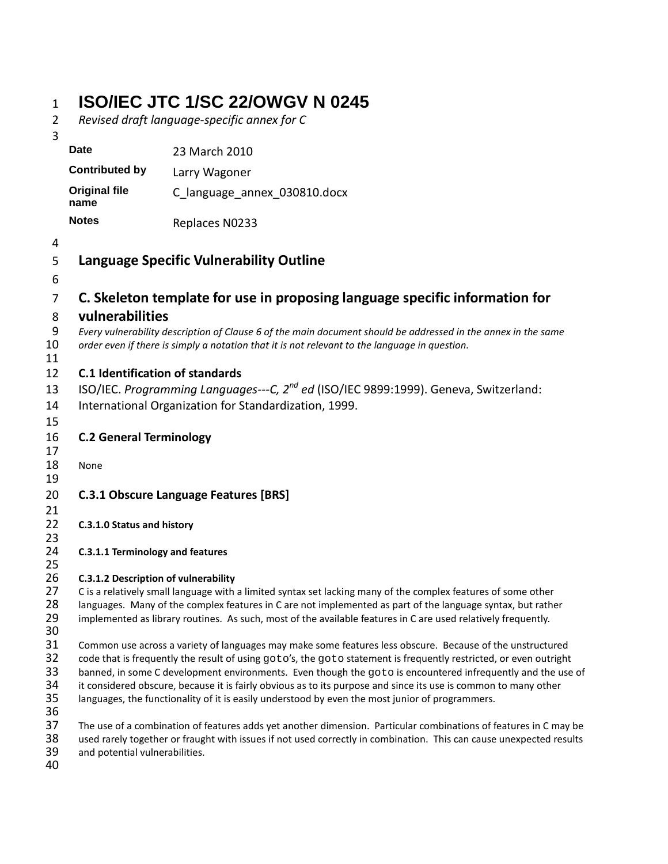# 1 **ISO/IEC JTC 1/SC 22/OWGV N 0245**

2 *Revised draft language-specific annex for C*

40

| 3              |                                        |                                                                                                                                                                                                                    |
|----------------|----------------------------------------|--------------------------------------------------------------------------------------------------------------------------------------------------------------------------------------------------------------------|
|                | <b>Date</b>                            | 23 March 2010                                                                                                                                                                                                      |
|                | <b>Contributed by</b>                  | Larry Wagoner                                                                                                                                                                                                      |
|                | <b>Original file</b><br>name           | C language annex 030810.docx                                                                                                                                                                                       |
|                | <b>Notes</b>                           | Replaces N0233                                                                                                                                                                                                     |
| 4              |                                        |                                                                                                                                                                                                                    |
| 5              |                                        | <b>Language Specific Vulnerability Outline</b>                                                                                                                                                                     |
| 6              |                                        |                                                                                                                                                                                                                    |
| $\overline{7}$ |                                        | C. Skeleton template for use in proposing language specific information for                                                                                                                                        |
| 8              | vulnerabilities                        |                                                                                                                                                                                                                    |
| 9              |                                        | Every vulnerability description of Clause 6 of the main document should be addressed in the annex in the same                                                                                                      |
| 10             |                                        | order even if there is simply a notation that it is not relevant to the language in question.                                                                                                                      |
| 11             |                                        |                                                                                                                                                                                                                    |
| 12             | <b>C.1 Identification of standards</b> |                                                                                                                                                                                                                    |
| 13             |                                        | ISO/IEC. Programming Languages---C, 2 <sup>nd</sup> ed (ISO/IEC 9899:1999). Geneva, Switzerland:                                                                                                                   |
| 14             |                                        | International Organization for Standardization, 1999.                                                                                                                                                              |
| 15             |                                        |                                                                                                                                                                                                                    |
| 16             | <b>C.2 General Terminology</b>         |                                                                                                                                                                                                                    |
| 17             |                                        |                                                                                                                                                                                                                    |
| 18<br>19       | None                                   |                                                                                                                                                                                                                    |
| 20             |                                        | <b>C.3.1 Obscure Language Features [BRS]</b>                                                                                                                                                                       |
| 21             |                                        |                                                                                                                                                                                                                    |
| 22             | C.3.1.0 Status and history             |                                                                                                                                                                                                                    |
| 23             |                                        |                                                                                                                                                                                                                    |
| 24             | C.3.1.1 Terminology and features       |                                                                                                                                                                                                                    |
| 25             |                                        |                                                                                                                                                                                                                    |
| 26<br>27       | C.3.1.2 Description of vulnerability   | C is a relatively small language with a limited syntax set lacking many of the complex features of some other                                                                                                      |
| 28             |                                        | languages. Many of the complex features in C are not implemented as part of the language syntax, but rather                                                                                                        |
| 29             |                                        | implemented as library routines. As such, most of the available features in C are used relatively frequently.                                                                                                      |
| 30             |                                        |                                                                                                                                                                                                                    |
| 31             |                                        | Common use across a variety of languages may make some features less obscure. Because of the unstructured                                                                                                          |
| 32             |                                        | code that is frequently the result of using goto's, the goto statement is frequently restricted, or even outright                                                                                                  |
| 33<br>34       |                                        | banned, in some C development environments. Even though the goto is encountered infrequently and the use of                                                                                                        |
| 35             |                                        | it considered obscure, because it is fairly obvious as to its purpose and since its use is common to many other<br>languages, the functionality of it is easily understood by even the most junior of programmers. |
| 36             |                                        |                                                                                                                                                                                                                    |
| 37             |                                        | The use of a combination of features adds yet another dimension. Particular combinations of features in C may be                                                                                                   |
| 38             |                                        | used rarely together or fraught with issues if not used correctly in combination. This can cause unexpected results                                                                                                |
| 39             | and potential vulnerabilities.         |                                                                                                                                                                                                                    |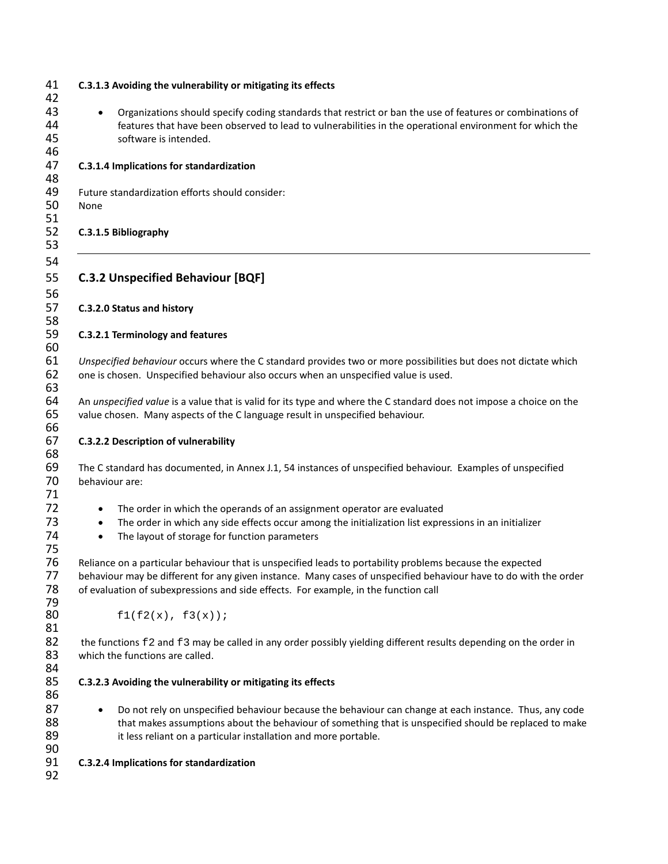| 41<br>42             | C.3.1.3 Avoiding the vulnerability or mitigating its effects                                                                                                                                                                                                                                                         |  |
|----------------------|----------------------------------------------------------------------------------------------------------------------------------------------------------------------------------------------------------------------------------------------------------------------------------------------------------------------|--|
| 43<br>44<br>45<br>46 | Organizations should specify coding standards that restrict or ban the use of features or combinations of<br>features that have been observed to lead to vulnerabilities in the operational environment for which the<br>software is intended.                                                                       |  |
| 47<br>48             | C.3.1.4 Implications for standardization                                                                                                                                                                                                                                                                             |  |
| 49<br>50             | Future standardization efforts should consider:<br>None                                                                                                                                                                                                                                                              |  |
| 51<br>52<br>53       | C.3.1.5 Bibliography                                                                                                                                                                                                                                                                                                 |  |
| 54<br>55<br>56       | <b>C.3.2 Unspecified Behaviour [BQF]</b>                                                                                                                                                                                                                                                                             |  |
| 57<br>58             | C.3.2.0 Status and history                                                                                                                                                                                                                                                                                           |  |
| 59<br>60             | C.3.2.1 Terminology and features                                                                                                                                                                                                                                                                                     |  |
| 61<br>62<br>63       | Unspecified behaviour occurs where the C standard provides two or more possibilities but does not dictate which<br>one is chosen. Unspecified behaviour also occurs when an unspecified value is used.                                                                                                               |  |
| 64<br>65             | An unspecified value is a value that is valid for its type and where the C standard does not impose a choice on the<br>value chosen. Many aspects of the C language result in unspecified behaviour.                                                                                                                 |  |
| 66<br>67<br>68       | C.3.2.2 Description of vulnerability                                                                                                                                                                                                                                                                                 |  |
| 69<br>70<br>71       | The C standard has documented, in Annex J.1, 54 instances of unspecified behaviour. Examples of unspecified<br>behaviour are:                                                                                                                                                                                        |  |
| 72<br>73<br>74<br>75 | The order in which the operands of an assignment operator are evaluated<br>$\bullet$<br>The order in which any side effects occur among the initialization list expressions in an initializer<br>$\bullet$<br>The layout of storage for function parameters<br>$\bullet$                                             |  |
| 76<br>77<br>78<br>79 | Reliance on a particular behaviour that is unspecified leads to portability problems because the expected<br>behaviour may be different for any given instance. Many cases of unspecified behaviour have to do with the order<br>of evaluation of subexpressions and side effects. For example, in the function call |  |
| 80<br>81             | f1(f2(x), f3(x));                                                                                                                                                                                                                                                                                                    |  |
| 82<br>83<br>84       | the functions f2 and f3 may be called in any order possibly yielding different results depending on the order in<br>which the functions are called.                                                                                                                                                                  |  |
| 85<br>86             | C.3.2.3 Avoiding the vulnerability or mitigating its effects                                                                                                                                                                                                                                                         |  |
| 87<br>88<br>89<br>90 | Do not rely on unspecified behaviour because the behaviour can change at each instance. Thus, any code<br>that makes assumptions about the behaviour of something that is unspecified should be replaced to make<br>it less reliant on a particular installation and more portable.                                  |  |
| 91<br>92             | C.3.2.4 Implications for standardization                                                                                                                                                                                                                                                                             |  |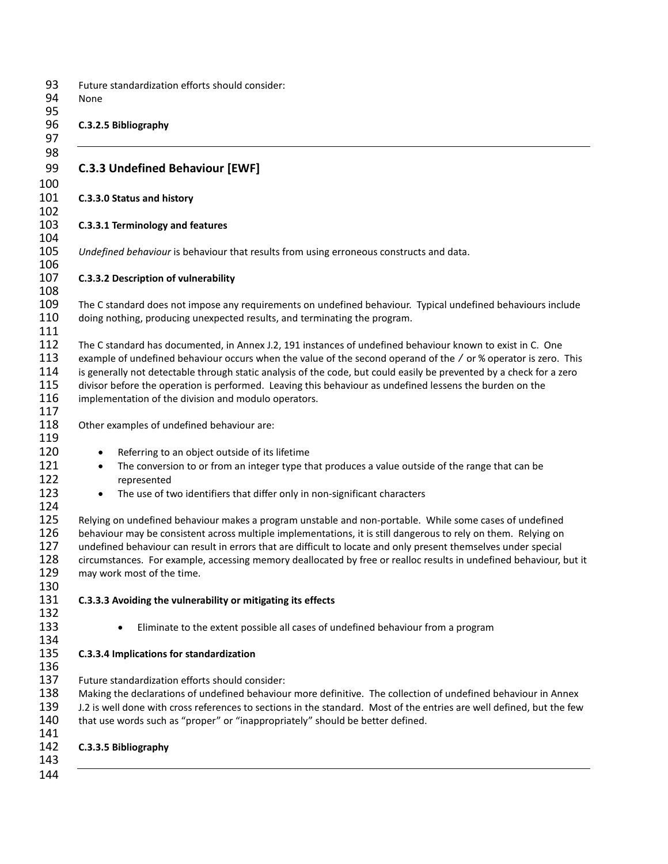| None                   | Future standardization efforts should consider:                                                                                                                                                                                                                                                                                                                                                                                                                                                                           |
|------------------------|---------------------------------------------------------------------------------------------------------------------------------------------------------------------------------------------------------------------------------------------------------------------------------------------------------------------------------------------------------------------------------------------------------------------------------------------------------------------------------------------------------------------------|
|                        | C.3.2.5 Bibliography                                                                                                                                                                                                                                                                                                                                                                                                                                                                                                      |
|                        | <b>C.3.3 Undefined Behaviour [EWF]</b>                                                                                                                                                                                                                                                                                                                                                                                                                                                                                    |
|                        | C.3.3.0 Status and history                                                                                                                                                                                                                                                                                                                                                                                                                                                                                                |
|                        | C.3.3.1 Terminology and features                                                                                                                                                                                                                                                                                                                                                                                                                                                                                          |
|                        | Undefined behaviour is behaviour that results from using erroneous constructs and data.                                                                                                                                                                                                                                                                                                                                                                                                                                   |
|                        | C.3.3.2 Description of vulnerability                                                                                                                                                                                                                                                                                                                                                                                                                                                                                      |
|                        |                                                                                                                                                                                                                                                                                                                                                                                                                                                                                                                           |
|                        | The C standard does not impose any requirements on undefined behaviour. Typical undefined behaviours include<br>doing nothing, producing unexpected results, and terminating the program.                                                                                                                                                                                                                                                                                                                                 |
|                        | The C standard has documented, in Annex J.2, 191 instances of undefined behaviour known to exist in C. One<br>example of undefined behaviour occurs when the value of the second operand of the / or % operator is zero. This<br>is generally not detectable through static analysis of the code, but could easily be prevented by a check for a zero<br>divisor before the operation is performed. Leaving this behaviour as undefined lessens the burden on the<br>implementation of the division and modulo operators. |
|                        | Other examples of undefined behaviour are:                                                                                                                                                                                                                                                                                                                                                                                                                                                                                |
|                        |                                                                                                                                                                                                                                                                                                                                                                                                                                                                                                                           |
| $\bullet$<br>$\bullet$ | Referring to an object outside of its lifetime<br>The conversion to or from an integer type that produces a value outside of the range that can be                                                                                                                                                                                                                                                                                                                                                                        |
|                        | represented                                                                                                                                                                                                                                                                                                                                                                                                                                                                                                               |
| $\bullet$              | The use of two identifiers that differ only in non-significant characters                                                                                                                                                                                                                                                                                                                                                                                                                                                 |
|                        | Relying on undefined behaviour makes a program unstable and non-portable. While some cases of undefined<br>behaviour may be consistent across multiple implementations, it is still dangerous to rely on them. Relying on<br>undefined behaviour can result in errors that are difficult to locate and only present themselves under special<br>circumstances. For example, accessing memory deallocated by free or realloc results in undefined behaviour, but it<br>may work most of the time.                          |
|                        | C.3.3.3 Avoiding the vulnerability or mitigating its effects                                                                                                                                                                                                                                                                                                                                                                                                                                                              |
|                        | Eliminate to the extent possible all cases of undefined behaviour from a program                                                                                                                                                                                                                                                                                                                                                                                                                                          |
|                        | C.3.3.4 Implications for standardization                                                                                                                                                                                                                                                                                                                                                                                                                                                                                  |
|                        | Future standardization efforts should consider:                                                                                                                                                                                                                                                                                                                                                                                                                                                                           |
|                        | Making the declarations of undefined behaviour more definitive. The collection of undefined behaviour in Annex                                                                                                                                                                                                                                                                                                                                                                                                            |
|                        | J.2 is well done with cross references to sections in the standard. Most of the entries are well defined, but the few<br>that use words such as "proper" or "inappropriately" should be better defined.                                                                                                                                                                                                                                                                                                                   |
|                        |                                                                                                                                                                                                                                                                                                                                                                                                                                                                                                                           |
|                        | C.3.3.5 Bibliography                                                                                                                                                                                                                                                                                                                                                                                                                                                                                                      |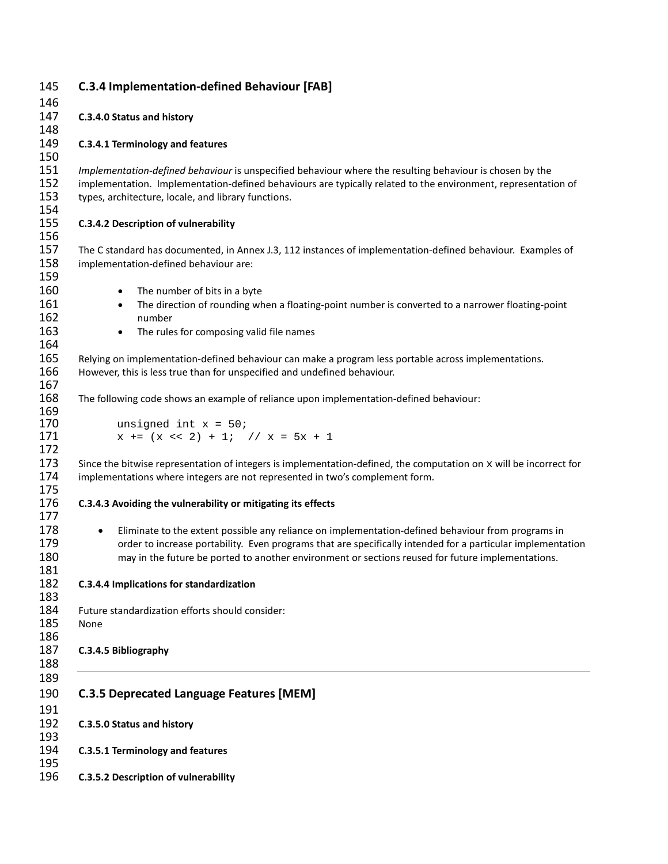| 145 | <b>C.3.4 Implementation-defined Behaviour [FAB]</b>                                                                  |
|-----|----------------------------------------------------------------------------------------------------------------------|
| 146 |                                                                                                                      |
| 147 | C.3.4.0 Status and history                                                                                           |
| 148 |                                                                                                                      |
| 149 | C.3.4.1 Terminology and features                                                                                     |
| 150 |                                                                                                                      |
| 151 | Implementation-defined behaviour is unspecified behaviour where the resulting behaviour is chosen by the             |
| 152 | implementation. Implementation-defined behaviours are typically related to the environment, representation of        |
| 153 | types, architecture, locale, and library functions.                                                                  |
| 154 |                                                                                                                      |
| 155 | C.3.4.2 Description of vulnerability                                                                                 |
| 156 |                                                                                                                      |
| 157 | The C standard has documented, in Annex J.3, 112 instances of implementation-defined behaviour. Examples of          |
| 158 | implementation-defined behaviour are:                                                                                |
| 159 |                                                                                                                      |
| 160 | The number of bits in a byte<br>$\bullet$                                                                            |
| 161 | The direction of rounding when a floating-point number is converted to a narrower floating-point<br>$\bullet$        |
| 162 | number                                                                                                               |
| 163 | The rules for composing valid file names<br>$\bullet$                                                                |
| 164 |                                                                                                                      |
| 165 | Relying on implementation-defined behaviour can make a program less portable across implementations.                 |
| 166 | However, this is less true than for unspecified and undefined behaviour.                                             |
| 167 |                                                                                                                      |
| 168 | The following code shows an example of reliance upon implementation-defined behaviour:                               |
| 169 |                                                                                                                      |
| 170 | unsigned int $x = 50$ ;                                                                                              |
| 171 | $x \rightarrow = (x \ll 2) + 1;$ // $x = 5x + 1$                                                                     |
| 172 |                                                                                                                      |
| 173 | Since the bitwise representation of integers is implementation-defined, the computation on $x$ will be incorrect for |
| 174 | implementations where integers are not represented in two's complement form.                                         |
| 175 |                                                                                                                      |
| 176 | C.3.4.3 Avoiding the vulnerability or mitigating its effects                                                         |
| 177 |                                                                                                                      |
| 178 | Eliminate to the extent possible any reliance on implementation-defined behaviour from programs in<br>$\bullet$      |
| 179 | order to increase portability. Even programs that are specifically intended for a particular implementation          |
| 180 | may in the future be ported to another environment or sections reused for future implementations.                    |
| 181 |                                                                                                                      |
| 182 | C.3.4.4 Implications for standardization                                                                             |
| 183 |                                                                                                                      |
| 184 | Future standardization efforts should consider:                                                                      |
| 185 | None                                                                                                                 |
| 186 |                                                                                                                      |
| 187 | C.3.4.5 Bibliography                                                                                                 |
| 188 |                                                                                                                      |
| 189 |                                                                                                                      |
| 190 | <b>C.3.5 Deprecated Language Features [MEM]</b>                                                                      |
| 191 |                                                                                                                      |
| 192 | C.3.5.0 Status and history                                                                                           |
| 193 |                                                                                                                      |
| 194 | C.3.5.1 Terminology and features                                                                                     |
| 195 |                                                                                                                      |
| 196 | C.3.5.2 Description of vulnerability                                                                                 |
|     |                                                                                                                      |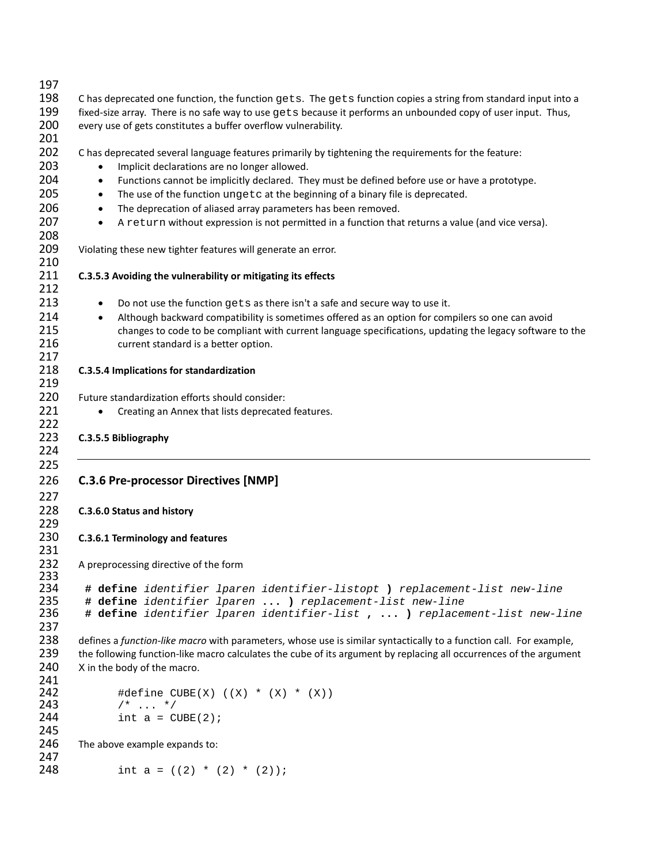| 197        |                                                                                                                    |
|------------|--------------------------------------------------------------------------------------------------------------------|
| 198        | C has deprecated one function, the function gets. The gets function copies a string from standard input into a     |
| 199        | fixed-size array. There is no safe way to use gets because it performs an unbounded copy of user input. Thus,      |
| 200        | every use of gets constitutes a buffer overflow vulnerability.                                                     |
| 201        |                                                                                                                    |
| 202        | C has deprecated several language features primarily by tightening the requirements for the feature:               |
| 203        | Implicit declarations are no longer allowed.<br>$\bullet$                                                          |
| 204        | Functions cannot be implicitly declared. They must be defined before use or have a prototype.<br>$\bullet$         |
| 205        | The use of the function ungetc at the beginning of a binary file is deprecated.<br>$\bullet$                       |
| 206        | The deprecation of aliased array parameters has been removed.<br>$\bullet$                                         |
| 207        | A return without expression is not permitted in a function that returns a value (and vice versa).<br>$\bullet$     |
| 208        |                                                                                                                    |
| 209        | Violating these new tighter features will generate an error.                                                       |
| 210        |                                                                                                                    |
| 211        | C.3.5.3 Avoiding the vulnerability or mitigating its effects                                                       |
| 212        |                                                                                                                    |
| 213        | Do not use the function gets as there isn't a safe and secure way to use it.<br>$\bullet$                          |
| 214        | Although backward compatibility is sometimes offered as an option for compilers so one can avoid<br>$\bullet$      |
| 215        | changes to code to be compliant with current language specifications, updating the legacy software to the          |
| 216        | current standard is a better option.                                                                               |
| 217        |                                                                                                                    |
| 218        | C.3.5.4 Implications for standardization                                                                           |
| 219        |                                                                                                                    |
| 220        | Future standardization efforts should consider:                                                                    |
| 221        | Creating an Annex that lists deprecated features.                                                                  |
| 222        |                                                                                                                    |
| 223        | C.3.5.5 Bibliography                                                                                               |
| 224        |                                                                                                                    |
| 225        |                                                                                                                    |
| 226        | <b>C.3.6 Pre-processor Directives [NMP]</b>                                                                        |
| 227        |                                                                                                                    |
| 228        | C.3.6.0 Status and history                                                                                         |
| 229        |                                                                                                                    |
| 230        | C.3.6.1 Terminology and features                                                                                   |
| 231        |                                                                                                                    |
| 232        |                                                                                                                    |
| 233        | A preprocessing directive of the form                                                                              |
| 234        | # define identifier lparen identifier-listopt ) replacement-list new-line                                          |
| 235        | # define identifier lparen  ) replacement-list new-line                                                            |
| 236        | # define identifier lparen identifier-list ,  ) replacement-list new-line                                          |
| 237        |                                                                                                                    |
| 238        | defines a function-like macro with parameters, whose use is similar syntactically to a function call. For example, |
| 239        | the following function-like macro calculates the cube of its argument by replacing all occurrences of the argument |
| 240        | X in the body of the macro.                                                                                        |
| 241        |                                                                                                                    |
| 242        | #define CUBE(X) $((X) * (X) * (X))$                                                                                |
| 243        | $/$ *  */                                                                                                          |
| 244        | int $a = CUBE(2)$ ;                                                                                                |
| 245        |                                                                                                                    |
| 246        |                                                                                                                    |
|            |                                                                                                                    |
|            | The above example expands to:                                                                                      |
| 247<br>248 | int $a = ((2) * (2) * (2));$                                                                                       |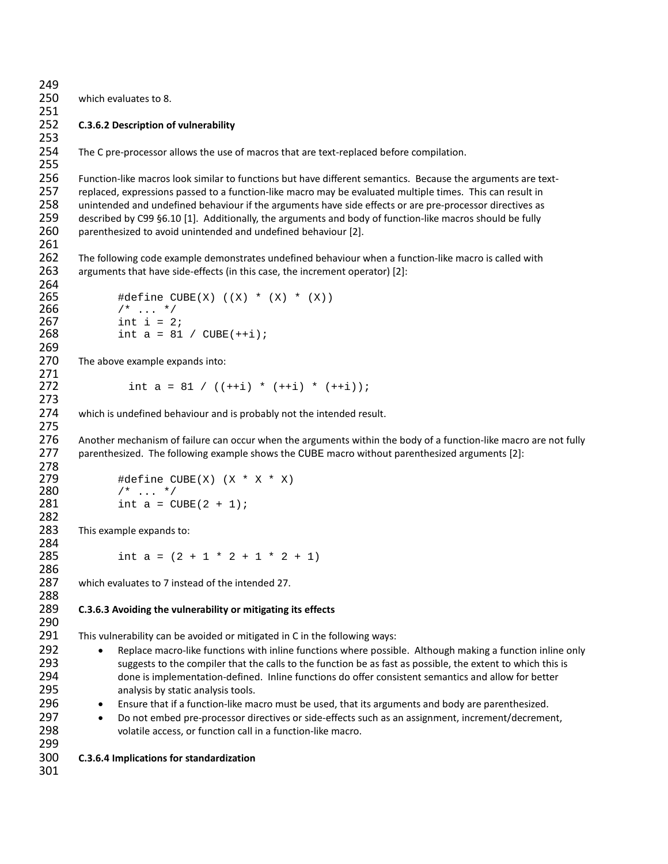which evaluates to 8. **C.3.6.2 Description of vulnerability** The C pre-processor allows the use of macros that are text-replaced before compilation. Function-like macros look similar to functions but have different semantics. Because the arguments are text- replaced, expressions passed to a function-like macro may be evaluated multiple times. This can result in unintended and undefined behaviour if the arguments have side effects or are pre-processor directives as described by C99 §6.10 [1]. Additionally, the arguments and body of function-like macros should be fully parenthesized to avoid unintended and undefined behaviour [2]. The following code example demonstrates undefined behaviour when a function-like macro is called with arguments that have side-effects (in this case, the increment operator) [2]: #define CUBE(X) ((X) \* (X) \* (X)) 266  $/$ \* ... \*/<br>267 int i = 2 267 int i = 2;<br>268 int a = 81  $int a = 81 / CUBE(++i);$  270 The above example expands into: 272 int a = 81 /  $((++) * (+i) * (++i) * (+i))$ ; which is undefined behaviour and is probably not the intended result. Another mechanism of failure can occur when the arguments within the body of a function-like macro are not fully parenthesized. The following example shows the CUBE macro without parenthesized arguments [2]: 279 #define CUBE(X)  $(X * X * X)$ <br>280  $* \dots *$ 280  $/$ \* ... \*/<br>281 int a = C int  $a = CUBE(2 + 1);$  This example expands to: 285 int a =  $(2 + 1 * 2 + 1 * 2 + 1)$  which evaluates to 7 instead of the intended 27. **C.3.6.3 Avoiding the vulnerability or mitigating its effects** This vulnerability can be avoided or mitigated in C in the following ways: • Replace macro-like functions with inline functions where possible. Although making a function inline only 293 suggests to the compiler that the calls to the function be as fast as possible, the extent to which this is done is implementation-defined. Inline functions do offer consistent semantics and allow for better **analysis by static analysis tools.**  • Ensure that if a function-like macro must be used, that its arguments and body are parenthesized. • Do not embed pre-processor directives or side-effects such as an assignment, increment/decrement, volatile access, or function call in a function-like macro. **C.3.6.4 Implications for standardization**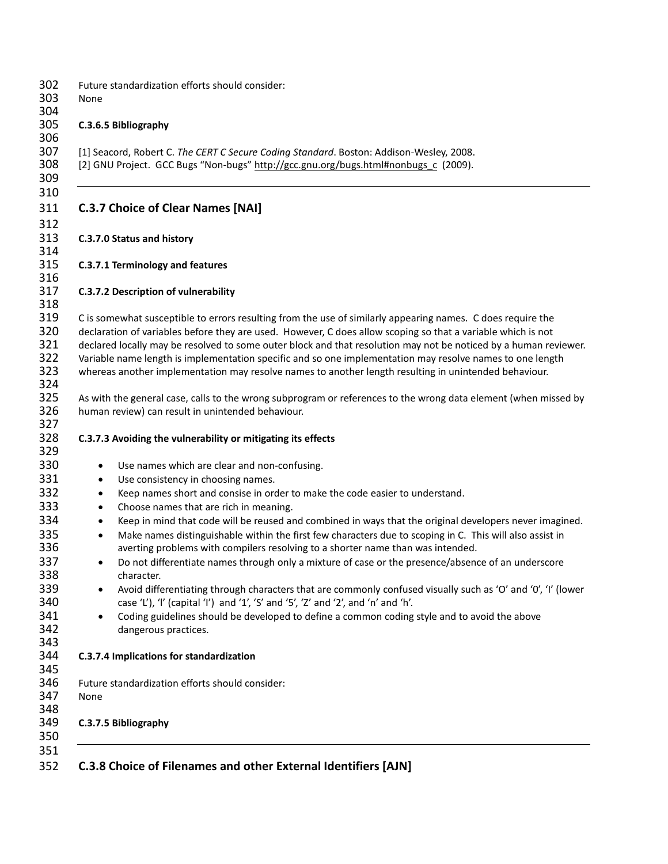| None                                                                                 | Future standardization efforts should consider:                                                                                                                                                                                                                                                                                                                                                                                                                                                                                                                                                                                                                                                                                                                                                                                                                                                                                                                        |
|--------------------------------------------------------------------------------------|------------------------------------------------------------------------------------------------------------------------------------------------------------------------------------------------------------------------------------------------------------------------------------------------------------------------------------------------------------------------------------------------------------------------------------------------------------------------------------------------------------------------------------------------------------------------------------------------------------------------------------------------------------------------------------------------------------------------------------------------------------------------------------------------------------------------------------------------------------------------------------------------------------------------------------------------------------------------|
|                                                                                      | C.3.6.5 Bibliography                                                                                                                                                                                                                                                                                                                                                                                                                                                                                                                                                                                                                                                                                                                                                                                                                                                                                                                                                   |
|                                                                                      | [1] Seacord, Robert C. The CERT C Secure Coding Standard. Boston: Addison-Wesley, 2008.<br>[2] GNU Project. GCC Bugs "Non-bugs" http://gcc.gnu.org/bugs.html#nonbugs_c (2009).                                                                                                                                                                                                                                                                                                                                                                                                                                                                                                                                                                                                                                                                                                                                                                                         |
|                                                                                      | <b>C.3.7 Choice of Clear Names [NAI]</b>                                                                                                                                                                                                                                                                                                                                                                                                                                                                                                                                                                                                                                                                                                                                                                                                                                                                                                                               |
|                                                                                      | C.3.7.0 Status and history                                                                                                                                                                                                                                                                                                                                                                                                                                                                                                                                                                                                                                                                                                                                                                                                                                                                                                                                             |
|                                                                                      | C.3.7.1 Terminology and features                                                                                                                                                                                                                                                                                                                                                                                                                                                                                                                                                                                                                                                                                                                                                                                                                                                                                                                                       |
|                                                                                      | C.3.7.2 Description of vulnerability                                                                                                                                                                                                                                                                                                                                                                                                                                                                                                                                                                                                                                                                                                                                                                                                                                                                                                                                   |
|                                                                                      | C is somewhat susceptible to errors resulting from the use of similarly appearing names. C does require the<br>declaration of variables before they are used. However, C does allow scoping so that a variable which is not<br>declared locally may be resolved to some outer block and that resolution may not be noticed by a human reviewer.<br>Variable name length is implementation specific and so one implementation may resolve names to one length<br>whereas another implementation may resolve names to another length resulting in unintended behaviour.                                                                                                                                                                                                                                                                                                                                                                                                  |
|                                                                                      | As with the general case, calls to the wrong subprogram or references to the wrong data element (when missed by<br>human review) can result in unintended behaviour.                                                                                                                                                                                                                                                                                                                                                                                                                                                                                                                                                                                                                                                                                                                                                                                                   |
|                                                                                      | C.3.7.3 Avoiding the vulnerability or mitigating its effects                                                                                                                                                                                                                                                                                                                                                                                                                                                                                                                                                                                                                                                                                                                                                                                                                                                                                                           |
| ٠<br>٠<br>$\bullet$<br>$\bullet$<br>$\bullet$<br>$\bullet$<br>$\bullet$<br>$\bullet$ | Use names which are clear and non-confusing.<br>Use consistency in choosing names.<br>Keep names short and consise in order to make the code easier to understand.<br>Choose names that are rich in meaning.<br>Keep in mind that code will be reused and combined in ways that the original developers never imagined.<br>Make names distinguishable within the first few characters due to scoping in C. This will also assist in<br>averting problems with compilers resolving to a shorter name than was intended.<br>Do not differentiate names through only a mixture of case or the presence/absence of an underscore<br>character.<br>Avoid differentiating through characters that are commonly confused visually such as 'O' and '0', 'I' (lower<br>case 'L'), 'l' (capital 'l') and '1', 'S' and '5', 'Z' and '2', and 'n' and 'h'.<br>Coding guidelines should be developed to define a common coding style and to avoid the above<br>dangerous practices. |
|                                                                                      | C.3.7.4 Implications for standardization                                                                                                                                                                                                                                                                                                                                                                                                                                                                                                                                                                                                                                                                                                                                                                                                                                                                                                                               |
| None                                                                                 | Future standardization efforts should consider:                                                                                                                                                                                                                                                                                                                                                                                                                                                                                                                                                                                                                                                                                                                                                                                                                                                                                                                        |
|                                                                                      | C.3.7.5 Bibliography                                                                                                                                                                                                                                                                                                                                                                                                                                                                                                                                                                                                                                                                                                                                                                                                                                                                                                                                                   |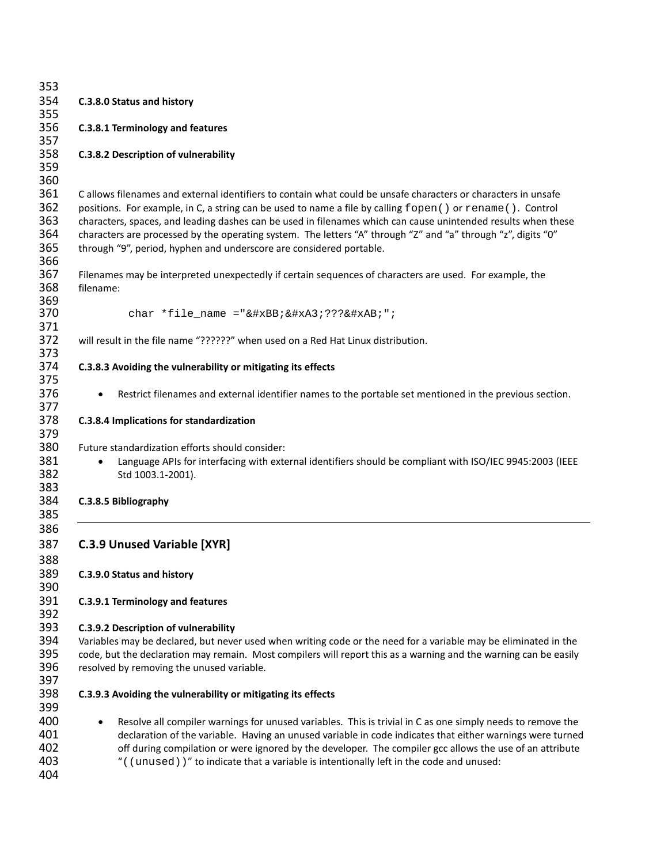| 353        |                                                                                                                         |
|------------|-------------------------------------------------------------------------------------------------------------------------|
| 354        | C.3.8.0 Status and history                                                                                              |
| 355        |                                                                                                                         |
| 356        | <b>C.3.8.1 Terminology and features</b>                                                                                 |
| 357        |                                                                                                                         |
| 358        | <b>C.3.8.2 Description of vulnerability</b>                                                                             |
| 359        |                                                                                                                         |
| 360        |                                                                                                                         |
| 361        | C allows filenames and external identifiers to contain what could be unsafe characters or characters in unsafe          |
| 362        | positions. For example, in C, a string can be used to name a file by calling fopen () or rename (). Control             |
| 363        | characters, spaces, and leading dashes can be used in filenames which can cause unintended results when these           |
| 364        | characters are processed by the operating system. The letters "A" through "Z" and "a" through "z", digits "0"           |
| 365        | through "9", period, hyphen and underscore are considered portable.                                                     |
| 366        |                                                                                                                         |
| 367        | Filenames may be interpreted unexpectedly if certain sequences of characters are used. For example, the                 |
| 368        | filename:                                                                                                               |
| 369        |                                                                                                                         |
| 370        | char *file_name =" $&\#xBB$ ; $&\#xA3$ ; ??? $&\#xAB$ ; ";                                                              |
| 371        |                                                                                                                         |
| 372        | will result in the file name "??????" when used on a Red Hat Linux distribution.                                        |
| 373        |                                                                                                                         |
| 374<br>375 | C.3.8.3 Avoiding the vulnerability or mitigating its effects                                                            |
| 376        |                                                                                                                         |
| 377        | Restrict filenames and external identifier names to the portable set mentioned in the previous section.<br>$\bullet$    |
| 378        | C.3.8.4 Implications for standardization                                                                                |
| 379        |                                                                                                                         |
| 380        | Future standardization efforts should consider:                                                                         |
| 381        | Language APIs for interfacing with external identifiers should be compliant with ISO/IEC 9945:2003 (IEEE<br>$\bullet$   |
| 382        | Std 1003.1-2001).                                                                                                       |
| 383        |                                                                                                                         |
| 384        | C.3.8.5 Bibliography                                                                                                    |
| 385        |                                                                                                                         |
| 386        |                                                                                                                         |
| 387        | <b>C.3.9 Unused Variable [XYR]</b>                                                                                      |
| 388        |                                                                                                                         |
| 389        | C.3.9.0 Status and history                                                                                              |
| 390        |                                                                                                                         |
| 391        | <b>C.3.9.1 Terminology and features</b>                                                                                 |
| 392        |                                                                                                                         |
| 393        | <b>C.3.9.2 Description of vulnerability</b>                                                                             |
| 394        | Variables may be declared, but never used when writing code or the need for a variable may be eliminated in the         |
| 395        | code, but the declaration may remain. Most compilers will report this as a warning and the warning can be easily        |
| 396        | resolved by removing the unused variable.                                                                               |
| 397        |                                                                                                                         |
| 398        | C.3.9.3 Avoiding the vulnerability or mitigating its effects                                                            |
| 399        |                                                                                                                         |
| 400        | Resolve all compiler warnings for unused variables. This is trivial in C as one simply needs to remove the<br>$\bullet$ |
| 401        | declaration of the variable. Having an unused variable in code indicates that either warnings were turned               |
| 402        | off during compilation or were ignored by the developer. The compiler gcc allows the use of an attribute                |
| 403        | "((unused))" to indicate that a variable is intentionally left in the code and unused:                                  |
| 404        |                                                                                                                         |
|            |                                                                                                                         |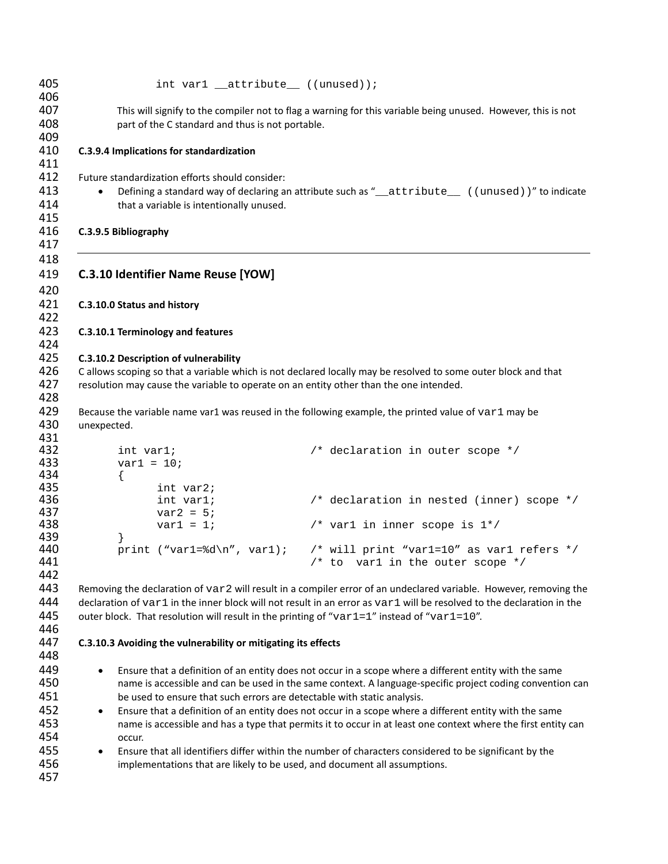| 405               | int var $1$ __attribute__ ((unused));                                                      |                                                                                                                       |
|-------------------|--------------------------------------------------------------------------------------------|-----------------------------------------------------------------------------------------------------------------------|
| 406<br>407        |                                                                                            | This will signify to the compiler not to flag a warning for this variable being unused. However, this is not          |
| 408<br>409        | part of the C standard and thus is not portable.                                           |                                                                                                                       |
| 410<br>411        | C.3.9.4 Implications for standardization                                                   |                                                                                                                       |
| 412               | Future standardization efforts should consider:                                            |                                                                                                                       |
| 413               |                                                                                            | Defining a standard way of declaring an attribute such as "_attribute__ ((unused))" to indicate                       |
| 414               | that a variable is intentionally unused.                                                   |                                                                                                                       |
| 415<br>416        | C.3.9.5 Bibliography                                                                       |                                                                                                                       |
| 417               |                                                                                            |                                                                                                                       |
| 418<br>419<br>420 | <b>C.3.10 Identifier Name Reuse [YOW]</b>                                                  |                                                                                                                       |
| 421<br>422        | C.3.10.0 Status and history                                                                |                                                                                                                       |
| 423<br>424        | C.3.10.1 Terminology and features                                                          |                                                                                                                       |
| 425               | C.3.10.2 Description of vulnerability                                                      |                                                                                                                       |
| 426               |                                                                                            | C allows scoping so that a variable which is not declared locally may be resolved to some outer block and that        |
| 427               | resolution may cause the variable to operate on an entity other than the one intended.     |                                                                                                                       |
| 428               |                                                                                            |                                                                                                                       |
| 429               |                                                                                            | Because the variable name var1 was reused in the following example, the printed value of var1 may be                  |
| 430               | unexpected.                                                                                |                                                                                                                       |
| 431<br>432        | int var1;                                                                                  | /* declaration in outer scope */                                                                                      |
| 433               | $var1 = 10$ ;                                                                              |                                                                                                                       |
| 434               | $\left\{ \right.$                                                                          |                                                                                                                       |
| 435               | int var2;                                                                                  |                                                                                                                       |
| 436               | int var1;                                                                                  | /* declaration in nested (inner) scope */                                                                             |
| 437               | $var2 = 5$                                                                                 |                                                                                                                       |
| 438               | $var1 = 1$                                                                                 | /* var1 in inner scope is $1*/$                                                                                       |
| 439               | $\left\{ \right\}$                                                                         |                                                                                                                       |
| 440               |                                                                                            | print ("var1=%d\n", var1); /* will print "var1=10" as var1 refers */                                                  |
| 441               |                                                                                            | $/*$ to var1 in the outer scope $*/$                                                                                  |
| 442               |                                                                                            |                                                                                                                       |
| 443               |                                                                                            | Removing the declaration of var2 will result in a compiler error of an undeclared variable. However, removing the     |
| 444               |                                                                                            | declaration of var1 in the inner block will not result in an error as var1 will be resolved to the declaration in the |
| 445               | outer block. That resolution will result in the printing of "var1=1" instead of "var1=10". |                                                                                                                       |
| 446<br>447        |                                                                                            |                                                                                                                       |
| 448               | C.3.10.3 Avoiding the vulnerability or mitigating its effects                              |                                                                                                                       |
| 449               |                                                                                            | Ensure that a definition of an entity does not occur in a scope where a different entity with the same                |
| 450               | $\bullet$                                                                                  | name is accessible and can be used in the same context. A language-specific project coding convention can             |
| 451               | be used to ensure that such errors are detectable with static analysis.                    |                                                                                                                       |
| 452               | $\bullet$                                                                                  | Ensure that a definition of an entity does not occur in a scope where a different entity with the same                |
| 453               |                                                                                            | name is accessible and has a type that permits it to occur in at least one context where the first entity can         |
| 454               | occur.                                                                                     |                                                                                                                       |
| 455               | $\bullet$                                                                                  | Ensure that all identifiers differ within the number of characters considered to be significant by the                |
| 456               | implementations that are likely to be used, and document all assumptions.                  |                                                                                                                       |
| 457               |                                                                                            |                                                                                                                       |
|                   |                                                                                            |                                                                                                                       |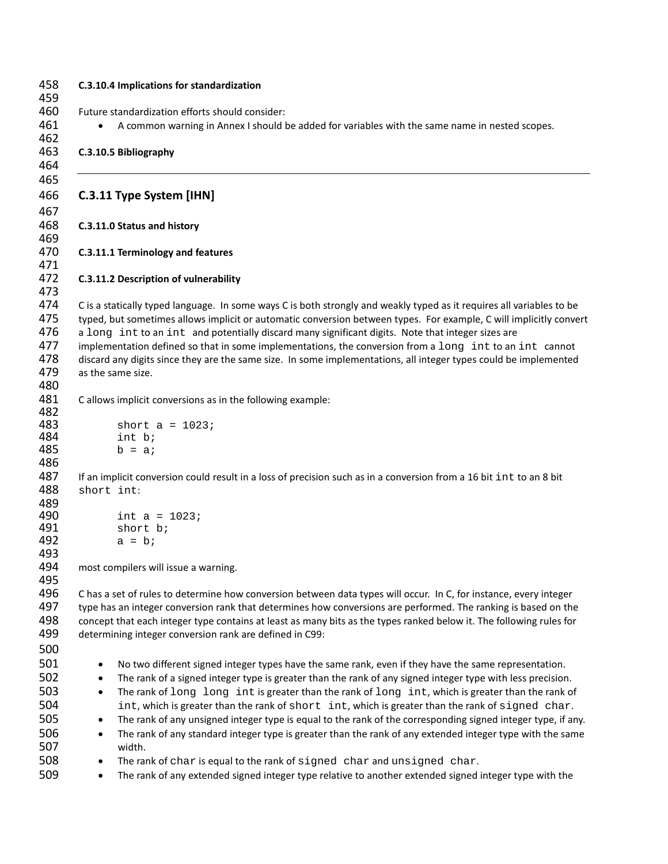|            | C.3.10.4 Implications for standardization                                                                                                                                      |
|------------|--------------------------------------------------------------------------------------------------------------------------------------------------------------------------------|
|            | Future standardization efforts should consider:                                                                                                                                |
|            | A common warning in Annex I should be added for variables with the same name in nested scopes.                                                                                 |
|            |                                                                                                                                                                                |
|            | C.3.10.5 Bibliography                                                                                                                                                          |
|            | C.3.11 Type System [IHN]                                                                                                                                                       |
|            |                                                                                                                                                                                |
|            | C.3.11.0 Status and history                                                                                                                                                    |
|            | C.3.11.1 Terminology and features                                                                                                                                              |
|            | C.3.11.2 Description of vulnerability                                                                                                                                          |
|            | C is a statically typed language. In some ways C is both strongly and weakly typed as it requires all variables to be                                                          |
|            | typed, but sometimes allows implicit or automatic conversion between types. For example, C will implicitly convert                                                             |
|            | a long int to an int and potentially discard many significant digits. Note that integer sizes are                                                                              |
|            | implementation defined so that in some implementations, the conversion from a long int to an int cannot                                                                        |
|            | discard any digits since they are the same size. In some implementations, all integer types could be implemented                                                               |
|            | as the same size.                                                                                                                                                              |
|            | C allows implicit conversions as in the following example:                                                                                                                     |
|            |                                                                                                                                                                                |
|            | short $a = 1023$ ;                                                                                                                                                             |
|            | int b;                                                                                                                                                                         |
|            | $b = ai$                                                                                                                                                                       |
|            |                                                                                                                                                                                |
| short int: | If an implicit conversion could result in a loss of precision such as in a conversion from a 16 bit int to an 8 bit                                                            |
|            |                                                                                                                                                                                |
|            | int $a = 1023$                                                                                                                                                                 |
|            | short b;                                                                                                                                                                       |
|            | $a = bi$                                                                                                                                                                       |
|            |                                                                                                                                                                                |
|            | most compilers will issue a warning.                                                                                                                                           |
|            |                                                                                                                                                                                |
|            | C has a set of rules to determine how conversion between data types will occur. In C, for instance, every integer                                                              |
|            | type has an integer conversion rank that determines how conversions are performed. The ranking is based on the                                                                 |
|            | concept that each integer type contains at least as many bits as the types ranked below it. The following rules for<br>determining integer conversion rank are defined in C99: |
|            |                                                                                                                                                                                |
| $\bullet$  | No two different signed integer types have the same rank, even if they have the same representation.                                                                           |
| $\bullet$  | The rank of a signed integer type is greater than the rank of any signed integer type with less precision.                                                                     |
| $\bullet$  | The rank of long long int is greater than the rank of long int, which is greater than the rank of                                                                              |
|            | int, which is greater than the rank of short int, which is greater than the rank of signed char.                                                                               |
| $\bullet$  | The rank of any unsigned integer type is equal to the rank of the corresponding signed integer type, if any.                                                                   |
| $\bullet$  | The rank of any standard integer type is greater than the rank of any extended integer type with the same                                                                      |
|            | width.                                                                                                                                                                         |
| $\bullet$  | The rank of char is equal to the rank of signed char and unsigned char.                                                                                                        |
|            |                                                                                                                                                                                |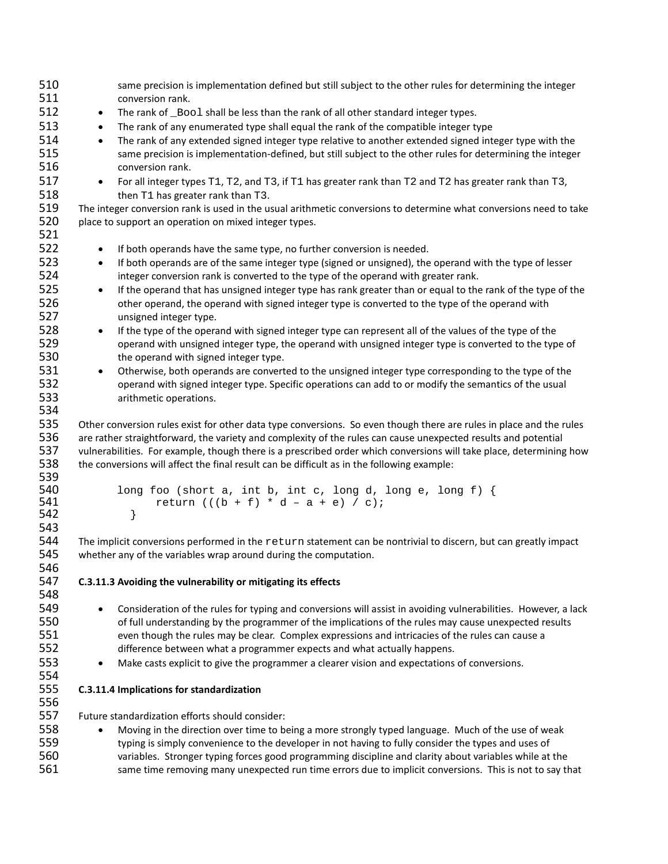| 510        | same precision is implementation defined but still subject to the other rules for determining the integer                |
|------------|--------------------------------------------------------------------------------------------------------------------------|
| 511        | conversion rank.                                                                                                         |
| 512        | The rank of _Bool shall be less than the rank of all other standard integer types.<br>$\bullet$                          |
| 513        | The rank of any enumerated type shall equal the rank of the compatible integer type<br>$\bullet$                         |
| 514        | The rank of any extended signed integer type relative to another extended signed integer type with the<br>$\bullet$      |
| 515        | same precision is implementation-defined, but still subject to the other rules for determining the integer               |
| 516        | conversion rank.                                                                                                         |
| 517        | For all integer types T1, T2, and T3, if T1 has greater rank than T2 and T2 has greater rank than T3,<br>$\bullet$       |
| 518        | then T1 has greater rank than T3.                                                                                        |
| 519        | The integer conversion rank is used in the usual arithmetic conversions to determine what conversions need to take       |
| 520        | place to support an operation on mixed integer types.                                                                    |
| 521        |                                                                                                                          |
| 522        | If both operands have the same type, no further conversion is needed.<br>$\bullet$                                       |
| 523        | If both operands are of the same integer type (signed or unsigned), the operand with the type of lesser<br>$\bullet$     |
| 524        | integer conversion rank is converted to the type of the operand with greater rank.                                       |
| 525        | If the operand that has unsigned integer type has rank greater than or equal to the rank of the type of the<br>$\bullet$ |
| 526        | other operand, the operand with signed integer type is converted to the type of the operand with                         |
| 527        | unsigned integer type.                                                                                                   |
| 528        | If the type of the operand with signed integer type can represent all of the values of the type of the<br>$\bullet$      |
| 529        | operand with unsigned integer type, the operand with unsigned integer type is converted to the type of                   |
| 530        | the operand with signed integer type.                                                                                    |
| 531        | Otherwise, both operands are converted to the unsigned integer type corresponding to the type of the<br>$\bullet$        |
| 532        | operand with signed integer type. Specific operations can add to or modify the semantics of the usual                    |
| 533        | arithmetic operations.                                                                                                   |
| 534        |                                                                                                                          |
| 535        | Other conversion rules exist for other data type conversions. So even though there are rules in place and the rules      |
| 536        | are rather straightforward, the variety and complexity of the rules can cause unexpected results and potential           |
| 537        | vulnerabilities. For example, though there is a prescribed order which conversions will take place, determining how      |
| 538        | the conversions will affect the final result can be difficult as in the following example:                               |
| 539<br>540 | long foo (short a, int b, int c, long d, long e, long f) {                                                               |
| 541        | return $(((b + f) * d - a + e) / c);$                                                                                    |
| 542        | }                                                                                                                        |
| 543        |                                                                                                                          |
| 544        | The implicit conversions performed in the return statement can be nontrivial to discern, but can greatly impact          |
| 545        | whether any of the variables wrap around during the computation.                                                         |
| 546        |                                                                                                                          |
| 547        | C.3.11.3 Avoiding the vulnerability or mitigating its effects                                                            |
| 548        |                                                                                                                          |
| 549        | Consideration of the rules for typing and conversions will assist in avoiding vulnerabilities. However, a lack           |
| 550        | of full understanding by the programmer of the implications of the rules may cause unexpected results                    |
| 551        | even though the rules may be clear. Complex expressions and intricacies of the rules can cause a                         |
| 552        | difference between what a programmer expects and what actually happens.                                                  |
| 553        | Make casts explicit to give the programmer a clearer vision and expectations of conversions.<br>$\bullet$                |
| 554        |                                                                                                                          |
| 555        | C.3.11.4 Implications for standardization                                                                                |
| 556        |                                                                                                                          |
| 557        | Future standardization efforts should consider:                                                                          |
| 558        | Moving in the direction over time to being a more strongly typed language. Much of the use of weak                       |
| 559        | typing is simply convenience to the developer in not having to fully consider the types and uses of                      |
| 560        | variables. Stronger typing forces good programming discipline and clarity about variables while at the                   |
| 561        | same time removing many unexpected run time errors due to implicit conversions. This is not to say that                  |
|            |                                                                                                                          |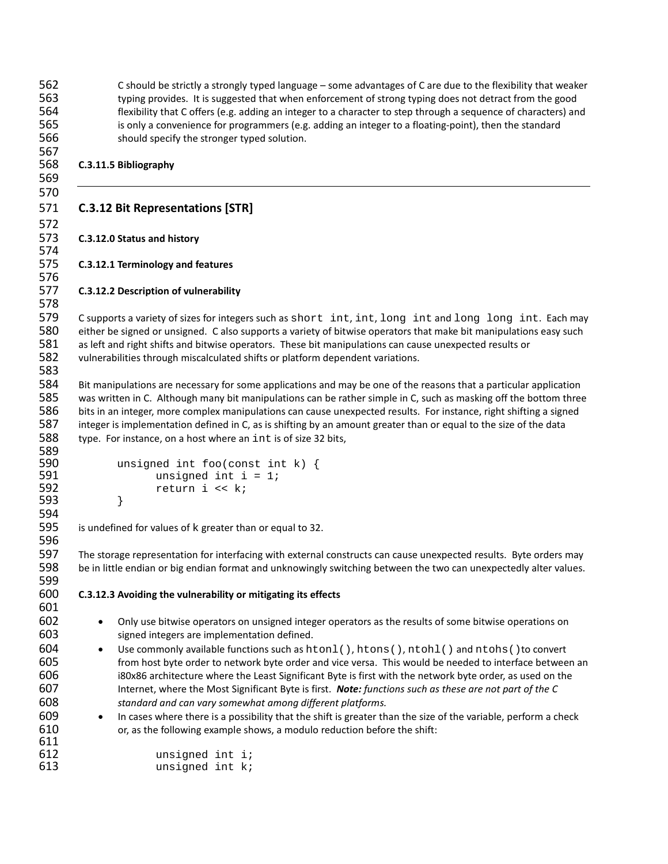C should be strictly a strongly typed language – some advantages of C are due to the flexibility that weaker typing provides. It is suggested that when enforcement of strong typing does not detract from the good flexibility that C offers (e.g. adding an integer to a character to step through a sequence of characters) and is only a convenience for programmers (e.g. adding an integer to a floating-point), then the standard should specify the stronger typed solution. **C.3.11.5 Bibliography C.3.12 Bit Representations [STR] C.3.12.0 Status and history C.3.12.1 Terminology and features C.3.12.2 Description of vulnerability** 579 C supports a variety of sizes for integers such as short int, int, long int and long long int. Each may<br>580 either be signed or unsigned. C also supports a variety of bitwise operators that make bit manipulations easy either be signed or unsigned. C also supports a variety of bitwise operators that make bit manipulations easy such as left and right shifts and bitwise operators. These bit manipulations can cause unexpected results or vulnerabilities through miscalculated shifts or platform dependent variations. Bit manipulations are necessary for some applications and may be one of the reasons that a particular application was written in C. Although many bit manipulations can be rather simple in C, such as masking off the bottom three bits in an integer, more complex manipulations can cause unexpected results. For instance, right shifting a signed integer is implementation defined in C, as is shifting by an amount greater than or equal to the size of the data type. For instance, on a host where an int is of size 32 bits, 590 unsigned int foo(const int k) {<br>591 unsigned int i = 1; 591 unsigned int  $i = 1$ ;<br>592 return  $i \ll k$ ; return i << k;<br>} } is undefined for values of k greater than or equal to 32. The storage representation for interfacing with external constructs can cause unexpected results. Byte orders may be in little endian or big endian format and unknowingly switching between the two can unexpectedly alter values. **C.3.12.3 Avoiding the vulnerability or mitigating its effects** • Only use bitwise operators on unsigned integer operators as the results of some bitwise operations on signed integers are implementation defined. 604 • Use commonly available functions such as  $htonl()$ ,  $htons()$ ,  $ntohl()$  and  $ntohs()$  to convert 605 from host byte order to network byte order and vice versa. This would be needed to interface betwee from host byte order to network byte order and vice versa. This would be needed to interface between an i80x86 architecture where the Least Significant Byte is first with the network byte order, as used on the Internet, where the Most Significant Byte is first. *Note: functions such as these are not part of the C standard and can vary somewhat among different platforms.* • In cases where there is a possibility that the shift is greater than the size of the variable, perform a check or, as the following example shows, a modulo reduction before the shift: 612 unsigned int i;<br>613 unsigned int k; unsigned int  $k$ ;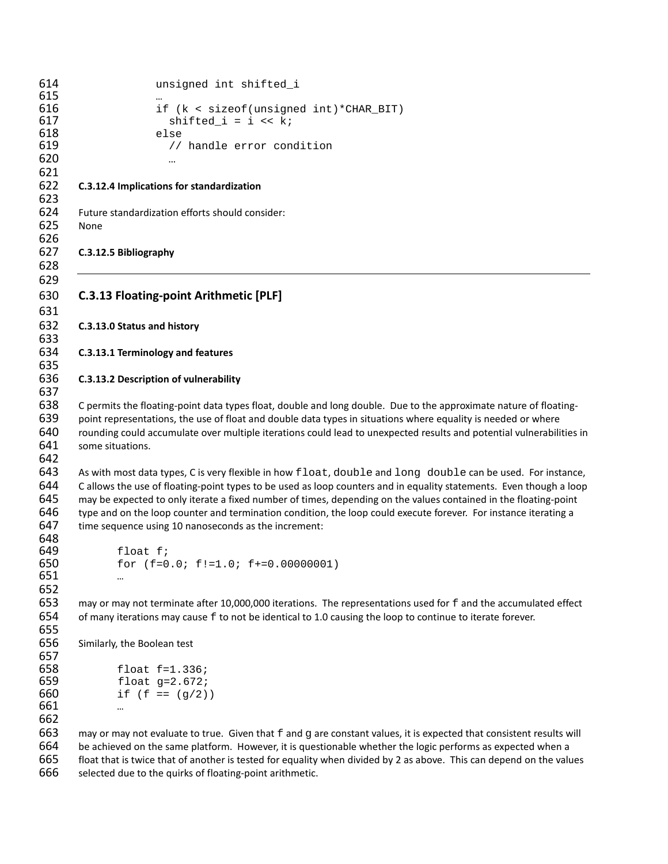```
614 unsigned int shifted_i
615<br>616
616 if (k < sizeof(unsigned int)*CHAR_BIT)<br>617 shifted_i = i < k;
                              shifted_i = i \iff ki618 else
                              // handle error condition
620 …
621
622 C.3.12.4 Implications for standardization
623
624 Future standardization efforts should consider:
625 None
626
627 C.3.12.5 Bibliography
628
629
630 C.3.13 Floating-point Arithmetic [PLF]
631
632 C.3.13.0 Status and history
633
634 C.3.13.1 Terminology and features
635
636 C.3.13.2 Description of vulnerability
637
638 C permits the floating-point data types float, double and long double. Due to the approximate nature of floating-
639 point representations, the use of float and double data types in situations where equality is needed or where 
640 rounding could accumulate over multiple iterations could lead to unexpected results and potential vulnerabilities in 
641 some situations.
642
643 As with most data types, C is very flexible in how float, double and long double can be used. For instance,<br>644 Callows the use of floating-point types to be used as loop counters and in equality statements. Even thoug
         C allows the use of floating-point types to be used as loop counters and in equality statements. Even though a loop
645 may be expected to only iterate a fixed number of times, depending on the values contained in the floating-point 
646 type and on the loop counter and termination condition, the loop could execute forever. For instance iterating a 
647 time sequence using 10 nanoseconds as the increment:
648<br>649
649 float f;<br>650 for (f=0
                  for (f=0.0; f!=1.0; f+=0.00000001)651 …
652
653 may or may not terminate after 10,000,000 iterations. The representations used for f and the accumulated effect 654 of many iterations may cause f to not be identical to 1.0 causing the loop to continue to iterate for
         of many iterations may cause f to not be identical to 1.0 causing the loop to continue to iterate forever.
655
656 Similarly, the Boolean test
657<br>658
658 float f=1.336;<br>659 float g=2.672;659 float g=2.672;<br>660 if (f == (q/2))
                  if (f == (g/2))
661 …
662
663 may or may not evaluate to true. Given that f and g are constant values, it is expected that consistent results will 664 be achieved on the same platform. However, it is questionable whether the logic performs as expe
         be achieved on the same platform. However, it is questionable whether the logic performs as expected when a
665 float that is twice that of another is tested for equality when divided by 2 as above. This can depend on the values
```
selected due to the quirks of floating-point arithmetic.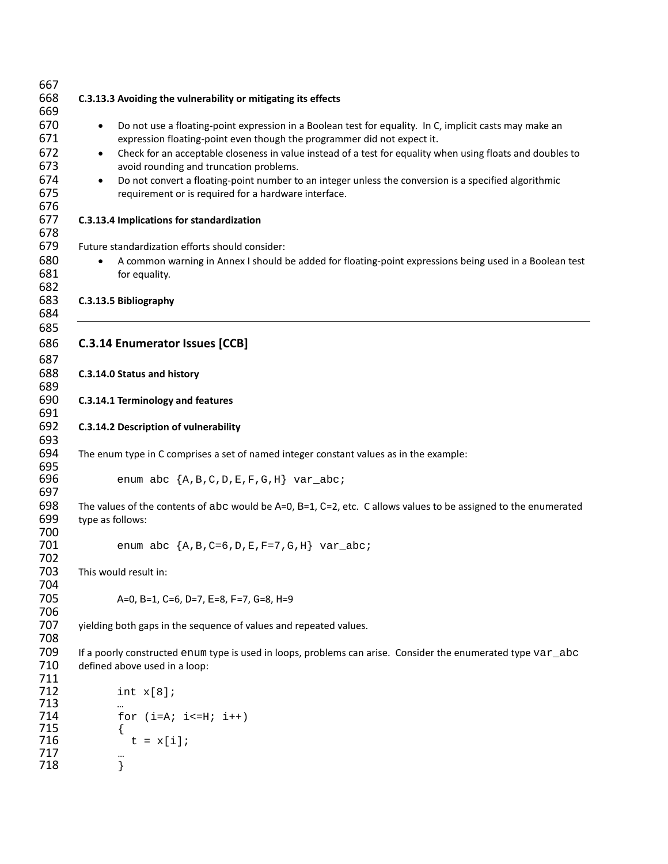| 667        |                                                                                                                          |
|------------|--------------------------------------------------------------------------------------------------------------------------|
| 668        | C.3.13.3 Avoiding the vulnerability or mitigating its effects                                                            |
| 669        |                                                                                                                          |
| 670        | Do not use a floating-point expression in a Boolean test for equality. In C, implicit casts may make an<br>$\bullet$     |
| 671        | expression floating-point even though the programmer did not expect it.                                                  |
| 672        | Check for an acceptable closeness in value instead of a test for equality when using floats and doubles to<br>$\bullet$  |
| 673        | avoid rounding and truncation problems.                                                                                  |
| 674        | Do not convert a floating-point number to an integer unless the conversion is a specified algorithmic<br>$\bullet$       |
| 675        | requirement or is required for a hardware interface.                                                                     |
| 676        |                                                                                                                          |
| 677        | C.3.13.4 Implications for standardization                                                                                |
| 678        |                                                                                                                          |
| 679        | Future standardization efforts should consider:                                                                          |
| 680        |                                                                                                                          |
|            | A common warning in Annex I should be added for floating-point expressions being used in a Boolean test                  |
| 681        | for equality.                                                                                                            |
| 682<br>683 |                                                                                                                          |
| 684        | C.3.13.5 Bibliography                                                                                                    |
| 685        |                                                                                                                          |
|            |                                                                                                                          |
| 686        | <b>C.3.14 Enumerator Issues [CCB]</b>                                                                                    |
| 687        |                                                                                                                          |
| 688        | C.3.14.0 Status and history                                                                                              |
| 689        |                                                                                                                          |
| 690        | C.3.14.1 Terminology and features                                                                                        |
| 691        |                                                                                                                          |
| 692        | C.3.14.2 Description of vulnerability                                                                                    |
| 693        |                                                                                                                          |
| 694        | The enum type in C comprises a set of named integer constant values as in the example:                                   |
| 695<br>696 |                                                                                                                          |
| 697        | enum abc $\{A, B, C, D, E, F, G, H\}$ var_abc;                                                                           |
| 698        |                                                                                                                          |
| 699        | The values of the contents of abc would be $A=0$ , $B=1$ , $C=2$ , etc. C allows values to be assigned to the enumerated |
|            | type as follows:                                                                                                         |
| 700<br>701 |                                                                                                                          |
|            | enum abc $\{A, B, C=6, D, E, F=7, G, H\}$ var_abc;                                                                       |
| 702<br>703 | This would result in:                                                                                                    |
|            |                                                                                                                          |
| 704<br>705 |                                                                                                                          |
|            | A=0, B=1, C=6, D=7, E=8, F=7, G=8, H=9                                                                                   |
| 706        |                                                                                                                          |
| 707        | yielding both gaps in the sequence of values and repeated values.                                                        |
| 708        |                                                                                                                          |
| 709        | If a poorly constructed enum type is used in loops, problems can arise. Consider the enumerated type var_abc             |
| 710        | defined above used in a loop:                                                                                            |
| 711        |                                                                                                                          |
| 712<br>713 | int x[8]                                                                                                                 |
| 714        |                                                                                                                          |
| 715        | for $(i=A; i<=H; i++)$                                                                                                   |
| 716        | $t = x[i];$                                                                                                              |
| 717        |                                                                                                                          |
| 718        | }                                                                                                                        |
|            |                                                                                                                          |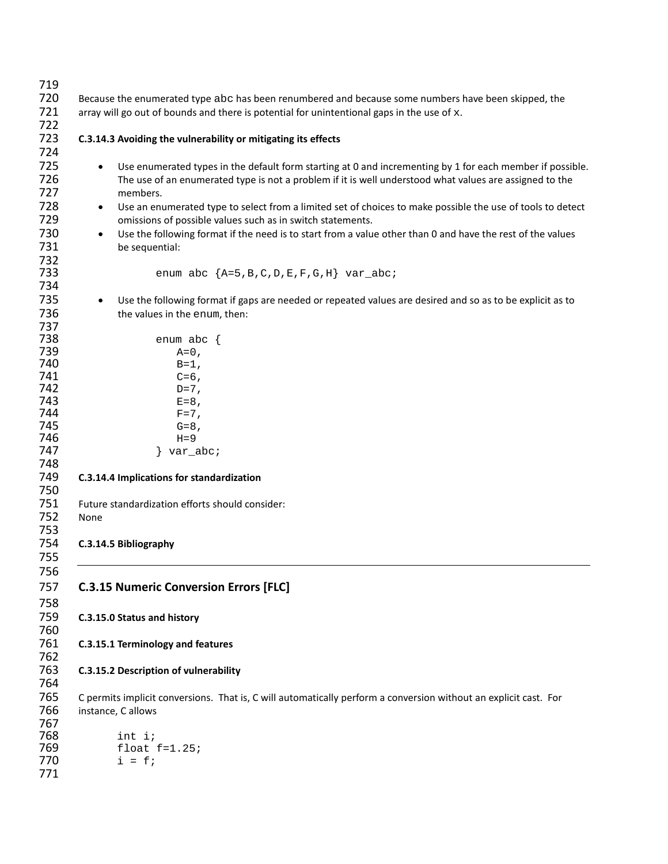| 719 |                                                                                                                         |  |  |
|-----|-------------------------------------------------------------------------------------------------------------------------|--|--|
| 720 | Because the enumerated type abc has been renumbered and because some numbers have been skipped, the                     |  |  |
| 721 | array will go out of bounds and there is potential for unintentional gaps in the use of x.                              |  |  |
| 722 |                                                                                                                         |  |  |
| 723 | C.3.14.3 Avoiding the vulnerability or mitigating its effects                                                           |  |  |
| 724 |                                                                                                                         |  |  |
| 725 |                                                                                                                         |  |  |
|     | Use enumerated types in the default form starting at 0 and incrementing by 1 for each member if possible.<br>$\bullet$  |  |  |
| 726 | The use of an enumerated type is not a problem if it is well understood what values are assigned to the                 |  |  |
| 727 | members.                                                                                                                |  |  |
| 728 | Use an enumerated type to select from a limited set of choices to make possible the use of tools to detect<br>$\bullet$ |  |  |
| 729 | omissions of possible values such as in switch statements.                                                              |  |  |
| 730 | Use the following format if the need is to start from a value other than 0 and have the rest of the values<br>$\bullet$ |  |  |
| 731 | be sequential:                                                                                                          |  |  |
| 732 |                                                                                                                         |  |  |
| 733 | enum abc ${A=5,B,C,D,E,F,G,H}$ var_abc;                                                                                 |  |  |
| 734 |                                                                                                                         |  |  |
|     |                                                                                                                         |  |  |
| 735 | Use the following format if gaps are needed or repeated values are desired and so as to be explicit as to<br>$\bullet$  |  |  |
| 736 | the values in the enum, then:                                                                                           |  |  |
| 737 |                                                                                                                         |  |  |
| 738 | enum abc $\{$                                                                                                           |  |  |
| 739 | $A=0$ ,                                                                                                                 |  |  |
| 740 | $B=1$ ,                                                                                                                 |  |  |
| 741 | $C=6$ ,                                                                                                                 |  |  |
| 742 | $D=7$ ,                                                                                                                 |  |  |
| 743 | $E=8$ ,                                                                                                                 |  |  |
| 744 | $F=7$ ,                                                                                                                 |  |  |
| 745 | $G=8$ ,                                                                                                                 |  |  |
| 746 | $H = 9$                                                                                                                 |  |  |
| 747 | $\} var_abc$                                                                                                            |  |  |
| 748 |                                                                                                                         |  |  |
| 749 | C.3.14.4 Implications for standardization                                                                               |  |  |
| 750 |                                                                                                                         |  |  |
| 751 |                                                                                                                         |  |  |
|     | Future standardization efforts should consider:                                                                         |  |  |
| 752 | None                                                                                                                    |  |  |
| 753 |                                                                                                                         |  |  |
| 754 | C.3.14.5 Bibliography                                                                                                   |  |  |
| 755 |                                                                                                                         |  |  |
| 756 |                                                                                                                         |  |  |
| 757 | <b>C.3.15 Numeric Conversion Errors [FLC]</b>                                                                           |  |  |
|     |                                                                                                                         |  |  |
| 758 |                                                                                                                         |  |  |
| 759 | C.3.15.0 Status and history                                                                                             |  |  |
| 760 |                                                                                                                         |  |  |
| 761 | C.3.15.1 Terminology and features                                                                                       |  |  |
| 762 |                                                                                                                         |  |  |
| 763 | C.3.15.2 Description of vulnerability                                                                                   |  |  |
| 764 |                                                                                                                         |  |  |
|     |                                                                                                                         |  |  |
| 765 | C permits implicit conversions. That is, C will automatically perform a conversion without an explicit cast. For        |  |  |
| 766 | instance, C allows                                                                                                      |  |  |
| 767 |                                                                                                                         |  |  |
| 768 | int i;                                                                                                                  |  |  |
| 769 | float $f=1.25$ ;                                                                                                        |  |  |
| 770 | $i = f$                                                                                                                 |  |  |
| 771 |                                                                                                                         |  |  |
|     |                                                                                                                         |  |  |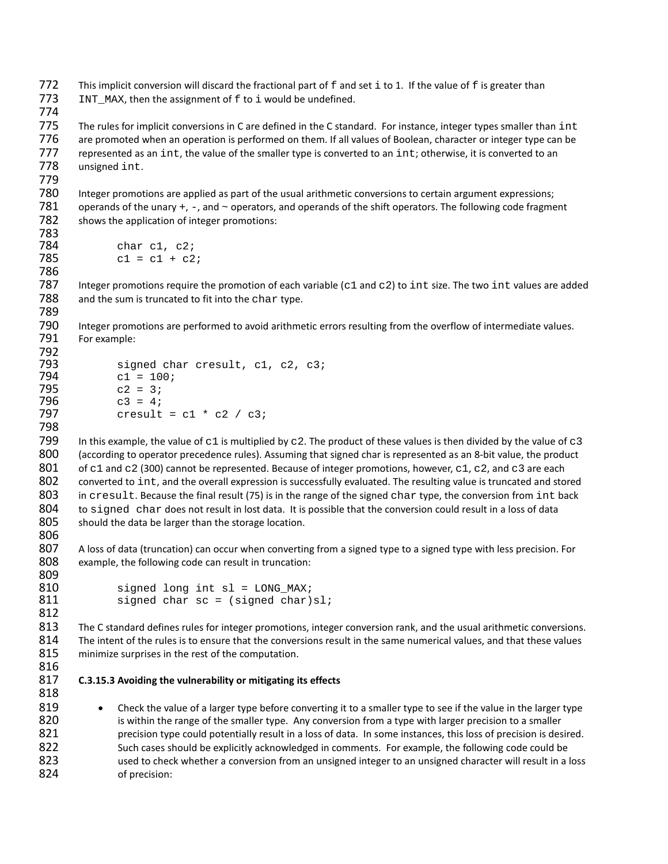772 This implicit conversion will discard the fractional part of  $f$  and set i to 1. If the value of  $f$  is greater than 773 INT\_MAX, then the assignment of  $f$  to i would be undefined.  $INT\_MAX$ , then the assignment of  $f$  to  $i$  would be undefined.

775 The rules for implicit conversions in C are defined in the C standard. For instance, integer types smaller than int<br>776 are promoted when an operation is performed on them. If all values of Boolean, character or intege are promoted when an operation is performed on them. If all values of Boolean, character or integer type can be 777 represented as an int, the value of the smaller type is converted to an int; otherwise, it is converted to an  $778$  unsigned int. unsigned int.

780 Integer promotions are applied as part of the usual arithmetic conversions to certain argument expressions; 781 operands of the unary  $+$ ,  $-$ , and  $\sim$  operators, and operands of the shift operators. The following code fragment 782 shows the application of integer promotions: shows the application of integer promotions:

```
783
784 char c1, c2;<br>785 c1 = c1 + c2
               c1 = c1 + c2;786
```
774

779

798

812

818

787 Integer promotions require the promotion of each variable (c1 and c2) to int size. The two int values are added 788 and the sum is truncated to fit into the char type. and the sum is truncated to fit into the char type. 789

790 Integer promotions are performed to avoid arithmetic errors resulting from the overflow of intermediate values. 791 For example:

```
792
793 signed char cresult, c1, c2, c3;<br>794 c1 = 100;
794 c1 = 100;<br>795 c2 = 3;
795 c2 = 3i<br>796 c3 = 4i796 c3 = 4;
             cresult = c1 * c2 / c3;
```
799 In this example, the value of c1 is multiplied by c2. The product of these values is then divided by the value of c3 800 (according to operator precedence rules). Assuming that signed char is represented as an 8-bit value, the product 801 of c1 and c2 (300) cannot be represented. Because of integer promotions, however, c1, c2, and c3 are each<br>802 converted to int, and the overall expression is successfully evaluated. The resulting value is truncated an 802 converted to int, and the overall expression is successfully evaluated. The resulting value is truncated and stored<br>803 in cresult. Because the final result (75) is in the range of the signed char type. the conversion 803 in cresult. Because the final result (75) is in the range of the signed char type, the conversion from int back<br>804 to signed char does not result in lost data. It is possible that the conversion could result in a loss 804 to signed char does not result in lost data. It is possible that the conversion could result in a loss of data 805 should the data be larger than the storage location. should the data be larger than the storage location. 806

807 A loss of data (truncation) can occur when converting from a signed type to a signed type with less precision. For 808 example, the following code can result in truncation: 809

```
810 signed long int sl = LONG_MAX;<br>811 signed char sc = (signed char)
                 signed char sc = (signed char)s1;
```
813 The C standard defines rules for integer promotions, integer conversion rank, and the usual arithmetic conversions. 814 The intent of the rules is to ensure that the conversions result in the same numerical values, and that these values 815 minimize surprises in the rest of the computation.

816

#### 817 **C.3.15.3 Avoiding the vulnerability or mitigating its effects**

819 • Check the value of a larger type before converting it to a smaller type to see if the value in the larger type 820 is within the range of the smaller type. Any conversion from a type with larger precision to a smaller 821 precision type could potentially result in a loss of data. In some instances, this loss of precision is desired. 822 Such cases should be explicitly acknowledged in comments. For example, the following code could be 823 used to check whether a conversion from an unsigned integer to an unsigned character will result in a loss 824 of precision: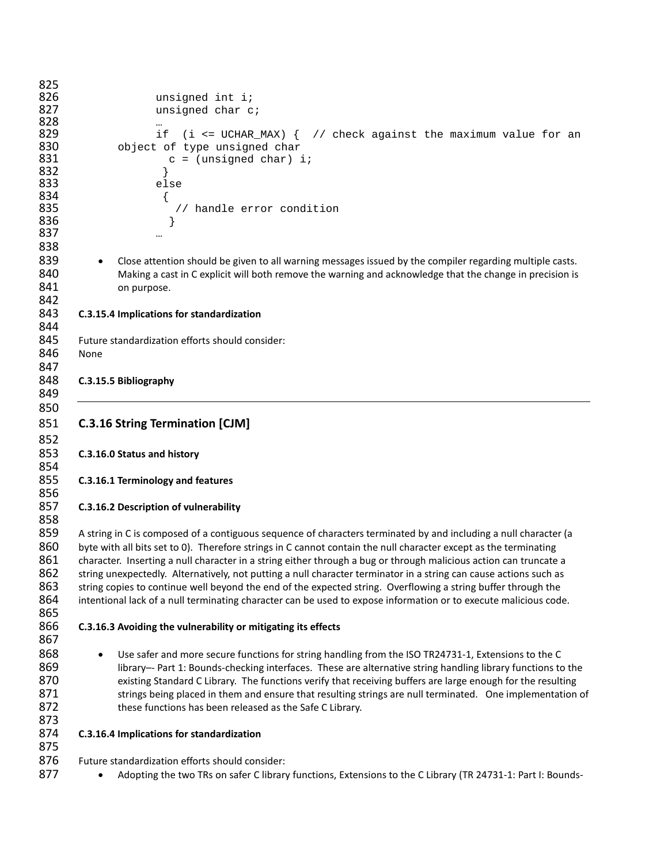| 825 |                                                                                                                       |
|-----|-----------------------------------------------------------------------------------------------------------------------|
| 826 | unsigned int i;                                                                                                       |
| 827 | unsigned char c;                                                                                                      |
| 828 |                                                                                                                       |
| 829 | if<br>$(i \leq UCHAR_MAX)$ $\{$ // check against the maximum value for an                                             |
| 830 | object of type unsigned char                                                                                          |
| 831 | $c = (unsigned char) i$                                                                                               |
| 832 |                                                                                                                       |
|     |                                                                                                                       |
| 833 | else                                                                                                                  |
| 834 | $\{$                                                                                                                  |
| 835 | // handle error condition                                                                                             |
| 836 |                                                                                                                       |
| 837 |                                                                                                                       |
| 838 |                                                                                                                       |
| 839 | Close attention should be given to all warning messages issued by the compiler regarding multiple casts.<br>$\bullet$ |
| 840 | Making a cast in C explicit will both remove the warning and acknowledge that the change in precision is              |
| 841 |                                                                                                                       |
|     | on purpose.                                                                                                           |
| 842 |                                                                                                                       |
| 843 | C.3.15.4 Implications for standardization                                                                             |
| 844 |                                                                                                                       |
| 845 | Future standardization efforts should consider:                                                                       |
| 846 | None                                                                                                                  |
| 847 |                                                                                                                       |
| 848 | C.3.15.5 Bibliography                                                                                                 |
| 849 |                                                                                                                       |
|     |                                                                                                                       |
| 850 |                                                                                                                       |
| 851 | <b>C.3.16 String Termination [CJM]</b>                                                                                |
| 852 |                                                                                                                       |
| 853 | C.3.16.0 Status and history                                                                                           |
| 854 |                                                                                                                       |
| 855 |                                                                                                                       |
|     | C.3.16.1 Terminology and features                                                                                     |
| 856 |                                                                                                                       |
| 857 | C.3.16.2 Description of vulnerability                                                                                 |
| 858 |                                                                                                                       |
| 859 | A string in C is composed of a contiguous sequence of characters terminated by and including a null character (a      |
| 860 | byte with all bits set to 0). Therefore strings in C cannot contain the null character except as the terminating      |
| 861 | character. Inserting a null character in a string either through a bug or through malicious action can truncate a     |
|     |                                                                                                                       |
| 862 | string unexpectedly. Alternatively, not putting a null character terminator in a string can cause actions such as     |
| 863 | string copies to continue well beyond the end of the expected string. Overflowing a string buffer through the         |
| 864 | intentional lack of a null terminating character can be used to expose information or to execute malicious code.      |
| 865 |                                                                                                                       |
| 866 | C.3.16.3 Avoiding the vulnerability or mitigating its effects                                                         |
| 867 |                                                                                                                       |
| 868 |                                                                                                                       |
|     | Use safer and more secure functions for string handling from the ISO TR24731-1, Extensions to the C<br>$\bullet$      |
| 869 | library-- Part 1: Bounds-checking interfaces. These are alternative string handling library functions to the          |
| 870 | existing Standard C Library. The functions verify that receiving buffers are large enough for the resulting           |
| 871 | strings being placed in them and ensure that resulting strings are null terminated. One implementation of             |
| 872 | these functions has been released as the Safe C Library.                                                              |
| 873 |                                                                                                                       |
| 874 | C.3.16.4 Implications for standardization                                                                             |
|     |                                                                                                                       |
| 875 |                                                                                                                       |
| 876 | Future standardization efforts should consider:                                                                       |
| 877 | Adopting the two TRs on safer C library functions, Extensions to the C Library (TR 24731-1: Part I: Bounds-           |
|     |                                                                                                                       |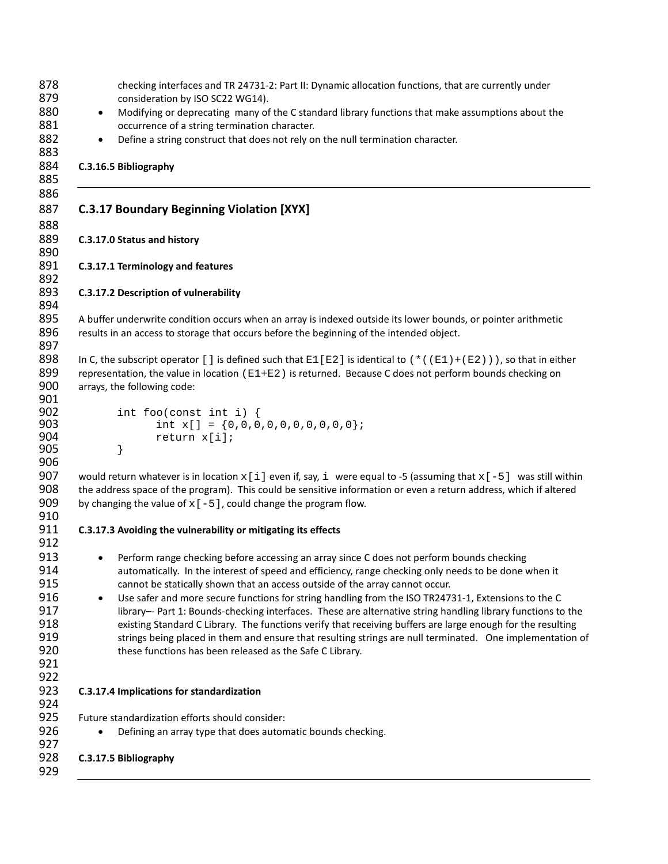```
878 checking interfaces and TR 24731-2: Part II: Dynamic allocation functions, that are currently under
879 consideration by ISO SC22 WG14).
880 • Modifying or deprecating many of the C standard library functions that make assumptions about the
881 occurrence of a string termination character.
882 • Define a string construct that does not rely on the null termination character.
883
884 C.3.16.5 Bibliography
885
886
887 C.3.17 Boundary Beginning Violation [XYX]
888
889 C.3.17.0 Status and history
890
891 C.3.17.1 Terminology and features
892
893 C.3.17.2 Description of vulnerability
894
895 A buffer underwrite condition occurs when an array is indexed outside its lower bounds, or pointer arithmetic 
896 results in an access to storage that occurs before the beginning of the intended object.
897
898 In C, the subscript operator [] is defined such that E1[E2] is identical to (*((E1)+(E2))), so that in either representation, the value in location (E1+E2) is returned. Because C does not perform bounds checking on
899 representation, the value in location (E1+E2) is returned. Because C does not perform bounds checking on <br>900 arravs. the following code:
        arrays, the following code:
901
902 int foo(const int i) {<br>903 int x[] = \{0,0,0\}903 int x[] = {0,0,0,0,0,0,0,0,0,0};<br>904 return x[i];
                 return x[i];<br>}
905 }
906
907 would return whatever is in location x[i] even if, say, i were equal to -5 (assuming that x[-5] was still within 908 the address space of the program). This could be sensitive information or even a return address, w
        the address space of the program). This could be sensitive information or even a return address, which if altered
909 by changing the value of x[-5], could change the program flow.
910
911 C.3.17.3 Avoiding the vulnerability or mitigating its effects
912
913 • Perform range checking before accessing an array since C does not perform bounds checking
914 automatically. In the interest of speed and efficiency, range checking only needs to be done when it 
915 cannot be statically shown that an access outside of the array cannot occur.
916 • Use safer and more secure functions for string handling from the ISO TR24731-1, Extensions to the C
917 library–- Part 1: Bounds-checking interfaces. These are alternative string handling library functions to the
918 existing Standard C Library. The functions verify that receiving buffers are large enough for the resulting 
919 strings being placed in them and ensure that resulting strings are null terminated. One implementation of 
920 these functions has been released as the Safe C Library.
921
922
923 C.3.17.4 Implications for standardization
924
925 Future standardization efforts should consider:
926 • Defining an array type that does automatic bounds checking.
927
928 C.3.17.5 Bibliography
929
```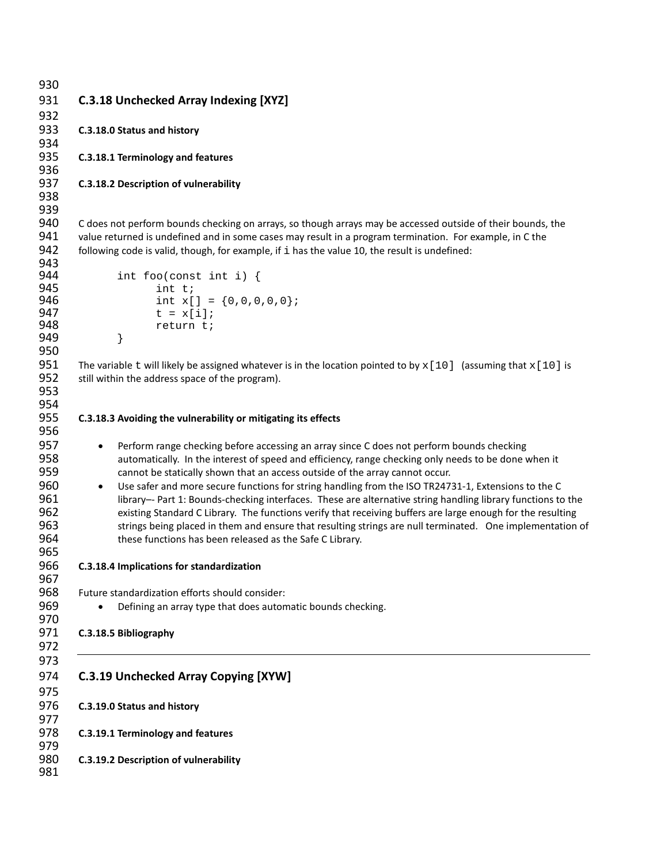```
930
931 C.3.18 Unchecked Array Indexing [XYZ]
932
933 C.3.18.0 Status and history
934
935 C.3.18.1 Terminology and features
936
937 C.3.18.2 Description of vulnerability
938
939
940 C does not perform bounds checking on arrays, so though arrays may be accessed outside of their bounds, the 
941 value returned is undefined and in some cases may result in a program termination. For example, in C the 
942 following code is valid, though, for example, if i has the value 10, the result is undefined:
943<br>944
944 int foo(const int i) {<br>945 int t;
945 int t;<br>946 int x[
946 int x[] = {0,0,0,0,0};<br>947 t = x[i];947 t = x[i];<br>948 t = x[i];return t;<br>}
949 }
950
951 The variable t will likely be assigned whatever is in the location pointed to by x[10] (assuming that x[10] is 952 still within the address space of the program).
        still within the address space of the program).
953
954
955 C.3.18.3 Avoiding the vulnerability or mitigating its effects
956
957 • Perform range checking before accessing an array since C does not perform bounds checking 
958 automatically. In the interest of speed and efficiency, range checking only needs to be done when it 
959 cannot be statically shown that an access outside of the array cannot occur.
960 • Use safer and more secure functions for string handling from the ISO TR24731-1, Extensions to the C
961 library–- Part 1: Bounds-checking interfaces. These are alternative string handling library functions to the
962 existing Standard C Library. The functions verify that receiving buffers are large enough for the resulting 
963 strings being placed in them and ensure that resulting strings are null terminated. One implementation of 
964 these functions has been released as the Safe C Library.
965
966 C.3.18.4 Implications for standardization
967
968 Future standardization efforts should consider:
969 • Defining an array type that does automatic bounds checking.
970
971 C.3.18.5 Bibliography
972
973
974 C.3.19 Unchecked Array Copying [XYW]
975
976 C.3.19.0 Status and history
977
978 C.3.19.1 Terminology and features
979
980 C.3.19.2 Description of vulnerability
981
```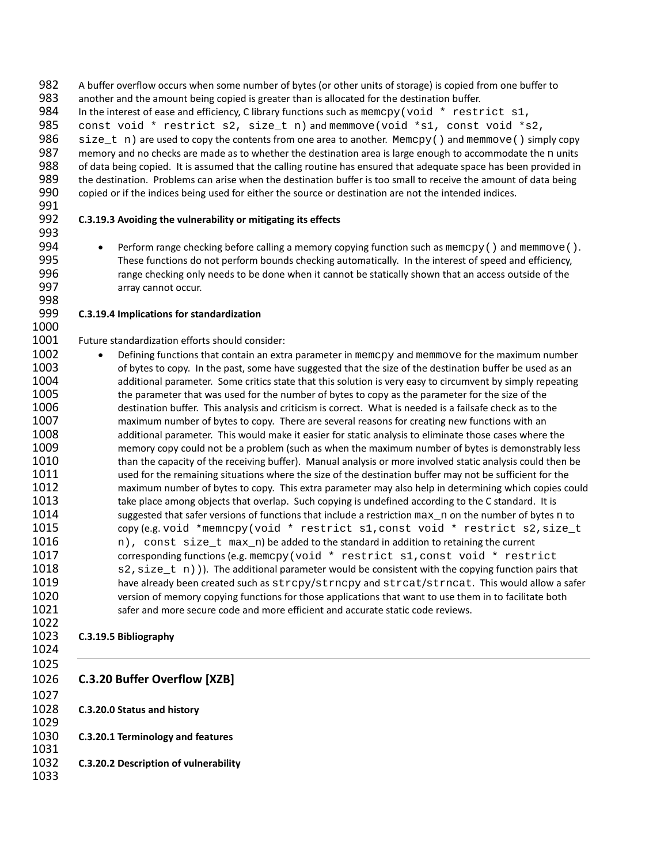A buffer overflow occurs when some number of bytes (or other units of storage) is copied from one buffer to another and the amount being copied is greater than is allocated for the destination buffer.

984 In the interest of ease and efficiency, C library functions such as memcpy(void \* restrict s1, 985 const void \* restrict s2, size t n) and memmove(void \* s1, const void \* s

985 const void \* restrict s2, size\_t n) and memmove(void \*s1, const void \*s2, 986 size t n) are used to copy the contents from one area to another. Memopy() and memmove() simp

986 size\_t n) are used to copy the contents from one area to another. Memcpy() and memmove() simply copy<br>987 memory and no checks are made as to whether the destination area is large enough to accommodate the n units 987 memory and no checks are made as to whether the destination area is large enough to accommodate the n units<br>988 of data being copied. It is assumed that the calling routine has ensured that adequate space has been prov of data being copied. It is assumed that the calling routine has ensured that adequate space has been provided in 989 the destination. Problems can arise when the destination buffer is too small to receive the amount of data being copied or if the indices being used for either the source or destination are not the intended indices. 

## **C.3.19.3 Avoiding the vulnerability or mitigating its effects**

994 • Perform range checking before calling a memory copying function such as memcpy () and memmove ().<br>995 These functions do not perform bounds checking automatically. In the interest of speed and efficiency. These functions do not perform bounds checking automatically. In the interest of speed and efficiency, range checking only needs to be done when it cannot be statically shown that an access outside of the array cannot occur.

## **C.3.19.4 Implications for standardization**

Future standardization efforts should consider:

 • Defining functions that contain an extra parameter in memcpy and memmove for the maximum number 1003 of bytes to copy. In the past, some have suggested that the size of the destination buffer be used as an of bytes to copy. In the past, some have suggested that the size of the destination buffer be used as an 1004 additional parameter. Some critics state that this solution is very easy to circumvent by simply repeating the parameter that was used for the number of bytes to copy as the parameter for the size of the destination buffer. This analysis and criticism is correct. What is needed is a failsafe check as to the maximum number of bytes to copy. There are several reasons for creating new functions with an additional parameter. This would make it easier for static analysis to eliminate those cases where the memory copy could not be a problem (such as when the maximum number of bytes is demonstrably less than the capacity of the receiving buffer). Manual analysis or more involved static analysis could then be used for the remaining situations where the size of the destination buffer may not be sufficient for the maximum number of bytes to copy. This extra parameter may also help in determining which copies could 1013 take place among objects that overlap. Such copying is undefined according to the C standard. It is 1014 suggested that safer versions of functions that include a restriction max\_n on the number of bytes n to<br>1015 copy (e.g. void \*memncpy(void \* restrict s1, const void \* restrict s2, size t 1015 copy (e.g. void \*memncpy(void \* restrict s1, const void \* restrict s2, size\_t and  $\mu$  const size t max n) be added to the standard in addition to retaining the current 1016  $n)$ , const size\_t max\_n) be added to the standard in addition to retaining the current 1017 corresponding functions (e.g. memcpy (yoid \* restrict s1, const yoid \* restr 1017 corresponding functions (e.g. memcpy(void  $*$  restrict s1, const void  $*$  restrict 1018 s2, size t n)). The additional parameter would be consistent with the copying function pairs 1018  $\text{s2,size\_t n)}$ ). The additional parameter would be consistent with the copying function pairs that <br>1019 have already been created such as stropy/strnopy and stroat/strnoat. This would allow a safe 1019 have already been created such as  $\text{stropy}/\text{strney}$  and  $\text{stractly}}$  and  $\text{stronly}$ . This would allow a safer 1020 version of memory copying functions for those applications that want to use them in to facilitate both safer and more secure code and more efficient and accurate static code reviews.

# **C.3.19.5 Bibliography**

 

# **C.3.20 Buffer Overflow [XZB]**

**C.3.20.0 Status and history**

**C.3.20.1 Terminology and features**

- **C.3.20.2 Description of vulnerability**
-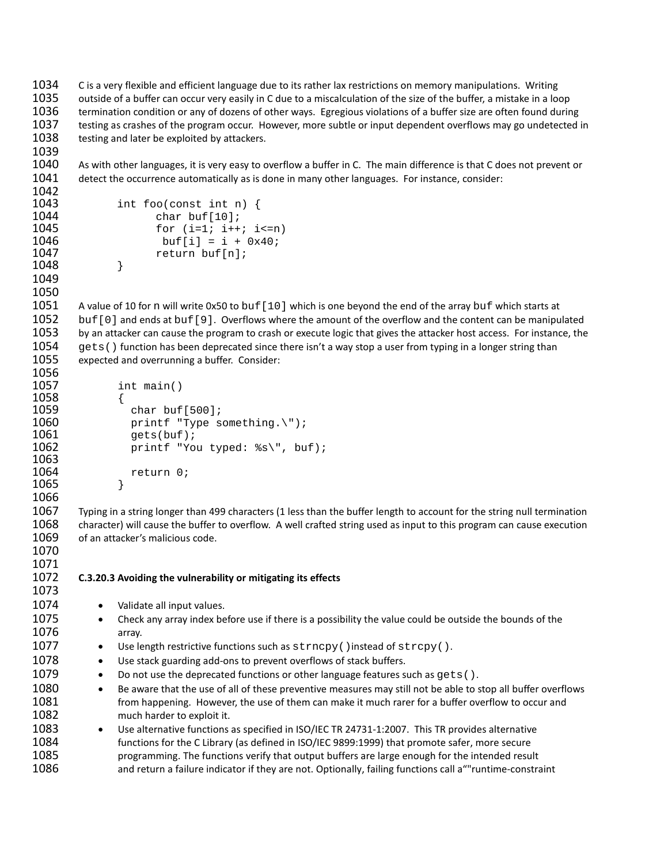```
1034 C is a very flexible and efficient language due to its rather lax restrictions on memory manipulations. Writing 
1035 outside of a buffer can occur very easily in C due to a miscalculation of the size of the buffer, a mistake in a loop 
1036 termination condition or any of dozens of other ways. Egregious violations of a buffer size are often found during 
1037 testing as crashes of the program occur. However, more subtle or input dependent overflows may go undetected in 
1038 testing and later be exploited by attackers.
1039
1040 As with other languages, it is very easy to overflow a buffer in C. The main difference is that C does not prevent or 
1041 detect the occurrence automatically as is done in many other languages. For instance, consider:
1042
1043 int foo(const int n) {<br>1044 char buf[10];
1044 char buf[10];<br>1045 for (i=1; i++
1045 for (i=1; i++; i<=n)<br>1046 buf[i] = i + 0x40;
1046 buf[i] = i + 0x40;<br>1047 buf[n];
                    return buf[n];<br>}
1048 }
1049
1050
1051 A value of 10 for n will write 0x50 to buf [10] which is one beyond the end of the array buf which starts at 1052 buf [0] and ends at buf [9]. Overflows where the amount of the overflow and the content can be manip
1052 buf [0] and ends at buf [9]. Overflows where the amount of the overflow and the content can be manipulated<br>1053 by an attacker can cause the program to crash or execute logic that gives the attacker host access. For i
           by an attacker can cause the program to crash or execute logic that gives the attacker host access. For instance, the
1054 gets() function has been deprecated since there isn't a way stop a user from typing in a longer string than<br>1055 expected and overrunning a buffer. Consider:
           expected and overrunning a buffer. Consider:
1056
1057 int main()<br>1058 {
1058<br>1059
1059 char buf[500];<br>1060 crintf "Type s
1060 \frac{1060}{1061} printf "Type something.\");
1061 gets(buf);<br>1062 printf "Yo
                       printf "You typed: s\s\', buf);
1063
1064 return 0;<br>1065 }
1065 }
1066
1067 Typing in a string longer than 499 characters (1 less than the buffer length to account for the string null termination 
1068 character) will cause the buffer to overflow. A well crafted string used as input to this program can cause execution 
1069 of an attacker's malicious code.
1070
1071
1072 C.3.20.3 Avoiding the vulnerability or mitigating its effects
1073
1074 • Validate all input values.
1075 • Check any array index before use if there is a possibility the value could be outside the bounds of the 
1076 array. 
1077 • Use length restrictive functions such as \text{strropy}(\cdot) instead of \text{strcopy}(\cdot).<br>1078 • Use stack guarding add-ons to prevent overflows of stack buffers.
               • Use stack guarding add-ons to prevent overflows of stack buffers.
1079 • Do not use the deprecated functions or other language features such as gets().<br>1080 • Be aware that the use of all of these preventive measures may still not be able to s
                    Be aware that the use of all of these preventive measures may still not be able to stop all buffer overflows
1081 from happening. However, the use of them can make it much rarer for a buffer overflow to occur and 
1082 much harder to exploit it.
1083 • Use alternative functions as specified in ISO/IEC TR 24731-1:2007. This TR provides alternative
1084 functions for the C Library (as defined in ISO/IEC 9899:1999) that promote safer, more secure 
1085 programming. The functions verify that output buffers are large enough for the intended result 
1086 and return a failure indicator if they are not. Optionally, failing functions call a""runtime-constraint
```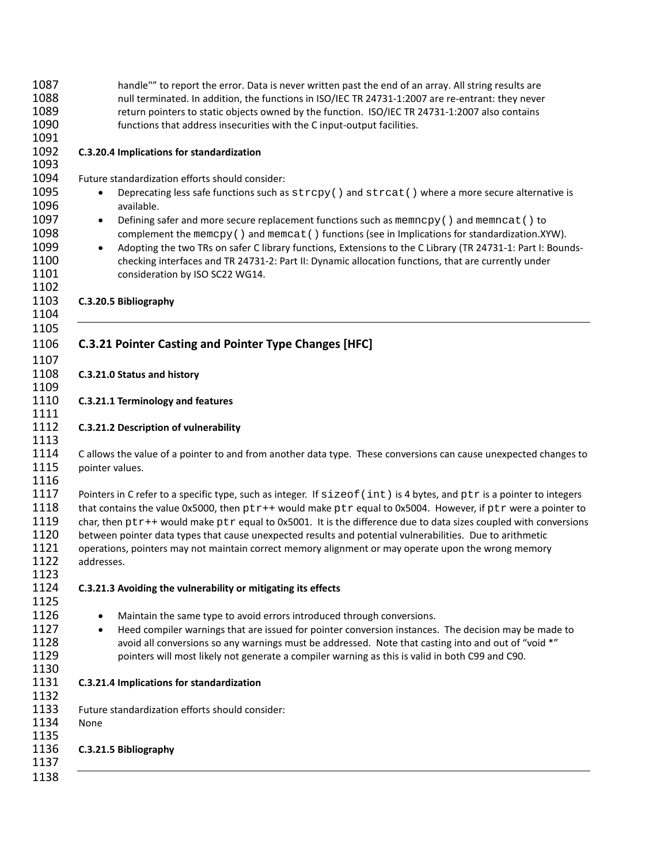| 1087<br>1088<br>1089<br>1090<br>1091                 | handle"" to report the error. Data is never written past the end of an array. All string results are<br>null terminated. In addition, the functions in ISO/IEC TR 24731-1:2007 are re-entrant: they never<br>return pointers to static objects owned by the function. ISO/IEC TR 24731-1:2007 also contains<br>functions that address insecurities with the C input-output facilities.                                                                                                                                                                                                          |
|------------------------------------------------------|-------------------------------------------------------------------------------------------------------------------------------------------------------------------------------------------------------------------------------------------------------------------------------------------------------------------------------------------------------------------------------------------------------------------------------------------------------------------------------------------------------------------------------------------------------------------------------------------------|
| 1092<br>1093                                         | C.3.20.4 Implications for standardization                                                                                                                                                                                                                                                                                                                                                                                                                                                                                                                                                       |
| 1094                                                 | Future standardization efforts should consider:                                                                                                                                                                                                                                                                                                                                                                                                                                                                                                                                                 |
| 1095<br>1096                                         | Deprecating less safe functions such as strcpy() and streat() where a more secure alternative is<br>٠<br>available.                                                                                                                                                                                                                                                                                                                                                                                                                                                                             |
| 1097<br>1098<br>1099<br>1100<br>1101<br>1102         | Defining safer and more secure replacement functions such as $\text{memory}( )$ and $\text{memory}( )$ to<br>$\bullet$<br>complement the memcpy () and memcat () functions (see in Implications for standardization.XYW).<br>Adopting the two TRs on safer C library functions, Extensions to the C Library (TR 24731-1: Part I: Bounds-<br>$\bullet$<br>checking interfaces and TR 24731-2: Part II: Dynamic allocation functions, that are currently under<br>consideration by ISO SC22 WG14.                                                                                                 |
| 1103<br>1104                                         | C.3.20.5 Bibliography                                                                                                                                                                                                                                                                                                                                                                                                                                                                                                                                                                           |
| 1105<br>1106<br>1107                                 | <b>C.3.21 Pointer Casting and Pointer Type Changes [HFC]</b>                                                                                                                                                                                                                                                                                                                                                                                                                                                                                                                                    |
| 1108<br>1109                                         | C.3.21.0 Status and history                                                                                                                                                                                                                                                                                                                                                                                                                                                                                                                                                                     |
| 1110<br>1111                                         | C.3.21.1 Terminology and features                                                                                                                                                                                                                                                                                                                                                                                                                                                                                                                                                               |
| 1112<br>1113                                         | C.3.21.2 Description of vulnerability                                                                                                                                                                                                                                                                                                                                                                                                                                                                                                                                                           |
| 1114<br>1115<br>1116                                 | C allows the value of a pointer to and from another data type. These conversions can cause unexpected changes to<br>pointer values.                                                                                                                                                                                                                                                                                                                                                                                                                                                             |
| 1117<br>1118<br>1119<br>1120<br>1121<br>1122<br>1123 | Pointers in C refer to a specific type, such as integer. If sizeof (int) is 4 bytes, and ptr is a pointer to integers<br>that contains the value 0x5000, then ptr++ would make ptr equal to 0x5004. However, if ptr were a pointer to<br>char, then $ptr++$ would make $ptr$ equal to 0x5001. It is the difference due to data sizes coupled with conversions<br>between pointer data types that cause unexpected results and potential vulnerabilities. Due to arithmetic<br>operations, pointers may not maintain correct memory alignment or may operate upon the wrong memory<br>addresses. |
| 1124<br>1125                                         | C.3.21.3 Avoiding the vulnerability or mitigating its effects                                                                                                                                                                                                                                                                                                                                                                                                                                                                                                                                   |
| 1126<br>1127<br>1128<br>1129<br>1130                 | Maintain the same type to avoid errors introduced through conversions.<br>$\bullet$<br>Heed compiler warnings that are issued for pointer conversion instances. The decision may be made to<br>$\bullet$<br>avoid all conversions so any warnings must be addressed. Note that casting into and out of "void *"<br>pointers will most likely not generate a compiler warning as this is valid in both C99 and C90.                                                                                                                                                                              |
| 1131<br>1132                                         | C.3.21.4 Implications for standardization                                                                                                                                                                                                                                                                                                                                                                                                                                                                                                                                                       |
| 1133<br>1134<br>1135                                 | Future standardization efforts should consider:<br>None                                                                                                                                                                                                                                                                                                                                                                                                                                                                                                                                         |
| 1136<br>1137<br>1138                                 | C.3.21.5 Bibliography                                                                                                                                                                                                                                                                                                                                                                                                                                                                                                                                                                           |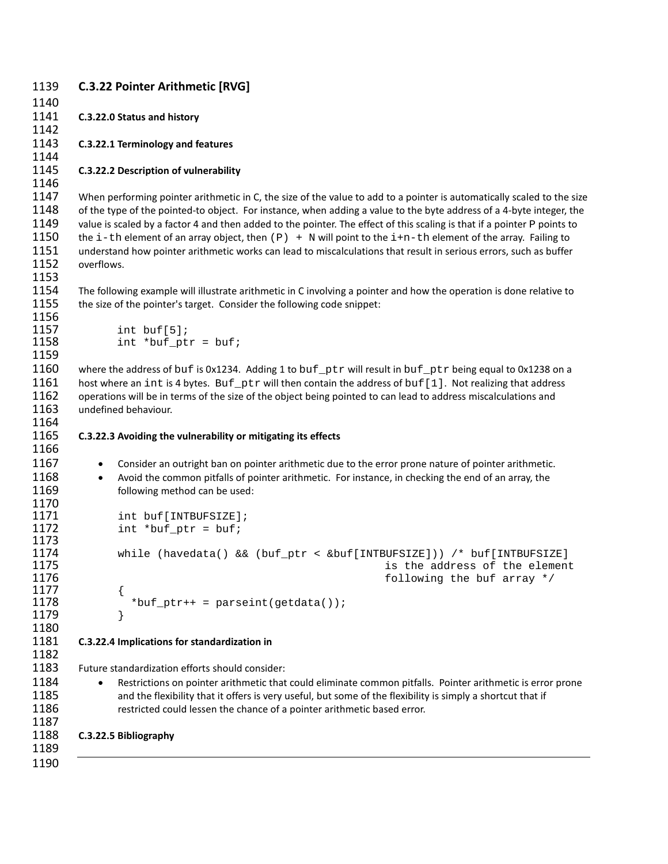| 1139<br>1140                                         | <b>C.3.22 Pointer Arithmetic [RVG]</b>                                                                                                                                                                                                                                                                                                                                                                                                                                                                                                                                                                                         |
|------------------------------------------------------|--------------------------------------------------------------------------------------------------------------------------------------------------------------------------------------------------------------------------------------------------------------------------------------------------------------------------------------------------------------------------------------------------------------------------------------------------------------------------------------------------------------------------------------------------------------------------------------------------------------------------------|
| 1141<br>1142                                         | C.3.22.0 Status and history                                                                                                                                                                                                                                                                                                                                                                                                                                                                                                                                                                                                    |
| 1143<br>1144                                         | C.3.22.1 Terminology and features                                                                                                                                                                                                                                                                                                                                                                                                                                                                                                                                                                                              |
| 1145<br>1146                                         | C.3.22.2 Description of vulnerability                                                                                                                                                                                                                                                                                                                                                                                                                                                                                                                                                                                          |
| 1147<br>1148<br>1149<br>1150<br>1151<br>1152<br>1153 | When performing pointer arithmetic in C, the size of the value to add to a pointer is automatically scaled to the size<br>of the type of the pointed-to object. For instance, when adding a value to the byte address of a 4-byte integer, the<br>value is scaled by a factor 4 and then added to the pointer. The effect of this scaling is that if a pointer P points to<br>the i-th element of an array object, then $(P)$ + N will point to the i+n-th element of the array. Failing to<br>understand how pointer arithmetic works can lead to miscalculations that result in serious errors, such as buffer<br>overflows. |
| 1154<br>1155<br>1156                                 | The following example will illustrate arithmetic in C involving a pointer and how the operation is done relative to<br>the size of the pointer's target. Consider the following code snippet:                                                                                                                                                                                                                                                                                                                                                                                                                                  |
| 1157<br>1158<br>1159                                 | $int$ buf[5];<br>$int *buf\_ptr = buf;$                                                                                                                                                                                                                                                                                                                                                                                                                                                                                                                                                                                        |
| 1160<br>1161<br>1162<br>1163<br>1164                 | where the address of buf is 0x1234. Adding 1 to buf_ptr will result in buf_ptr being equal to 0x1238 on a<br>host where an int is 4 bytes. Buf_ptr will then contain the address of buf [1]. Not realizing that address<br>operations will be in terms of the size of the object being pointed to can lead to address miscalculations and<br>undefined behaviour.                                                                                                                                                                                                                                                              |
| 1165<br>1166                                         | C.3.22.3 Avoiding the vulnerability or mitigating its effects                                                                                                                                                                                                                                                                                                                                                                                                                                                                                                                                                                  |
| 1167<br>1168<br>1169                                 | Consider an outright ban on pointer arithmetic due to the error prone nature of pointer arithmetic.<br>$\bullet$<br>Avoid the common pitfalls of pointer arithmetic. For instance, in checking the end of an array, the<br>$\bullet$<br>following method can be used:                                                                                                                                                                                                                                                                                                                                                          |
| 1170<br>1171<br>1172<br>1173                         | int buf [INTBUFSIZE];<br>$int *buf\_ptr = buf;$                                                                                                                                                                                                                                                                                                                                                                                                                                                                                                                                                                                |
| 1174<br>1175<br>1176                                 | while (havedata() && (buf_ptr < &buf[INTBUFSIZE])) /* buf[INTBUFSIZE]<br>is the address of the element<br>following the buf array */                                                                                                                                                                                                                                                                                                                                                                                                                                                                                           |
| 1177<br>1178<br>1179<br>1180                         | *buf_ptr++ = parseint(getdata());                                                                                                                                                                                                                                                                                                                                                                                                                                                                                                                                                                                              |
| 1181<br>1182                                         | C.3.22.4 Implications for standardization in                                                                                                                                                                                                                                                                                                                                                                                                                                                                                                                                                                                   |
| 1183<br>1184<br>1185<br>1186<br>1187                 | Future standardization efforts should consider:<br>Restrictions on pointer arithmetic that could eliminate common pitfalls. Pointer arithmetic is error prone<br>and the flexibility that it offers is very useful, but some of the flexibility is simply a shortcut that if<br>restricted could lessen the chance of a pointer arithmetic based error.                                                                                                                                                                                                                                                                        |
| 1188<br>1189                                         | C.3.22.5 Bibliography                                                                                                                                                                                                                                                                                                                                                                                                                                                                                                                                                                                                          |
| 1190                                                 |                                                                                                                                                                                                                                                                                                                                                                                                                                                                                                                                                                                                                                |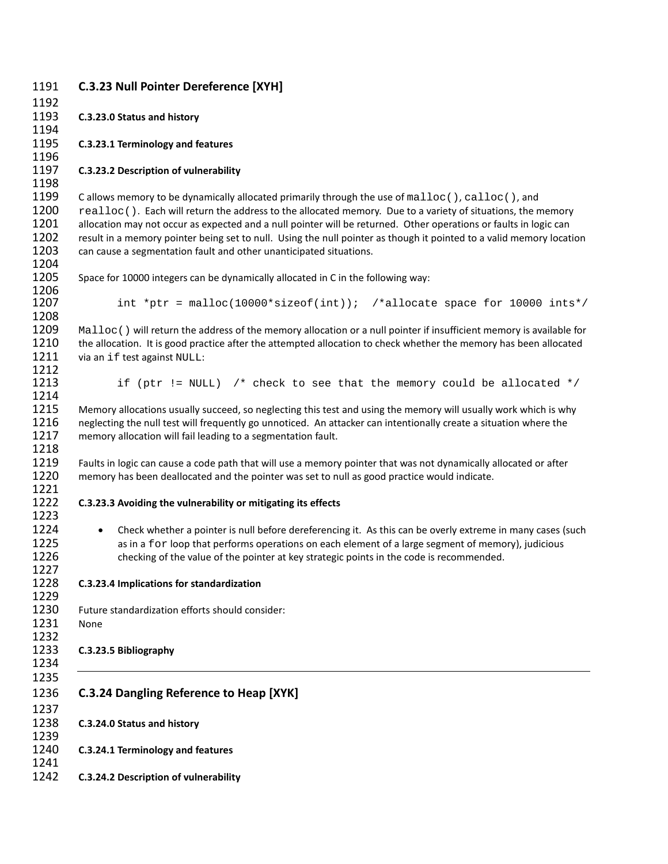| 1191 | <b>C.3.23 Null Pointer Dereference [XYH]</b>                                                                            |
|------|-------------------------------------------------------------------------------------------------------------------------|
| 1192 |                                                                                                                         |
| 1193 | C.3.23.0 Status and history                                                                                             |
| 1194 |                                                                                                                         |
| 1195 | C.3.23.1 Terminology and features                                                                                       |
| 1196 |                                                                                                                         |
| 1197 | C.3.23.2 Description of vulnerability                                                                                   |
| 1198 |                                                                                                                         |
| 1199 | Callows memory to be dynamically allocated primarily through the use of malloc (), calloc (), and                       |
| 1200 | realloc (). Each will return the address to the allocated memory. Due to a variety of situations, the memory            |
| 1201 |                                                                                                                         |
|      | allocation may not occur as expected and a null pointer will be returned. Other operations or faults in logic can       |
| 1202 | result in a memory pointer being set to null. Using the null pointer as though it pointed to a valid memory location    |
| 1203 | can cause a segmentation fault and other unanticipated situations.                                                      |
| 1204 |                                                                                                                         |
| 1205 | Space for 10000 integers can be dynamically allocated in C in the following way:                                        |
| 1206 |                                                                                                                         |
| 1207 | int *ptr = malloc(10000*sizeof(int)); /*allocate space for 10000 ints*/                                                 |
| 1208 |                                                                                                                         |
| 1209 | Malloc () will return the address of the memory allocation or a null pointer if insufficient memory is available for    |
| 1210 | the allocation. It is good practice after the attempted allocation to check whether the memory has been allocated       |
| 1211 | via an if test against NULL:                                                                                            |
| 1212 |                                                                                                                         |
| 1213 | if (ptr != NULL) /* check to see that the memory could be allocated */                                                  |
| 1214 |                                                                                                                         |
| 1215 | Memory allocations usually succeed, so neglecting this test and using the memory will usually work which is why         |
| 1216 | neglecting the null test will frequently go unnoticed. An attacker can intentionally create a situation where the       |
| 1217 | memory allocation will fail leading to a segmentation fault.                                                            |
| 1218 |                                                                                                                         |
| 1219 | Faults in logic can cause a code path that will use a memory pointer that was not dynamically allocated or after        |
| 1220 | memory has been deallocated and the pointer was set to null as good practice would indicate.                            |
| 1221 |                                                                                                                         |
| 1222 | C.3.23.3 Avoiding the vulnerability or mitigating its effects                                                           |
| 1223 |                                                                                                                         |
| 1224 | Check whether a pointer is null before dereferencing it. As this can be overly extreme in many cases (such<br>$\bullet$ |
| 1225 | as in a for loop that performs operations on each element of a large segment of memory), judicious                      |
| 1226 | checking of the value of the pointer at key strategic points in the code is recommended.                                |
| 1227 |                                                                                                                         |
| 1228 | C.3.23.4 Implications for standardization                                                                               |
| 1229 |                                                                                                                         |
| 1230 | Future standardization efforts should consider:                                                                         |
| 1231 | None                                                                                                                    |
| 1232 |                                                                                                                         |
| 1233 | C.3.23.5 Bibliography                                                                                                   |
| 1234 |                                                                                                                         |
| 1235 |                                                                                                                         |
|      |                                                                                                                         |
| 1236 | <b>C.3.24 Dangling Reference to Heap [XYK]</b>                                                                          |
| 1237 |                                                                                                                         |
| 1238 | C.3.24.0 Status and history                                                                                             |
| 1239 |                                                                                                                         |
| 1240 | C.3.24.1 Terminology and features                                                                                       |
| 1241 |                                                                                                                         |
| 1242 | C.3.24.2 Description of vulnerability                                                                                   |
|      |                                                                                                                         |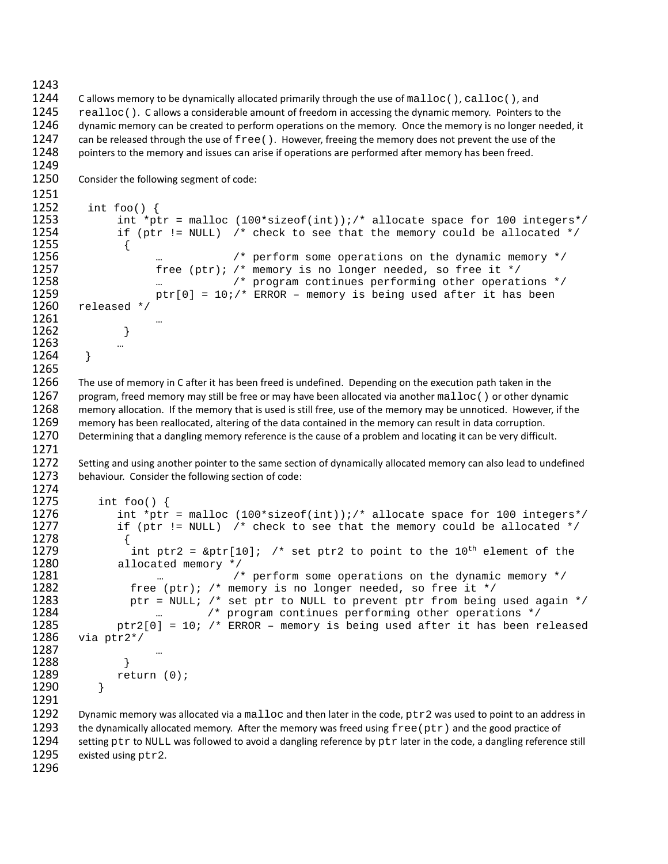1243

1249

1274

1244 C allows memory to be dynamically allocated primarily through the use of malloc(), calloc(), and<br>1245 ealloc(). C allows a considerable amount of freedom in accessing the dynamic memory. Pointers to 1245 realloc(). C allows a considerable amount of freedom in accessing the dynamic memory. Pointers to the 1246 dynamic memory can be created to perform operations on the memory is no longer need dynamic memory can be created to perform operations on the memory. Once the memory is no longer needed, it 1247 can be released through the use of free(). However, freeing the memory does not prevent the use of the 1248 opinters to the memory and issues can arise if operations are performed after memory has been freed. pointers to the memory and issues can arise if operations are performed after memory has been freed.

1250 Consider the following segment of code:

```
1251<br>1252
1252 int foo() {<br>1253 int *pt
1253 int *ptr = malloc (100*sizeof(int));/* allocate space for 100 integers*/<br>1254 if (ptr != NULL) /* check to see that the memory could be allocated */
                if (ptr != NULL) /* check to see that the memory could be allocated */
1255 {
1256 … /* perform some operations on the dynamic memory */
1257 free (ptr); /* memory is no longer needed, so free it */<br>1258 metal manager and the red of the continues performing other operat.
1258 … /* program continues performing other operations */
1259 ptr[0] = 10i/* ERROR – memory is being used after it has been 1260 released */
        released */
1261<br>1262 }
1262 }
1263 …<br>1264 } …
1264 }
1265
1266 The use of memory in C after it has been freed is undefined. Depending on the execution path taken in the
```
1267 program, freed memory may still be free or may have been allocated via another malloc () or other dynamic<br>1268 memory allocation. If the memory that is used is still free, use of the memory may be unnoticed. However, memory allocation. If the memory that is used is still free, use of the memory may be unnoticed. However, if the 1269 memory has been reallocated, altering of the data contained in the memory can result in data corruption. 1270 Determining that a dangling memory reference is the cause of a problem and locating it can be very difficult. 1271

1272 Setting and using another pointer to the same section of dynamically allocated memory can also lead to undefined 1273 behaviour. Consider the following section of code:

```
1275 int foo() {<br>1276 int *ptr
1276 int *ptr = malloc (100*sizeof(int));/* allocate space for 100 integers*/<br>1277 if (ptr != NULL) /* check to see that the memory could be allocated */
                     if (ptr != NULL) /* check to see that the memory could be allocated */
1278<br>1279
1279 int ptr2 = \&ptr[10]; /* set ptr2 to point to the 10<sup>th</sup> element of the 1280
1280 allocated memory \frac{\ast}{2} /
1281 ... /* perform some operations on the dynamic memory */<br>1282 free (ptr); /* memory is no longer needed, so free it */
1282 free (ptr); /* memory is no longer needed, so free it */<br>1283 free Financis (* set ptr to NULL to prevent ptr from being
1283 ptr = NULL; /* set ptr to NULL to prevent ptr from being used again */<br>1284 million and the program continues performing other operations */
1284 … /* program continues performing other operations */
1285 ptr2[0] = 10; /* ERROR – memory is being used after it has been released 1286 via ptr2*/
           via ptr2*/
1287 …
1288<br>1289
                return (0);<br>}
1290 }
1291
1292 Dynamic memory was allocated via a malloc and then later in the code, ptr2 was used to point to an address in <br>1293 the dynamically allocated memory. After the memory was freed using free (ptr) and the good practice of
1293 the dynamically allocated memory. After the memory was freed using \text{free}(\text{ptr}) and the good practice of 1294 setting ptr to NULL was followed to avoid a dangling reference by ptr later in the code, a dangling refere
1294 setting ptr to NULL was followed to avoid a dangling reference by ptr later in the code, a dangling reference still 1295 existed using ptr 2.
```
existed using  $ptr2$ . 1296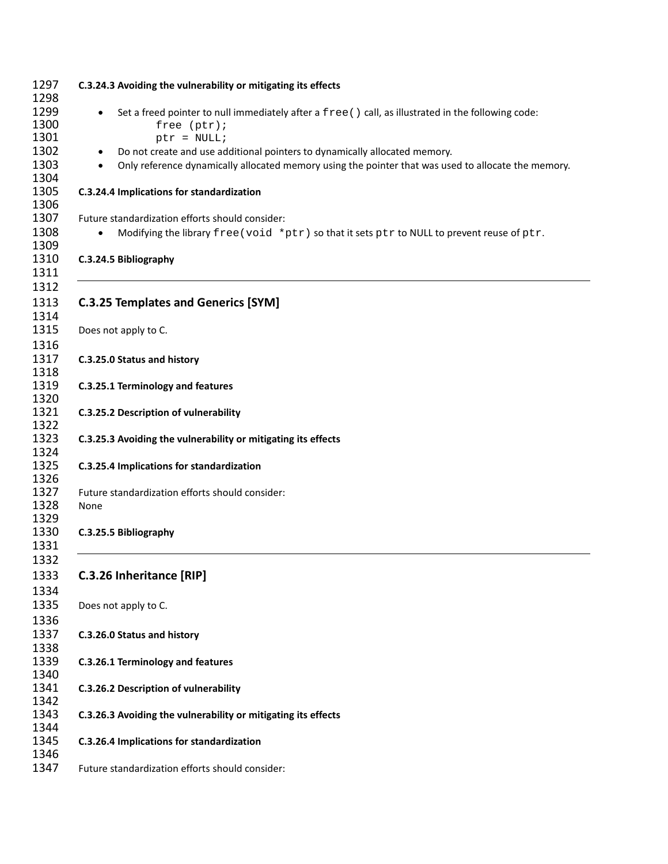|                        | C.3.24.3 Avoiding the vulnerability or mitigating its effects                                                                                                                     |
|------------------------|-----------------------------------------------------------------------------------------------------------------------------------------------------------------------------------|
|                        | Set a freed pointer to null immediately after a free () call, as illustrated in the following code:<br>free (ptr);<br>$ptr = NULL;$                                               |
| $\bullet$<br>$\bullet$ | Do not create and use additional pointers to dynamically allocated memory.<br>Only reference dynamically allocated memory using the pointer that was used to allocate the memory. |
|                        | C.3.24.4 Implications for standardization                                                                                                                                         |
|                        | Future standardization efforts should consider:                                                                                                                                   |
| $\bullet$              | Modifying the library free (void *ptr) so that it sets ptr to NULL to prevent reuse of ptr.                                                                                       |
|                        | C.3.24.5 Bibliography                                                                                                                                                             |
|                        | <b>C.3.25 Templates and Generics [SYM]</b>                                                                                                                                        |
|                        | Does not apply to C.                                                                                                                                                              |
|                        | C.3.25.0 Status and history                                                                                                                                                       |
|                        | C.3.25.1 Terminology and features                                                                                                                                                 |
|                        | C.3.25.2 Description of vulnerability                                                                                                                                             |
|                        | C.3.25.3 Avoiding the vulnerability or mitigating its effects                                                                                                                     |
|                        | C.3.25.4 Implications for standardization                                                                                                                                         |
| None                   | Future standardization efforts should consider:                                                                                                                                   |
|                        | C.3.25.5 Bibliography                                                                                                                                                             |
|                        |                                                                                                                                                                                   |
|                        | C.3.26 Inheritance [RIP]                                                                                                                                                          |
|                        | Does not apply to C.                                                                                                                                                              |
|                        | C.3.26.0 Status and history                                                                                                                                                       |
|                        | C.3.26.1 Terminology and features                                                                                                                                                 |
|                        | C.3.26.2 Description of vulnerability                                                                                                                                             |
|                        | C.3.26.3 Avoiding the vulnerability or mitigating its effects                                                                                                                     |
|                        | C.3.26.4 Implications for standardization                                                                                                                                         |
|                        | Future standardization efforts should consider:                                                                                                                                   |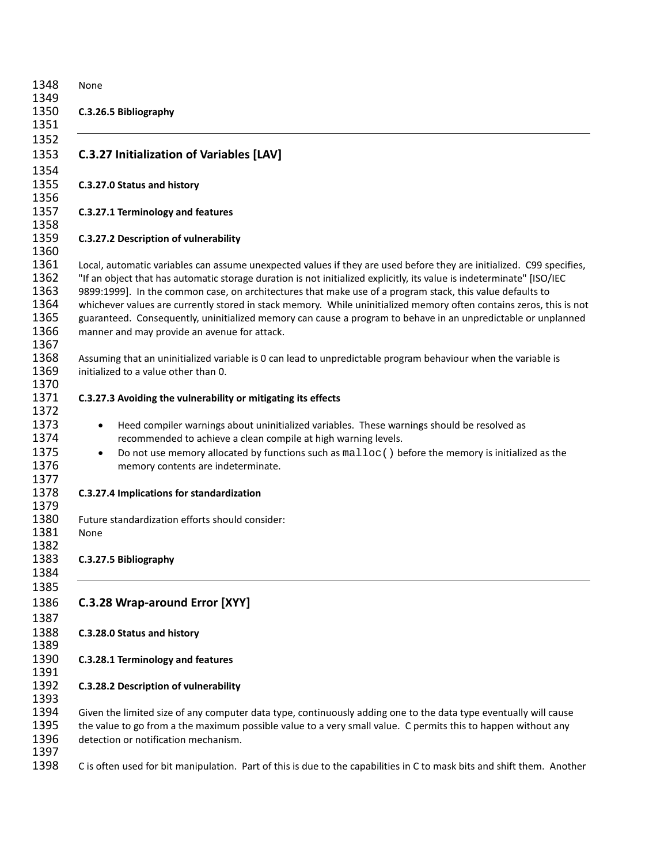| 1348<br>1349                                         | None                                                                                                                                                                                                                                                                                                                                                                                                                                                                                                                                                                                                                                               |
|------------------------------------------------------|----------------------------------------------------------------------------------------------------------------------------------------------------------------------------------------------------------------------------------------------------------------------------------------------------------------------------------------------------------------------------------------------------------------------------------------------------------------------------------------------------------------------------------------------------------------------------------------------------------------------------------------------------|
| 1350<br>1351                                         | C.3.26.5 Bibliography                                                                                                                                                                                                                                                                                                                                                                                                                                                                                                                                                                                                                              |
| 1352<br>1353<br>1354                                 | <b>C.3.27 Initialization of Variables [LAV]</b>                                                                                                                                                                                                                                                                                                                                                                                                                                                                                                                                                                                                    |
| 1355<br>1356                                         | C.3.27.0 Status and history                                                                                                                                                                                                                                                                                                                                                                                                                                                                                                                                                                                                                        |
| 1357<br>1358                                         | C.3.27.1 Terminology and features                                                                                                                                                                                                                                                                                                                                                                                                                                                                                                                                                                                                                  |
| 1359<br>1360                                         | C.3.27.2 Description of vulnerability                                                                                                                                                                                                                                                                                                                                                                                                                                                                                                                                                                                                              |
| 1361<br>1362<br>1363<br>1364<br>1365<br>1366<br>1367 | Local, automatic variables can assume unexpected values if they are used before they are initialized. C99 specifies,<br>"If an object that has automatic storage duration is not initialized explicitly, its value is indeterminate" [ISO/IEC<br>9899:1999]. In the common case, on architectures that make use of a program stack, this value defaults to<br>whichever values are currently stored in stack memory. While uninitialized memory often contains zeros, this is not<br>guaranteed. Consequently, uninitialized memory can cause a program to behave in an unpredictable or unplanned<br>manner and may provide an avenue for attack. |
| 1368<br>1369<br>1370                                 | Assuming that an uninitialized variable is 0 can lead to unpredictable program behaviour when the variable is<br>initialized to a value other than 0.                                                                                                                                                                                                                                                                                                                                                                                                                                                                                              |
| 1371<br>1372                                         | C.3.27.3 Avoiding the vulnerability or mitigating its effects                                                                                                                                                                                                                                                                                                                                                                                                                                                                                                                                                                                      |
| 1373<br>1374<br>1375<br>1376<br>1377                 | Heed compiler warnings about uninitialized variables. These warnings should be resolved as<br>recommended to achieve a clean compile at high warning levels.<br>Do not use memory allocated by functions such as $\text{malloc}( )$ before the memory is initialized as the<br>memory contents are indeterminate.                                                                                                                                                                                                                                                                                                                                  |
| 1378<br>1379                                         | C.3.27.4 Implications for standardization                                                                                                                                                                                                                                                                                                                                                                                                                                                                                                                                                                                                          |
| 1380<br>1381<br>1382                                 | Future standardization efforts should consider:<br>None                                                                                                                                                                                                                                                                                                                                                                                                                                                                                                                                                                                            |
| 1383<br>1384                                         | C.3.27.5 Bibliography                                                                                                                                                                                                                                                                                                                                                                                                                                                                                                                                                                                                                              |
| 1385<br>1386<br>1387                                 | C.3.28 Wrap-around Error [XYY]                                                                                                                                                                                                                                                                                                                                                                                                                                                                                                                                                                                                                     |
| 1388<br>1389                                         | C.3.28.0 Status and history                                                                                                                                                                                                                                                                                                                                                                                                                                                                                                                                                                                                                        |
| 1390<br>1391                                         | C.3.28.1 Terminology and features                                                                                                                                                                                                                                                                                                                                                                                                                                                                                                                                                                                                                  |
| 1392<br>1393                                         | C.3.28.2 Description of vulnerability                                                                                                                                                                                                                                                                                                                                                                                                                                                                                                                                                                                                              |
| 1394<br>1395<br>1396                                 | Given the limited size of any computer data type, continuously adding one to the data type eventually will cause<br>the value to go from a the maximum possible value to a very small value. C permits this to happen without any<br>detection or notification mechanism.                                                                                                                                                                                                                                                                                                                                                                          |
| 1397<br>1398                                         | C is often used for bit manipulation. Part of this is due to the capabilities in C to mask bits and shift them. Another                                                                                                                                                                                                                                                                                                                                                                                                                                                                                                                            |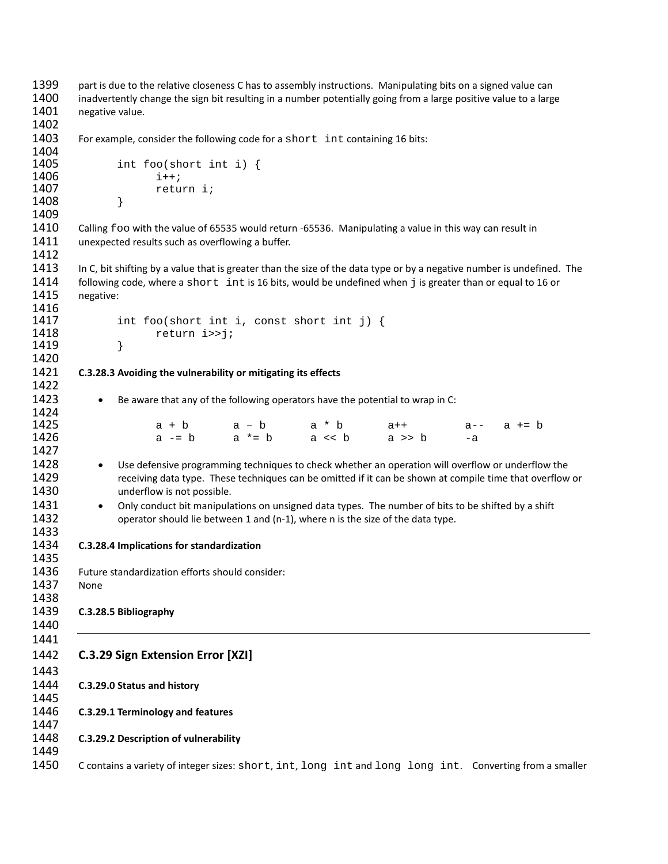```
1399 part is due to the relative closeness C has to assembly instructions. Manipulating bits on a signed value can
1400 inadvertently change the sign bit resulting in a number potentially going from a large positive value to a large 
1401 negative value.
1402
1403 For example, consider the following code for a short int containing 16 bits:
1404<br>1405
                 int foo(short int i) {<br>i++;
1406<br>1407
                 return i;<br>}
1408 }
1409
1410 Calling foo with the value of 65535 would return -65536. Manipulating a value in this way can result in 1411 unexpected results such as overflowing a buffer.
         unexpected results such as overflowing a buffer.
1412
1413 In C, bit shifting by a value that is greater than the size of the data type or by a negative number is undefined. The
1414 following code, where a short int is 16 bits, would be undefined when j is greater than or equal to 16 or 1415 negative:
         negative:
1416
1417 int foo(short int i, const short int j) {<br>1418 \begin{bmatrix} 1 & -1 & -1 \\ 1 & -1 & -1 \end{bmatrix}return i>>j;<br>}
1419 }
1420
1421 C.3.28.3 Avoiding the vulnerability or mitigating its effects
1422
1423 • Be aware that any of the following operators have the potential to wrap in C:
1424
1425 a + b a – b a * b a + + a-- a += b
1426 a -= b a * = b a < b a >> b -a1427
1428 • Use defensive programming techniques to check whether an operation will overflow or underflow the
1429 receiving data type. These techniques can be omitted if it can be shown at compile time that overflow or
1430 underflow is not possible.
1431 • Only conduct bit manipulations on unsigned data types. The number of bits to be shifted by a shift
1432 operator should lie between 1 and (n-1), where n is the size of the data type.
1433
1434 C.3.28.4 Implications for standardization
1435
1436 Future standardization efforts should consider:
1437 None
1438<br>1439
         1439 C.3.28.5 Bibliography
1440
1441
1442 C.3.29 Sign Extension Error [XZI]
1443
1444 C.3.29.0 Status and history
1445
1446 C.3.29.1 Terminology and features
1447
1448 C.3.29.2 Description of vulnerability
1449
1450 C contains a variety of integer sizes: short, int, long int and long long int. Converting from a smaller
```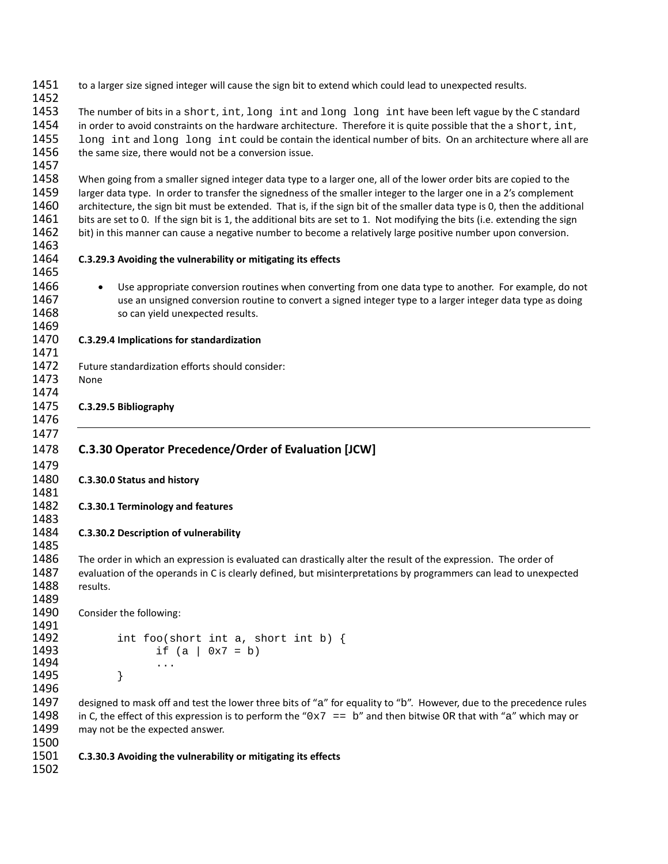to a larger size signed integer will cause the sign bit to extend which could lead to unexpected results. 1453 The number of bits in a short, int, long int and long long int have been left vague by the C standard<br>1454 in order to avoid constraints on the hardware architecture. Therefore it is quite possible that the a short, i 1454 in order to avoid constraints on the hardware architecture. Therefore it is quite possible that the a short, int,<br>1455 long int and long long int could be contain the identical number of bits. On an architecture wher 1455 long int and long long int could be contain the identical number of bits. On an architecture where all are 1456 the same size, there would not be a conversion issue. the same size, there would not be a conversion issue. 1458 When going from a smaller signed integer data type to a larger one, all of the lower order bits are copied to the 1459 larger data type. In order to transfer the signedness of the smaller integer to the larger one in a 2's complement 1460 architecture, the sign bit must be extended. That is, if the sign bit of the smaller data type is 0, then the additional 1461 bits are set to 0. If the sign bit is 1, the additional bits are set to 1. Not modifying the bits (i.e. extending the sign 1462 bit) in this manner can cause a negative number to become a relatively large positive number upon conversion. **C.3.29.3 Avoiding the vulnerability or mitigating its effects** 1466 • Use appropriate conversion routines when converting from one data type to another. For example, do not 1467 use an unsigned conversion routine to convert a signed integer type to a larger integer data type as doing 1468 so can yield unexpected results. **C.3.29.4 Implications for standardization** Future standardization efforts should consider: None **C.3.29.5 Bibliography C.3.30 Operator Precedence/Order of Evaluation [JCW] C.3.30.0 Status and history C.3.30.1 Terminology and features C.3.30.2 Description of vulnerability** The order in which an expression is evaluated can drastically alter the result of the expression. The order of 1487 evaluation of the operands in C is clearly defined, but misinterpretations by programmers can lead to unexpected results. Consider the following: 1492 int foo(short int a, short int b)  $\{$  1493 if (a | 0x7 = b) if  $(a \mid 0x7 = b)$  ...<br>1495 } } 1497 designed to mask off and test the lower three bits of "a" for equality to "b". However, due to the precedence rules<br>1498 in C. the effect of this expression is to perform the "0x7 == b" and then bitwise OR that with 1498 in C, the effect of this expression is to perform the "0x7 == b" and then bitwise OR that with "a" which may or <br>1499 may not be the expected answer. may not be the expected answer. **C.3.30.3 Avoiding the vulnerability or mitigating its effects**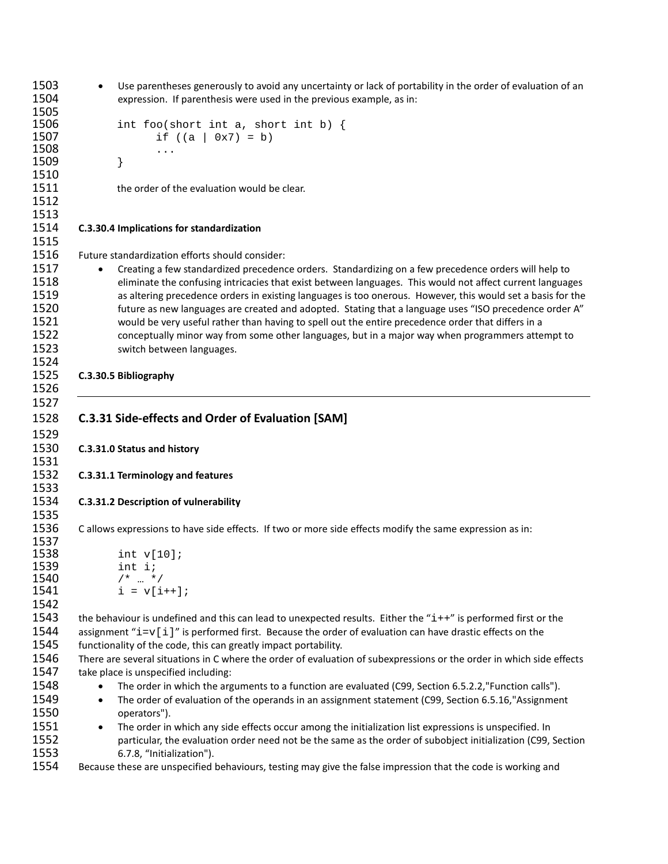• Use parentheses generously to avoid any uncertainty or lack of portability in the order of evaluation of an expression. If parenthesis were used in the previous example, as in: 1506 int foo(short int a, short int b) {<br>1507 if  $((a \mid 0x7) = b)$ if  $((a \ 0x7) = b)$  ...<br>1509 } } 1511 the order of the evaluation would be clear. **C.3.30.4 Implications for standardization** Future standardization efforts should consider: 1517 • Creating a few standardized precedence orders. Standardizing on a few precedence orders will help to eliminate the confusing intricacies that exist between languages. This would not affect current languages as altering precedence orders in existing languages is too onerous. However, this would set a basis for the future as new languages are created and adopted. Stating that a language uses "ISO precedence order A" would be very useful rather than having to spell out the entire precedence order that differs in a conceptually minor way from some other languages, but in a major way when programmers attempt to switch between languages. **C.3.30.5 Bibliography C.3.31 Side-effects and Order of Evaluation [SAM] C.3.31.0 Status and history C.3.31.1 Terminology and features C.3.31.2 Description of vulnerability** C allows expressions to have side effects. If two or more side effects modify the same expression as in: 1538  $int v[10];$ <br>1539  $int i;$ 1539 int i;<br>1540 /\* ... \* 1540  $/* \dots */$ <br>1541  $i = v[i]$  $i = v[i++];$  1543 the behaviour is undefined and this can lead to unexpected results. Either the "i++" is performed first or the <br>1544 assignment "i= $v[i]$ " is performed first. Because the order of evaluation can have drastic effects o 1544 assignment " $i=v[i]$ " is performed first. Because the order of evaluation can have drastic effects on the <br>1545 functionality of the code, this can greatly impact portability. functionality of the code, this can greatly impact portability. There are several situations in C where the order of evaluation of subexpressions or the order in which side effects take place is unspecified including: 1548 • The order in which the arguments to a function are evaluated (C99, Section 6.5.2.2, "Function calls"). • The order of evaluation of the operands in an assignment statement (C99, Section 6.5.16,"Assignment operators"). 1551 • The order in which any side effects occur among the initialization list expressions is unspecified. In particular, the evaluation order need not be the same as the order of subobject initialization (C99, Section 6.7.8, "Initialization"). Because these are unspecified behaviours, testing may give the false impression that the code is working and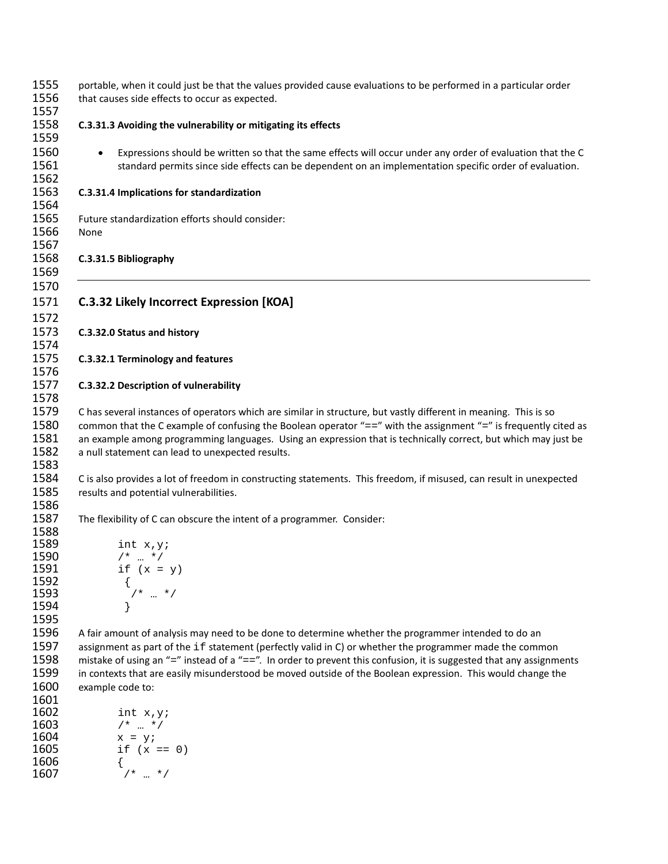| 1555<br>1556<br>1557                                 | portable, when it could just be that the values provided cause evaluations to be performed in a particular order<br>that causes side effects to occur as expected.                                                                                                                                                                                                                                                                                                                                                          |
|------------------------------------------------------|-----------------------------------------------------------------------------------------------------------------------------------------------------------------------------------------------------------------------------------------------------------------------------------------------------------------------------------------------------------------------------------------------------------------------------------------------------------------------------------------------------------------------------|
| 1558<br>1559                                         | C.3.31.3 Avoiding the vulnerability or mitigating its effects                                                                                                                                                                                                                                                                                                                                                                                                                                                               |
| 1560<br>1561<br>1562                                 | Expressions should be written so that the same effects will occur under any order of evaluation that the C<br>$\bullet$<br>standard permits since side effects can be dependent on an implementation specific order of evaluation.                                                                                                                                                                                                                                                                                          |
| 1563<br>1564                                         | C.3.31.4 Implications for standardization                                                                                                                                                                                                                                                                                                                                                                                                                                                                                   |
| 1565<br>1566<br>1567                                 | Future standardization efforts should consider:<br>None                                                                                                                                                                                                                                                                                                                                                                                                                                                                     |
| 1568<br>1569                                         | C.3.31.5 Bibliography                                                                                                                                                                                                                                                                                                                                                                                                                                                                                                       |
| 1570<br>1571<br>1572                                 | <b>C.3.32 Likely Incorrect Expression [KOA]</b>                                                                                                                                                                                                                                                                                                                                                                                                                                                                             |
| 1573<br>1574                                         | C.3.32.0 Status and history                                                                                                                                                                                                                                                                                                                                                                                                                                                                                                 |
| 1575<br>1576                                         | C.3.32.1 Terminology and features                                                                                                                                                                                                                                                                                                                                                                                                                                                                                           |
| 1577<br>1578                                         | C.3.32.2 Description of vulnerability                                                                                                                                                                                                                                                                                                                                                                                                                                                                                       |
| 1579<br>1580<br>1581<br>1582<br>1583                 | C has several instances of operators which are similar in structure, but vastly different in meaning. This is so<br>common that the C example of confusing the Boolean operator "==" with the assignment "=" is frequently cited as<br>an example among programming languages. Using an expression that is technically correct, but which may just be<br>a null statement can lead to unexpected results.                                                                                                                   |
| 1584<br>1585<br>1586                                 | C is also provides a lot of freedom in constructing statements. This freedom, if misused, can result in unexpected<br>results and potential vulnerabilities.                                                                                                                                                                                                                                                                                                                                                                |
| 1587<br>1588                                         | The flexibility of C can obscure the intent of a programmer. Consider:                                                                                                                                                                                                                                                                                                                                                                                                                                                      |
| 1589<br>1590                                         | int $x, y$ ;<br>$/$ *  */                                                                                                                                                                                                                                                                                                                                                                                                                                                                                                   |
| 1591<br>1592                                         | if $(x = y)$<br>$\begin{array}{ccc}\n\left\{\n& & & \\ \left\{\n& & & \\ \left\{\n\begin{array}{ccc}\n& & & \\ \left\{\n\begin{array}{ccc}\n& & & \\ \left\{\n\begin{array}{ccc}\n& & & \\ \left\{\n\begin{array}{ccc}\n& & & \\ \left\{\n\begin{array}{ccc}\n& & & \\ \left\{\n\begin{array}{ccc}\n& & & \\ \left\{\n\begin{array}{ccc}\n& & & \\ \left\{\n\begin{array}{ccc}\n& & & \\ \left\{\n\begin{array}{ccc}\n& & & \\ \left\{\n\begin{array}{ccc}\n& & & \\ \left\{\n\begin{array}{ccc}\n& & & \\ \left\{\n\begin$ |
| 1593<br>1594                                         |                                                                                                                                                                                                                                                                                                                                                                                                                                                                                                                             |
| 1595<br>1596<br>1597<br>1598<br>1599<br>1600<br>1601 | A fair amount of analysis may need to be done to determine whether the programmer intended to do an<br>assignment as part of the if statement (perfectly valid in C) or whether the programmer made the common<br>mistake of using an "=" instead of a "==". In order to prevent this confusion, it is suggested that any assignments<br>in contexts that are easily misunderstood be moved outside of the Boolean expression. This would change the<br>example code to:                                                    |
| 1602<br>1603<br>1604<br>1605                         | int $x, y$ ;<br>$/* \dots */$<br>$x = y;$<br>if $(x == 0)$                                                                                                                                                                                                                                                                                                                                                                                                                                                                  |
| 1606<br>1607                                         | $/* \dots * /$                                                                                                                                                                                                                                                                                                                                                                                                                                                                                                              |
|                                                      |                                                                                                                                                                                                                                                                                                                                                                                                                                                                                                                             |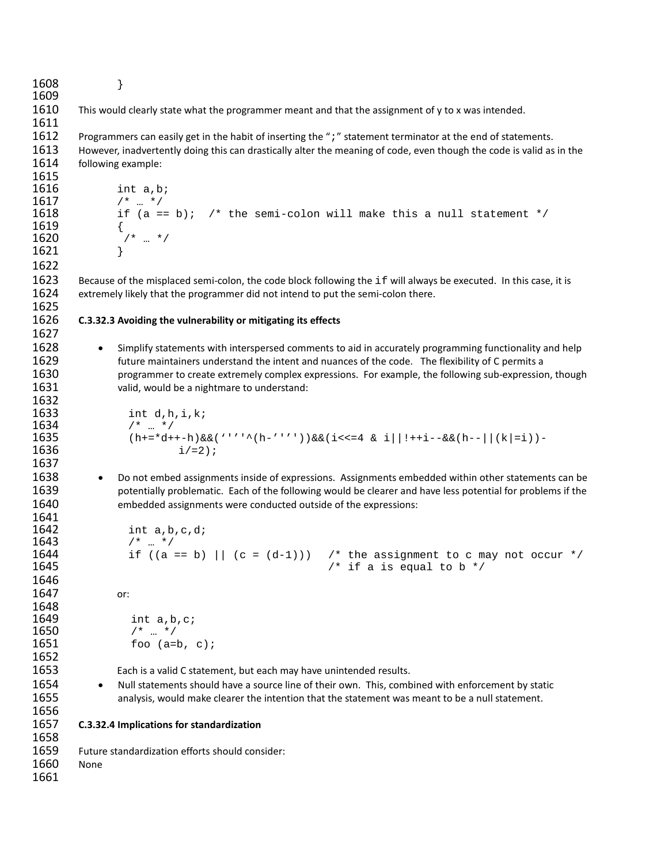} This would clearly state what the programmer meant and that the assignment of y to x was intended. 1612 Programmers can easily get in the habit of inserting the ";" statement terminator at the end of statements.<br>1613 However, inadvertently doing this can drastically alter the meaning of code, even though the code is val However, inadvertently doing this can drastically alter the meaning of code, even though the code is valid as in the following example: **1616** int a,b;<br>**1617**  $\begin{array}{ccc} & & & \text{if } x \downarrow x \\ & & & \text{if } x \downarrow y \end{array}$  /\* … \*/ if  $(a == b)$ ; /\* the semi-colon will make this a null statement \*/ 1619<br>1620  $/$ \* … \*/ } 1623 Because of the misplaced semi-colon, the code block following the if will always be executed. In this case, it is 1624 extremely likely that the programmer did not intend to put the semi-colon there. extremely likely that the programmer did not intend to put the semi-colon there. **C.3.32.3 Avoiding the vulnerability or mitigating its effects** 1628 • Simplify statements with interspersed comments to aid in accurately programming functionality and help future maintainers understand the intent and nuances of the code. The flexibility of C permits a programmer to create extremely complex expressions. For example, the following sub-expression, though valid, would be a nightmare to understand: 1632<br>1633 1633 int d, h, i, k;<br>1634 /\* ... \*/ /\* ... \*/<br>1635 (h+=\*d+ 1635  $(h+=*d++-h)\&(h'-1')\&(h'-1')\&(h'-1')\&(h'-1')\&(h'-1')\&(h'-1')\&(h'-1)$  $i/=2$ ); • Do not embed assignments inside of expressions. Assignments embedded within other statements can be potentially problematic. Each of the following would be clearer and have less potential for problems if the embedded assignments were conducted outside of the expressions: **1642** int a, b, c, d;<br>**1643**  $\frac{1}{4}$ ,  $\frac{1}{4}$ ,  $\frac{1}{4}$  /\* ... \*/<br>1644 if ((a) 1644 if  $((a == b) || (c = (d-1)))$  /\* the assignment to c may not occur \*/<br>1645 /\* if a is equal to b \*/ /\* if a is equal to b  $*/$  or: 1648<br>1649 **1649** int  $a, b, c;$ <br>**1650**  $\frac{1}{a}$   $\frac{1}{b}$   $\frac{1}{b}$   $\frac{1}{c}$   $/* \dots * /$ <br>**1651**  $\frac{1}{50}$  foo (a=1) foo  $(a=b, c)$ ; Each is a valid C statement, but each may have unintended results. 1654 • Null statements should have a source line of their own. This, combined with enforcement by static analysis, would make clearer the intention that the statement was meant to be a null statement. **C.3.32.4 Implications for standardization** Future standardization efforts should consider: None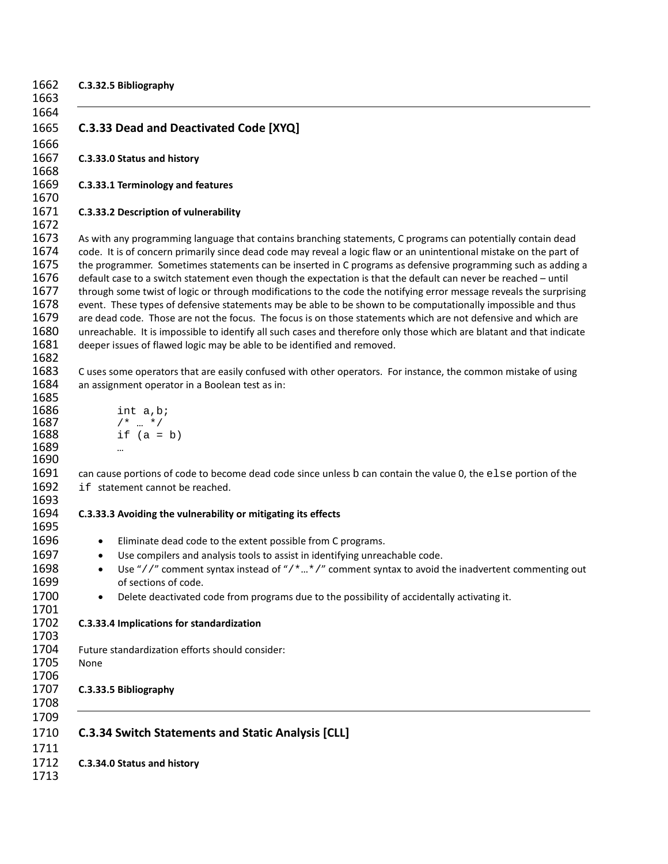| 1662<br>1663 | C.3.32.5 Bibliography                                                                                                                                                                                                           |
|--------------|---------------------------------------------------------------------------------------------------------------------------------------------------------------------------------------------------------------------------------|
| 1664         |                                                                                                                                                                                                                                 |
| 1665         | C.3.33 Dead and Deactivated Code [XYQ]                                                                                                                                                                                          |
| 1666         |                                                                                                                                                                                                                                 |
| 1667         | C.3.33.0 Status and history                                                                                                                                                                                                     |
| 1668<br>1669 |                                                                                                                                                                                                                                 |
| 1670         | C.3.33.1 Terminology and features                                                                                                                                                                                               |
|              | C.3.33.2 Description of vulnerability                                                                                                                                                                                           |
|              | As with any programming language that contains branching statements, C programs can potentially contain dead                                                                                                                    |
|              | code. It is of concern primarily since dead code may reveal a logic flaw or an unintentional mistake on the part of                                                                                                             |
|              | the programmer. Sometimes statements can be inserted in C programs as defensive programming such as adding a<br>default case to a switch statement even though the expectation is that the default can never be reached - until |
|              | through some twist of logic or through modifications to the code the notifying error message reveals the surprising                                                                                                             |
|              | event. These types of defensive statements may be able to be shown to be computationally impossible and thus                                                                                                                    |
|              | are dead code. Those are not the focus. The focus is on those statements which are not defensive and which are                                                                                                                  |
|              | unreachable. It is impossible to identify all such cases and therefore only those which are blatant and that indicate                                                                                                           |
|              | deeper issues of flawed logic may be able to be identified and removed.                                                                                                                                                         |
|              |                                                                                                                                                                                                                                 |
|              | C uses some operators that are easily confused with other operators. For instance, the common mistake of using                                                                                                                  |
|              | an assignment operator in a Boolean test as in:                                                                                                                                                                                 |
|              | int a, b;                                                                                                                                                                                                                       |
|              | $/* \t  * /$                                                                                                                                                                                                                    |
|              | if $(a = b)$                                                                                                                                                                                                                    |
|              |                                                                                                                                                                                                                                 |
|              |                                                                                                                                                                                                                                 |
|              | can cause portions of code to become dead code since unless b can contain the value 0, the else portion of the<br>if statement cannot be reached.                                                                               |
|              | C.3.33.3 Avoiding the vulnerability or mitigating its effects                                                                                                                                                                   |
|              |                                                                                                                                                                                                                                 |
|              | Eliminate dead code to the extent possible from C programs.<br>$\bullet$                                                                                                                                                        |
|              | Use compilers and analysis tools to assist in identifying unreachable code.<br>$\bullet$                                                                                                                                        |
|              | Use "//" comment syntax instead of "/**/" comment syntax to avoid the inadvertent commenting out                                                                                                                                |
|              | of sections of code.                                                                                                                                                                                                            |
|              | Delete deactivated code from programs due to the possibility of accidentally activating it.                                                                                                                                     |
|              | C.3.33.4 Implications for standardization                                                                                                                                                                                       |
|              | Future standardization efforts should consider:                                                                                                                                                                                 |
|              | None                                                                                                                                                                                                                            |
|              |                                                                                                                                                                                                                                 |
|              | C.3.33.5 Bibliography                                                                                                                                                                                                           |
|              |                                                                                                                                                                                                                                 |
|              |                                                                                                                                                                                                                                 |
|              | <b>C.3.34 Switch Statements and Static Analysis [CLL]</b>                                                                                                                                                                       |
|              |                                                                                                                                                                                                                                 |
|              | C.3.34.0 Status and history                                                                                                                                                                                                     |
|              |                                                                                                                                                                                                                                 |
|              |                                                                                                                                                                                                                                 |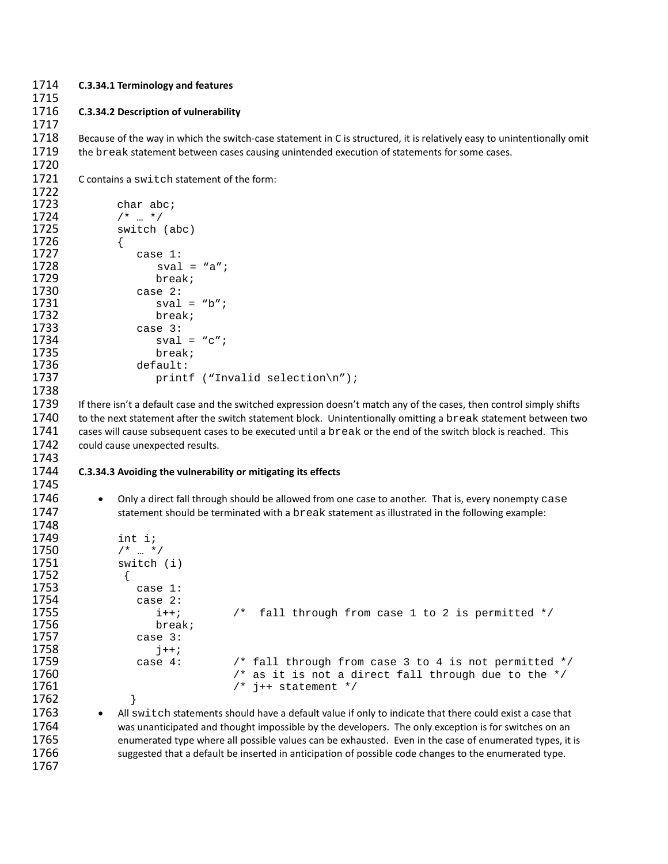#### 1714 **C.3.34.1 Terminology and features**

1715

1717

1720

1767

#### 1716 **C.3.34.2 Description of vulnerability**

1718 Because of the way in which the switch-case statement in C is structured, it is relatively easy to unintentionally omit 1719 the break statement between cases causing unintended execution of statements for some cases.

1721 C contains a switch statement of the form:

```
1722
1723 char abc;<br>1724 /* ... */
1724 /* ... */<br>1725 switch
                  switch (abc)
1726 {<br>1727
1727 case 1:
1728 sval = "a";
1729 break;
1730 case 2:
1731 sval = "b";
1732 break;
1733 case 3:
1734 sval = "c";<br>1735 break;
1735 break;
1736 default:<br>1737 print
                           printf ("Invalid selection\n");
1738
1739 If there isn't a default case and the switched expression doesn't match any of the cases, then control simply shifts 
1740 to the next statement after the switch statement block. Unintentionally omitting a break statement between two<br>1741 cases will cause subsequent cases to be executed until a break or the end of the switch block is reac
1741 cases will cause subsequent cases to be executed until a break or the end of the switch block is reached. This 1742 could cause unexpected results.
          could cause unexpected results.
1743
1744 C.3.34.3 Avoiding the vulnerability or mitigating its effects
1745
1746 • Only a direct fall through should be allowed from one case to another. That is, every nonempty case<br>1747 statement should be terminated with a break statement as illustrated in the following example:
                   statement should be terminated with a break statement as illustrated in the following example:
```

```
1748
1749 int i;<br>1750 /* ... *
1750 /* ... */<br>1751 switch
               switch (i)1752<br>1753
1753 case 1:
1754 case 2:
1755 i++; x^* fall through from case 1 to 2 is permitted */<br>1756 break;
1756 break;
                   case 3: j++;
1758<br>1759
1759 case 4: \frac{1759}{1760} case 4: \frac{1759}{1760} case 4: \frac{1760}{1760} case 4: \frac{1760}{1760} 1760
1760 \hspace{1cm} /* as it is not a direct fall through due to the */<br>1761 \hspace{1cm} /* j++ statement */
                  4* j++ statement */
1762<br>1763
1763 • All switch statements should have a default value if only to indicate that there could exist a case that 1764
               was unanticipated and thought impossible by the developers. The only exception is for switches on an
1765 enumerated type where all possible values can be exhausted. Even in the case of enumerated types, it is
```
1766 suggested that a default be inserted in anticipation of possible code changes to the enumerated type.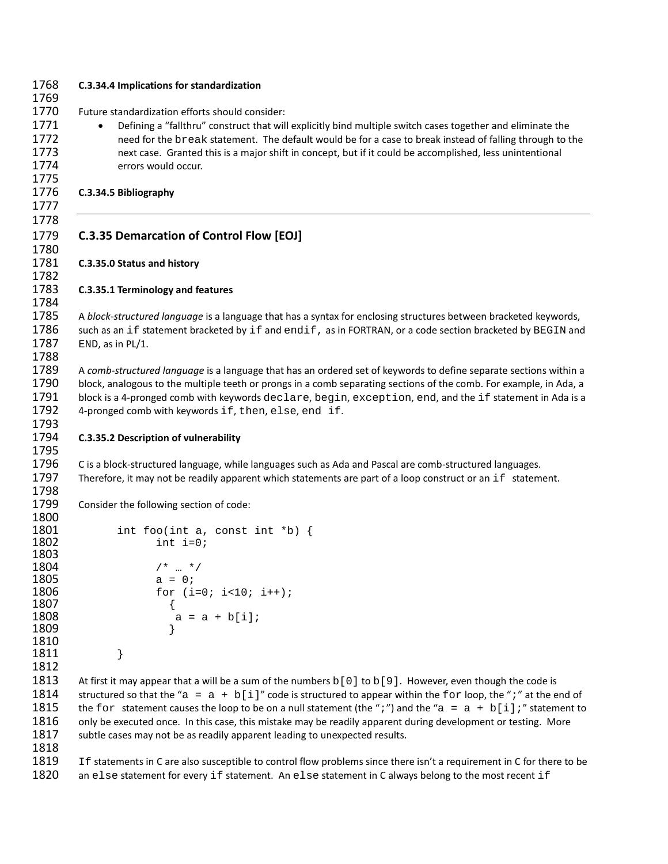| 1768<br>1769                                 | C.3.34.4 Implications for standardization                                                                                                                                                                                                                                                                                                                                                                                                                                                                                                    |
|----------------------------------------------|----------------------------------------------------------------------------------------------------------------------------------------------------------------------------------------------------------------------------------------------------------------------------------------------------------------------------------------------------------------------------------------------------------------------------------------------------------------------------------------------------------------------------------------------|
| 1770<br>1771<br>1772<br>1773<br>1774<br>1775 | Future standardization efforts should consider:<br>Defining a "fallthru" construct that will explicitly bind multiple switch cases together and eliminate the<br>$\bullet$<br>need for the break statement. The default would be for a case to break instead of falling through to the<br>next case. Granted this is a major shift in concept, but if it could be accomplished, less unintentional<br>errors would occur.                                                                                                                    |
| 1776<br>1777                                 | C.3.34.5 Bibliography                                                                                                                                                                                                                                                                                                                                                                                                                                                                                                                        |
| 1778<br>1779<br>1780                         | <b>C.3.35 Demarcation of Control Flow [EOJ]</b>                                                                                                                                                                                                                                                                                                                                                                                                                                                                                              |
| 1781<br>1782                                 | C.3.35.0 Status and history                                                                                                                                                                                                                                                                                                                                                                                                                                                                                                                  |
| 1783<br>1784                                 | C.3.35.1 Terminology and features                                                                                                                                                                                                                                                                                                                                                                                                                                                                                                            |
| 1785<br>1786<br>1787<br>1788                 | A block-structured language is a language that has a syntax for enclosing structures between bracketed keywords,<br>such as an if statement bracketed by if and endif, as in FORTRAN, or a code section bracketed by BEGIN and<br>END, as in PL/1.                                                                                                                                                                                                                                                                                           |
| 1789<br>1790<br>1791<br>1792<br>1793         | A comb-structured language is a language that has an ordered set of keywords to define separate sections within a<br>block, analogous to the multiple teeth or prongs in a comb separating sections of the comb. For example, in Ada, a<br>block is a 4-pronged comb with keywords declare, begin, exception, end, and the if statement in Ada is a<br>4-pronged comb with keywords if, then, else, end if.                                                                                                                                  |
| 1794<br>1795                                 | C.3.35.2 Description of vulnerability                                                                                                                                                                                                                                                                                                                                                                                                                                                                                                        |
| 1796<br>1797<br>1798                         | C is a block-structured language, while languages such as Ada and Pascal are comb-structured languages.<br>Therefore, it may not be readily apparent which statements are part of a loop construct or an if statement.                                                                                                                                                                                                                                                                                                                       |
| 1799                                         | Consider the following section of code:                                                                                                                                                                                                                                                                                                                                                                                                                                                                                                      |
|                                              | int foo(int a, const int *b) {<br>int $i=0;$                                                                                                                                                                                                                                                                                                                                                                                                                                                                                                 |
|                                              | $/* \t  * /$<br>$a = 0;$<br>for $(i=0; i<10; i++)$ ;<br>$a = a + b[i];$                                                                                                                                                                                                                                                                                                                                                                                                                                                                      |
| 1810<br>1811<br>1812                         | }                                                                                                                                                                                                                                                                                                                                                                                                                                                                                                                                            |
|                                              | At first it may appear that a will be a sum of the numbers $b[0]$ to $b[9]$ . However, even though the code is<br>structured so that the "a = a + b[i]" code is structured to appear within the for loop, the ";" at the end of<br>the for statement causes the loop to be on a null statement (the ";") and the "a = a + b[i];" statement to<br>only be executed once. In this case, this mistake may be readily apparent during development or testing. More<br>subtle cases may not be as readily apparent leading to unexpected results. |
| 1818<br>1819<br>1820                         | If statements in C are also susceptible to control flow problems since there isn't a requirement in C for there to be<br>an else statement for every if statement. An else statement in C always belong to the most recent if                                                                                                                                                                                                                                                                                                                |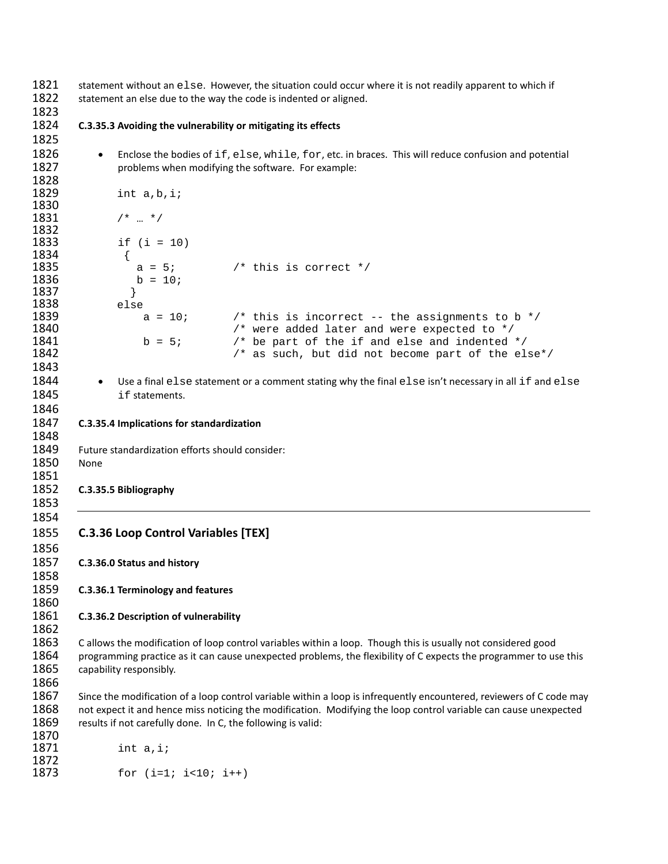1821 statement without an else. However, the situation could occur where it is not readily apparent to which if <br>1822 statement an else due to the way the code is indented or aligned statement an else due to the way the code is indented or aligned.

 

#### **C.3.35.3 Avoiding the vulnerability or mitigating its effects**

- 1826 Enclose the bodies of if, else, while, for, etc. in braces. This will reduce confusion and potential 1827 problems when modifying the software. For example:
- int a,b,i; /\* … \*/ if (i = 10) 1834 { **1835 a** = 5;  $x^*$  this is correct  $x^*$  **1836 b** = 10;  $b = 10;$  } 1838 else<br>1839 a = 10; 1839 **a** = 10;  $\begin{array}{ccc} 1 & \rightarrow & \text{this is incorrect -- the assignments to b *} \\ & & \rightarrow & \text{were added later and were expected to *} \end{array}$ 1840  $f*$  were added later and were expected to  $\star$ /<br>1841 b = 5;  $f*$  be part of the if and else and indented 1841 b = 5;  $\frac{1}{2}$  b = 5;  $\frac{1}{2}$  be part of the if and else and indented  $\frac{x}{2}$   $\frac{1}{2}$  1842  $1*$  as such, but did not become part of the else\*/
- 1844 Use a final else statement or a comment stating why the final else isn't necessary in all if and else 1845 if statements.
- **C.3.35.4 Implications for standardization**
- Future standardization efforts should consider:
- None

- **C.3.35.5 Bibliography**
- 

- **C.3.36 Loop Control Variables [TEX]**
- **C.3.36.0 Status and history**

**C.3.36.1 Terminology and features**

#### **C.3.36.2 Description of vulnerability**

1863 C allows the modification of loop control variables within a loop. Though this is usually not considered good 1864 programming practice as it can cause unexpected problems, the flexibility of C expects the programmer to use this 1865 capability responsibly.

1867 Since the modification of a loop control variable within a loop is infrequently encountered, reviewers of C code may 1868 not expect it and hence miss noticing the modification. Modifying the loop control variable can cause unexpected 1869 results if not carefully done. In C, the following is valid:

 int a,i; for  $(i=1; i<10; i++)$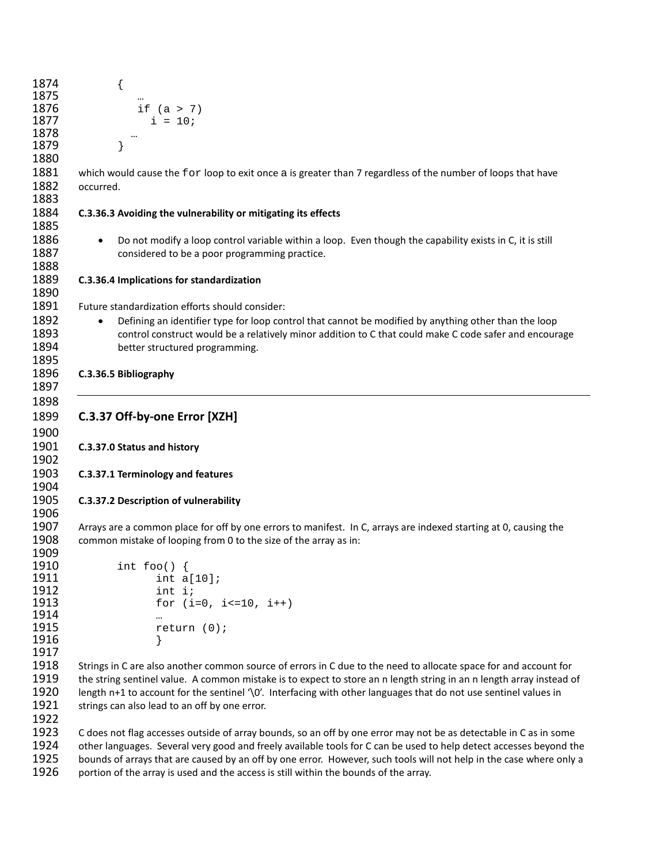|           | {                                                                                                                    |
|-----------|----------------------------------------------------------------------------------------------------------------------|
|           | $\cdots$<br>if $(a > 7)$                                                                                             |
|           | $i = 10;$                                                                                                            |
|           |                                                                                                                      |
|           | }                                                                                                                    |
|           |                                                                                                                      |
|           | which would cause the for loop to exit once a is greater than 7 regardless of the number of loops that have          |
| occurred. |                                                                                                                      |
|           |                                                                                                                      |
|           | C.3.36.3 Avoiding the vulnerability or mitigating its effects                                                        |
|           | Do not modify a loop control variable within a loop. Even though the capability exists in C, it is still             |
|           | considered to be a poor programming practice.                                                                        |
|           |                                                                                                                      |
|           | C.3.36.4 Implications for standardization                                                                            |
|           |                                                                                                                      |
|           | Future standardization efforts should consider:                                                                      |
| $\bullet$ | Defining an identifier type for loop control that cannot be modified by anything other than the loop                 |
|           | control construct would be a relatively minor addition to C that could make C code safer and encourage               |
|           | better structured programming.                                                                                       |
|           |                                                                                                                      |
|           | C.3.36.5 Bibliography                                                                                                |
|           |                                                                                                                      |
|           |                                                                                                                      |
|           | C.3.37 Off-by-one Error [XZH]                                                                                        |
|           |                                                                                                                      |
|           | C.3.37.0 Status and history                                                                                          |
|           |                                                                                                                      |
|           | C.3.37.1 Terminology and features                                                                                    |
|           |                                                                                                                      |
|           | C.3.37.2 Description of vulnerability                                                                                |
|           |                                                                                                                      |
|           | Arrays are a common place for off by one errors to manifest. In C, arrays are indexed starting at 0, causing the     |
|           | common mistake of looping from 0 to the size of the array as in:                                                     |
|           |                                                                                                                      |
|           | int foo() $\{$                                                                                                       |
|           | int $a[10]$ ;                                                                                                        |
|           | int i;                                                                                                               |
|           | for $(i=0, i<=10, i++)$                                                                                              |
|           |                                                                                                                      |
|           | return $(0)$ ;                                                                                                       |
|           |                                                                                                                      |
|           |                                                                                                                      |
|           | Strings in C are also another common source of errors in C due to the need to allocate space for and account for     |
|           | the string sentinel value. A common mistake is to expect to store an n length string in an n length array instead of |
|           | length $n+1$ to account for the sentinel '\0'. Interfacing with other languages that do not use sentinel values in   |
|           | strings can also lead to an off by one error.                                                                        |
|           |                                                                                                                      |
|           | C does not flag accesses outside of array bounds, so an off by one error may not be as detectable in C as in some    |
|           | other languages. Several very good and freely available tools for C can be used to help detect accesses beyond the   |
|           | bounds of arrays that are caused by an off by one error. However, such tools will not help in the case where only a  |
|           |                                                                                                                      |

1926 portion of the array is used and the access is still within the bounds of the array.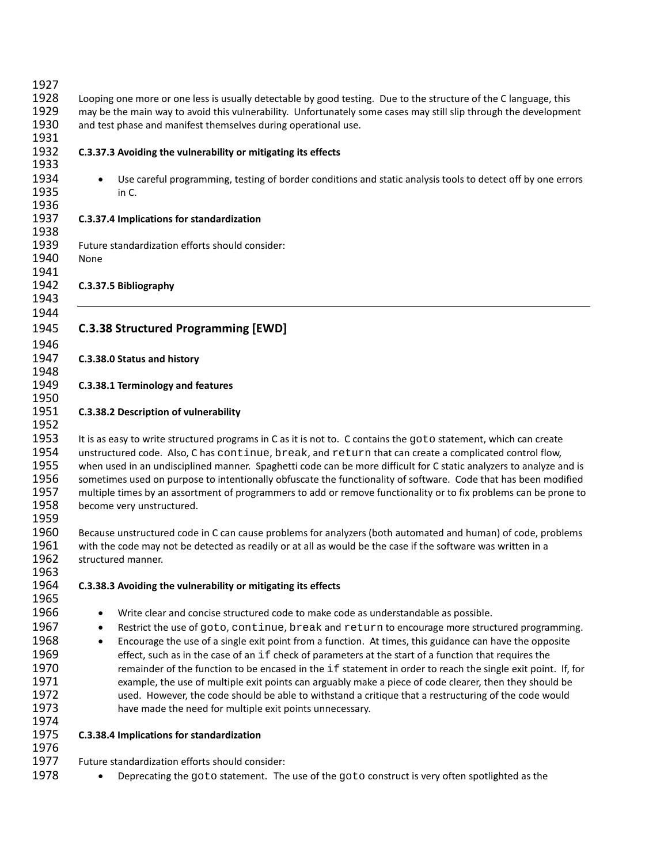| 1927 |                                                                                                                      |
|------|----------------------------------------------------------------------------------------------------------------------|
| 1928 | Looping one more or one less is usually detectable by good testing. Due to the structure of the C language, this     |
| 1929 | may be the main way to avoid this vulnerability. Unfortunately some cases may still slip through the development     |
| 1930 | and test phase and manifest themselves during operational use.                                                       |
| 1931 |                                                                                                                      |
| 1932 | C.3.37.3 Avoiding the vulnerability or mitigating its effects                                                        |
| 1933 |                                                                                                                      |
| 1934 | Use careful programming, testing of border conditions and static analysis tools to detect off by one errors          |
| 1935 | in C.                                                                                                                |
| 1936 |                                                                                                                      |
| 1937 |                                                                                                                      |
|      | C.3.37.4 Implications for standardization                                                                            |
| 1938 |                                                                                                                      |
| 1939 | Future standardization efforts should consider:                                                                      |
| 1940 | None                                                                                                                 |
| 1941 |                                                                                                                      |
| 1942 | C.3.37.5 Bibliography                                                                                                |
| 1943 |                                                                                                                      |
| 1944 |                                                                                                                      |
| 1945 | <b>C.3.38 Structured Programming [EWD]</b>                                                                           |
| 1946 |                                                                                                                      |
| 1947 | C.3.38.0 Status and history                                                                                          |
| 1948 |                                                                                                                      |
| 1949 | C.3.38.1 Terminology and features                                                                                    |
| 1950 |                                                                                                                      |
| 1951 |                                                                                                                      |
| 1952 | C.3.38.2 Description of vulnerability                                                                                |
|      |                                                                                                                      |
| 1953 | It is as easy to write structured programs in C as it is not to. C contains the goto statement, which can create     |
| 1954 | unstructured code. Also, C has continue, break, and return that can create a complicated control flow,               |
| 1955 | when used in an undisciplined manner. Spaghetti code can be more difficult for C static analyzers to analyze and is  |
| 1956 | sometimes used on purpose to intentionally obfuscate the functionality of software. Code that has been modified      |
| 1957 | multiple times by an assortment of programmers to add or remove functionality or to fix problems can be prone to     |
| 1958 | become very unstructured.                                                                                            |
| 1959 |                                                                                                                      |
| 1960 | Because unstructured code in C can cause problems for analyzers (both automated and human) of code, problems         |
| 1961 | with the code may not be detected as readily or at all as would be the case if the software was written in a         |
| 1962 | structured manner.                                                                                                   |
| 1963 |                                                                                                                      |
| 1964 | C.3.38.3 Avoiding the vulnerability or mitigating its effects                                                        |
| 1965 |                                                                                                                      |
| 1966 | Write clear and concise structured code to make code as understandable as possible.<br>$\bullet$                     |
| 1967 | Restrict the use of goto, continue, break and return to encourage more structured programming.<br>٠                  |
| 1968 | Encourage the use of a single exit point from a function. At times, this guidance can have the opposite<br>$\bullet$ |
| 1969 | effect, such as in the case of an $if$ check of parameters at the start of a function that requires the              |
| 1970 | remainder of the function to be encased in the if statement in order to reach the single exit point. If, for         |
| 1971 | example, the use of multiple exit points can arguably make a piece of code clearer, then they should be              |
| 1972 | used. However, the code should be able to withstand a critique that a restructuring of the code would                |
| 1973 |                                                                                                                      |
|      | have made the need for multiple exit points unnecessary.                                                             |
| 1974 |                                                                                                                      |
| 1975 | C.3.38.4 Implications for standardization                                                                            |
| 1976 |                                                                                                                      |
| 1977 | Future standardization efforts should consider:                                                                      |
| 1978 | Deprecating the goto statement. The use of the goto construct is very often spotlighted as the                       |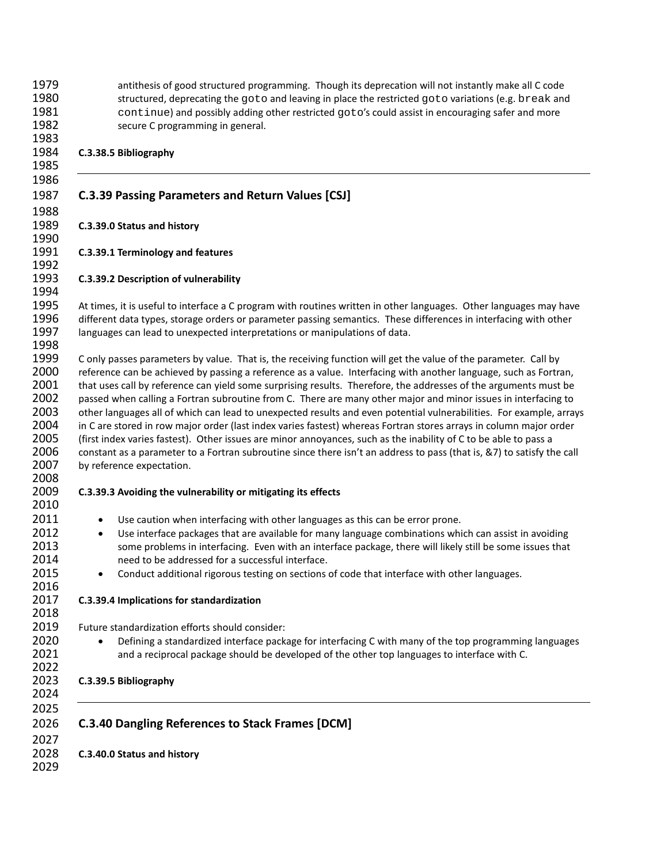antithesis of good structured programming. Though its deprecation will not instantly make all C code 1980 structured, deprecating the goto and leaving in place the restricted goto variations (e.g. break and<br>1981 continue) and possibly adding other restricted goto's could assist in encouraging safer and more 1981 continue) and possibly adding other restricted goto's could assist in encouraging safer and more<br>1982 secure C programming in general. secure C programming in general.

#### **C.3.38.5 Bibliography**

# **C.3.39 Passing Parameters and Return Values [CSJ]**

# **C.3.39.0 Status and history**

#### **C.3.39.1 Terminology and features**

# **C.3.39.2 Description of vulnerability**

 At times, it is useful to interface a C program with routines written in other languages. Other languages may have different data types, storage orders or parameter passing semantics. These differences in interfacing with other languages can lead to unexpected interpretations or manipulations of data. 

 C only passes parameters by value. That is, the receiving function will get the value of the parameter. Call by 2000 reference can be achieved by passing a reference as a value. Interfacing with another language, such as Fortran, 2001 that uses call by reference can yield some surprising results. Therefore, the addresses of the arguments must be passed when calling a Fortran subroutine from C. There are many other major and minor issues in interfacing to other languages all of which can lead to unexpected results and even potential vulnerabilities. For example, arrays in C are stored in row major order (last index varies fastest) whereas Fortran stores arrays in column major order (first index varies fastest). Other issues are minor annoyances, such as the inability of C to be able to pass a constant as a parameter to a Fortran subroutine since there isn't an address to pass (that is, &7) to satisfy the call 2007 by reference expectation.

# **C.3.39.3 Avoiding the vulnerability or mitigating its effects**

- 2011 Use caution when interfacing with other languages as this can be error prone.
- **2012** Use interface packages that are available for many language combinations which can assist in avoiding 2013<br>2013 some problems in interfacing. Even with an interface package, there will likely still be some issues some problems in interfacing. Even with an interface package, there will likely still be some issues that need to be addressed for a successful interface.
- 2015 Conduct additional rigorous testing on sections of code that interface with other languages.

# **C.3.39.4 Implications for standardization**

- Future standardization efforts should consider:
- 2020 Defining a standardized interface package for interfacing C with many of the top programming languages 2021 and a reciprocal package should be developed of the other top languages to interface with C.

# **C.3.39.5 Bibliography**

 

 **C.3.40 Dangling References to Stack Frames [DCM] C.3.40.0 Status and history**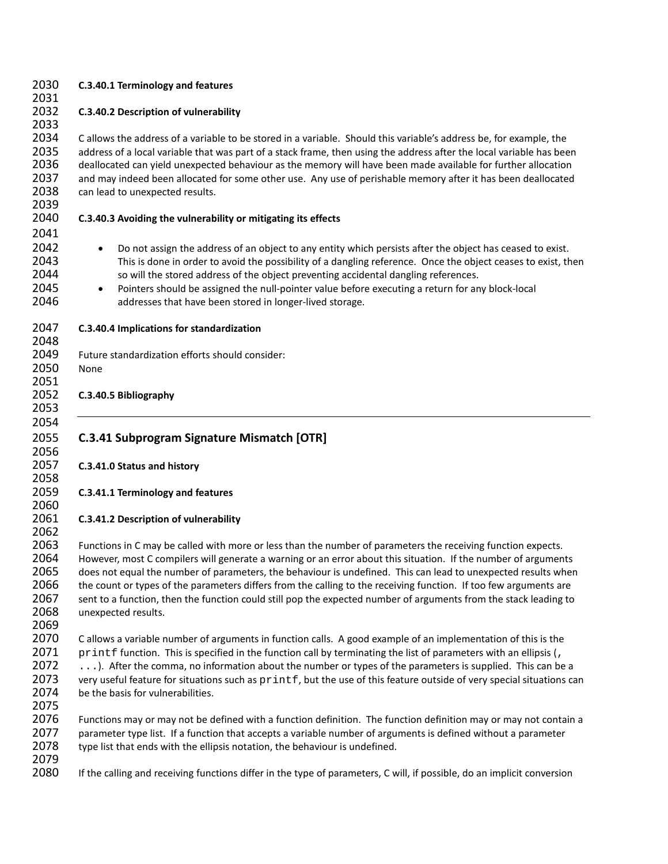| 2030<br>2031                                         | C.3.40.1 Terminology and features                                                                                                                                                                                                                                                                                                                                                                                                                                                                                                                                                                               |
|------------------------------------------------------|-----------------------------------------------------------------------------------------------------------------------------------------------------------------------------------------------------------------------------------------------------------------------------------------------------------------------------------------------------------------------------------------------------------------------------------------------------------------------------------------------------------------------------------------------------------------------------------------------------------------|
| 2032<br>2033                                         | C.3.40.2 Description of vulnerability                                                                                                                                                                                                                                                                                                                                                                                                                                                                                                                                                                           |
| 2034<br>2035<br>2036<br>2037<br>2038<br>2039         | Callows the address of a variable to be stored in a variable. Should this variable's address be, for example, the<br>address of a local variable that was part of a stack frame, then using the address after the local variable has been<br>deallocated can yield unexpected behaviour as the memory will have been made available for further allocation<br>and may indeed been allocated for some other use. Any use of perishable memory after it has been deallocated<br>can lead to unexpected results.                                                                                                   |
| 2040<br>2041                                         | C.3.40.3 Avoiding the vulnerability or mitigating its effects                                                                                                                                                                                                                                                                                                                                                                                                                                                                                                                                                   |
| 2042<br>2043<br>2044<br>2045<br>2046                 | Do not assign the address of an object to any entity which persists after the object has ceased to exist.<br>$\bullet$<br>This is done in order to avoid the possibility of a dangling reference. Once the object ceases to exist, then<br>so will the stored address of the object preventing accidental dangling references.<br>Pointers should be assigned the null-pointer value before executing a return for any block-local<br>$\bullet$<br>addresses that have been stored in longer-lived storage.                                                                                                     |
| 2047<br>2048                                         | C.3.40.4 Implications for standardization                                                                                                                                                                                                                                                                                                                                                                                                                                                                                                                                                                       |
| 2049<br>2050<br>2051                                 | Future standardization efforts should consider:<br>None                                                                                                                                                                                                                                                                                                                                                                                                                                                                                                                                                         |
| 2052<br>2053                                         | C.3.40.5 Bibliography                                                                                                                                                                                                                                                                                                                                                                                                                                                                                                                                                                                           |
| 2054<br>2055<br>2056                                 | <b>C.3.41 Subprogram Signature Mismatch [OTR]</b>                                                                                                                                                                                                                                                                                                                                                                                                                                                                                                                                                               |
| 2057<br>2058                                         | C.3.41.0 Status and history                                                                                                                                                                                                                                                                                                                                                                                                                                                                                                                                                                                     |
| 2059<br>2060                                         | C.3.41.1 Terminology and features                                                                                                                                                                                                                                                                                                                                                                                                                                                                                                                                                                               |
| 2061<br>2062                                         | C.3.41.2 Description of vulnerability                                                                                                                                                                                                                                                                                                                                                                                                                                                                                                                                                                           |
| 2063<br>2064<br>2065<br>2066<br>2067<br>2068<br>2069 | Functions in C may be called with more or less than the number of parameters the receiving function expects.<br>However, most C compilers will generate a warning or an error about this situation. If the number of arguments<br>does not equal the number of parameters, the behaviour is undefined. This can lead to unexpected results when<br>the count or types of the parameters differs from the calling to the receiving function. If too few arguments are<br>sent to a function, then the function could still pop the expected number of arguments from the stack leading to<br>unexpected results. |
| 2070<br>2071<br>2072                                 | Callows a variable number of arguments in function calls. A good example of an implementation of this is the                                                                                                                                                                                                                                                                                                                                                                                                                                                                                                    |
| 2073<br>2074                                         | printf function. This is specified in the function call by terminating the list of parameters with an ellipsis (,<br>). After the comma, no information about the number or types of the parameters is supplied. This can be a<br>very useful feature for situations such as printf, but the use of this feature outside of very special situations can<br>be the basis for vulnerabilities.                                                                                                                                                                                                                    |
| 2075<br>2076<br>2077<br>2078<br>2079                 | Functions may or may not be defined with a function definition. The function definition may or may not contain a<br>parameter type list. If a function that accepts a variable number of arguments is defined without a parameter<br>type list that ends with the ellipsis notation, the behaviour is undefined.                                                                                                                                                                                                                                                                                                |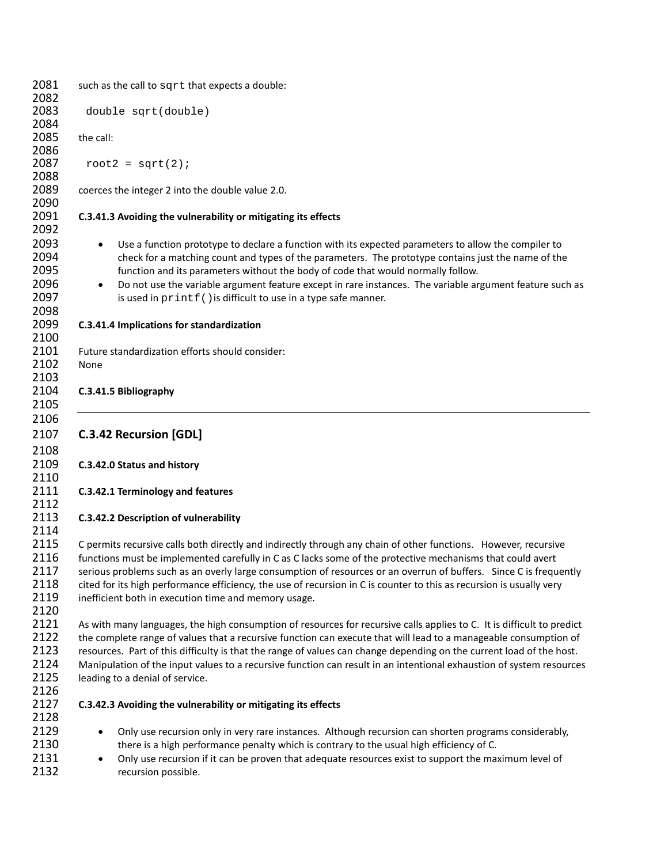| 2081                                         | such as the call to sqrt that expects a double:                                                                                                                                                                                                                                                                                                                                                                                                                                                                                    |
|----------------------------------------------|------------------------------------------------------------------------------------------------------------------------------------------------------------------------------------------------------------------------------------------------------------------------------------------------------------------------------------------------------------------------------------------------------------------------------------------------------------------------------------------------------------------------------------|
| 2082<br>2083                                 | double sqrt(double)                                                                                                                                                                                                                                                                                                                                                                                                                                                                                                                |
| 2084<br>2085                                 | the call:                                                                                                                                                                                                                                                                                                                                                                                                                                                                                                                          |
| 2086<br>2087                                 | root2 = $sqrt(2)$ ;                                                                                                                                                                                                                                                                                                                                                                                                                                                                                                                |
| 2088<br>2089                                 | coerces the integer 2 into the double value 2.0.                                                                                                                                                                                                                                                                                                                                                                                                                                                                                   |
| 2090<br>2091                                 | C.3.41.3 Avoiding the vulnerability or mitigating its effects                                                                                                                                                                                                                                                                                                                                                                                                                                                                      |
| 2092<br>2093                                 | Use a function prototype to declare a function with its expected parameters to allow the compiler to                                                                                                                                                                                                                                                                                                                                                                                                                               |
| 2094<br>2095<br>2096<br>2097                 | check for a matching count and types of the parameters. The prototype contains just the name of the<br>function and its parameters without the body of code that would normally follow.<br>Do not use the variable argument feature except in rare instances. The variable argument feature such as<br>$\bullet$<br>is used in printf () is difficult to use in a type safe manner.                                                                                                                                                |
| 2098<br>2099                                 | C.3.41.4 Implications for standardization                                                                                                                                                                                                                                                                                                                                                                                                                                                                                          |
| 2100<br>2101                                 | Future standardization efforts should consider:                                                                                                                                                                                                                                                                                                                                                                                                                                                                                    |
| 2102<br>2103                                 | None                                                                                                                                                                                                                                                                                                                                                                                                                                                                                                                               |
| 2104<br>2105                                 | C.3.41.5 Bibliography                                                                                                                                                                                                                                                                                                                                                                                                                                                                                                              |
| 2106                                         |                                                                                                                                                                                                                                                                                                                                                                                                                                                                                                                                    |
| 2107<br>2108                                 | <b>C.3.42 Recursion [GDL]</b>                                                                                                                                                                                                                                                                                                                                                                                                                                                                                                      |
| 2109<br>2110                                 | C.3.42.0 Status and history                                                                                                                                                                                                                                                                                                                                                                                                                                                                                                        |
| 2111<br>2112                                 | C.3.42.1 Terminology and features                                                                                                                                                                                                                                                                                                                                                                                                                                                                                                  |
| 2113<br>2114                                 | C.3.42.2 Description of vulnerability                                                                                                                                                                                                                                                                                                                                                                                                                                                                                              |
| 2115<br>2116<br>2117<br>2118<br>2119<br>2120 | C permits recursive calls both directly and indirectly through any chain of other functions. However, recursive<br>functions must be implemented carefully in C as C lacks some of the protective mechanisms that could avert<br>serious problems such as an overly large consumption of resources or an overrun of buffers. Since C is frequently<br>cited for its high performance efficiency, the use of recursion in C is counter to this as recursion is usually very<br>inefficient both in execution time and memory usage. |
| 2121<br>2122<br>2123<br>2124<br>2125<br>2126 | As with many languages, the high consumption of resources for recursive calls applies to C. It is difficult to predict<br>the complete range of values that a recursive function can execute that will lead to a manageable consumption of<br>resources. Part of this difficulty is that the range of values can change depending on the current load of the host.<br>Manipulation of the input values to a recursive function can result in an intentional exhaustion of system resources<br>leading to a denial of service.      |
| 2127<br>2128                                 | C.3.42.3 Avoiding the vulnerability or mitigating its effects                                                                                                                                                                                                                                                                                                                                                                                                                                                                      |
| 2129<br>2130<br>2131<br>2132                 | Only use recursion only in very rare instances. Although recursion can shorten programs considerably,<br>there is a high performance penalty which is contrary to the usual high efficiency of C.<br>Only use recursion if it can be proven that adequate resources exist to support the maximum level of<br>recursion possible.                                                                                                                                                                                                   |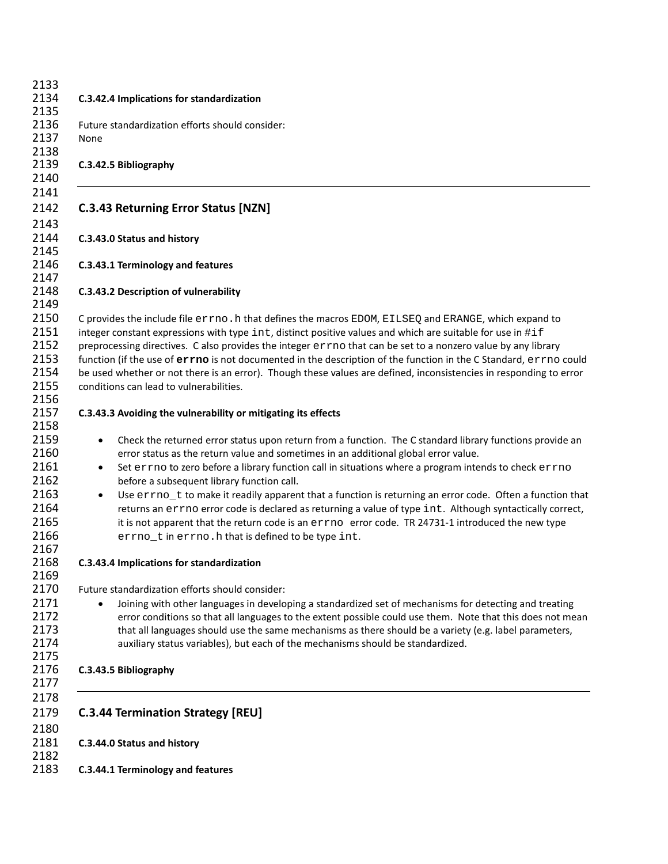|                                     | C.3.42.4 Implications for standardization                                                                                                                                                                                                                                                                                                                                                                                                                                                                                                                                                                                                                                                                                                     |
|-------------------------------------|-----------------------------------------------------------------------------------------------------------------------------------------------------------------------------------------------------------------------------------------------------------------------------------------------------------------------------------------------------------------------------------------------------------------------------------------------------------------------------------------------------------------------------------------------------------------------------------------------------------------------------------------------------------------------------------------------------------------------------------------------|
| None                                | Future standardization efforts should consider:                                                                                                                                                                                                                                                                                                                                                                                                                                                                                                                                                                                                                                                                                               |
|                                     | C.3.42.5 Bibliography                                                                                                                                                                                                                                                                                                                                                                                                                                                                                                                                                                                                                                                                                                                         |
|                                     | <b>C.3.43 Returning Error Status [NZN]</b>                                                                                                                                                                                                                                                                                                                                                                                                                                                                                                                                                                                                                                                                                                    |
|                                     | C.3.43.0 Status and history                                                                                                                                                                                                                                                                                                                                                                                                                                                                                                                                                                                                                                                                                                                   |
|                                     | C.3.43.1 Terminology and features                                                                                                                                                                                                                                                                                                                                                                                                                                                                                                                                                                                                                                                                                                             |
|                                     | C.3.43.2 Description of vulnerability                                                                                                                                                                                                                                                                                                                                                                                                                                                                                                                                                                                                                                                                                                         |
|                                     | C provides the include file errno. h that defines the macros EDOM, EILSEQ and ERANGE, which expand to<br>integer constant expressions with type int, distinct positive values and which are suitable for use in #if<br>preprocessing directives. C also provides the integer errno that can be set to a nonzero value by any library<br>function (if the use of errno is not documented in the description of the function in the C Standard, errno could<br>be used whether or not there is an error). Though these values are defined, inconsistencies in responding to error<br>conditions can lead to vulnerabilities.                                                                                                                    |
|                                     | C.3.43.3 Avoiding the vulnerability or mitigating its effects                                                                                                                                                                                                                                                                                                                                                                                                                                                                                                                                                                                                                                                                                 |
| $\bullet$<br>$\bullet$<br>$\bullet$ | Check the returned error status upon return from a function. The C standard library functions provide an<br>error status as the return value and sometimes in an additional global error value.<br>Set errno to zero before a library function call in situations where a program intends to check errno<br>before a subsequent library function call.<br>Use errno_t to make it readily apparent that a function is returning an error code. Often a function that<br>returns an errno error code is declared as returning a value of type int. Although syntactically correct,<br>it is not apparent that the return code is an errno error code. TR 24731-1 introduced the new type<br>errno_t in errno. h that is defined to be type int. |
|                                     | C.3.43.4 Implications for standardization                                                                                                                                                                                                                                                                                                                                                                                                                                                                                                                                                                                                                                                                                                     |
|                                     | Future standardization efforts should consider:<br>Joining with other languages in developing a standardized set of mechanisms for detecting and treating<br>error conditions so that all languages to the extent possible could use them. Note that this does not mean<br>that all languages should use the same mechanisms as there should be a variety (e.g. label parameters,<br>auxiliary status variables), but each of the mechanisms should be standardized.                                                                                                                                                                                                                                                                          |
|                                     | C.3.43.5 Bibliography                                                                                                                                                                                                                                                                                                                                                                                                                                                                                                                                                                                                                                                                                                                         |
|                                     | <b>C.3.44 Termination Strategy [REU]</b>                                                                                                                                                                                                                                                                                                                                                                                                                                                                                                                                                                                                                                                                                                      |
|                                     | C.3.44.0 Status and history                                                                                                                                                                                                                                                                                                                                                                                                                                                                                                                                                                                                                                                                                                                   |
|                                     | C.3.44.1 Terminology and features                                                                                                                                                                                                                                                                                                                                                                                                                                                                                                                                                                                                                                                                                                             |
|                                     |                                                                                                                                                                                                                                                                                                                                                                                                                                                                                                                                                                                                                                                                                                                                               |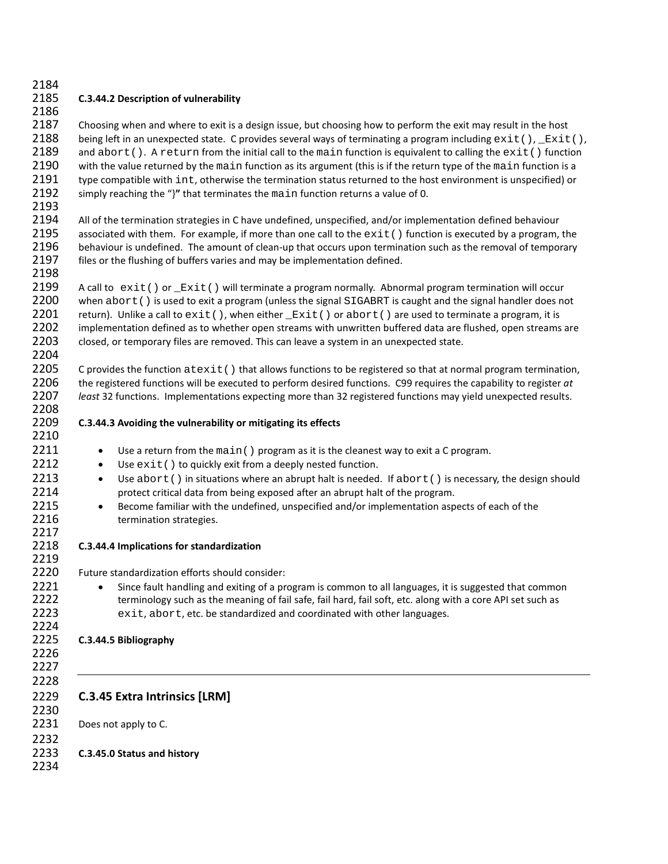# 2184

2186

2198

2210

2217

# 2185 **C.3.44.2 Description of vulnerability**

2187 Choosing when and where to exit is a design issue, but choosing how to perform the exit may result in the host 2188 being left in an unexpected state. C provides several ways of terminating a program including  $ext()$ ,  $Ext()$ ,  $2189$  and  $abort()$ . A return from the initial call to the main function is equivalent to calling the  $ext()$  functi 2189 and abort(). A return from the initial call to the main function is equivalent to calling the exit() function 2190 with the value returned by the main function is a 2190 with the value returned by the main function as its argument (this is if the return type of the main function is a<br>2191 by example in the termination status returned to the host environment is unspecified) or 2191 type compatible with  $int$ , otherwise the termination status returned to the host environment is unspecified) or 2192 simply reaching the "Y" that terminates the main function returns a value of 0. 2192 simply reaching the "}**"** that terminates the main function returns a value of 0. 2193

2194 All of the termination strategies in C have undefined, unspecified, and/or implementation defined behaviour 2195 associated with them. For example, if more than one call to the  $ext()$  function is executed by a program, the 2196 behaviour is undefined. The amount of clean-up that occurs upon termination such as the removal of temp behaviour is undefined. The amount of clean-up that occurs upon termination such as the removal of temporary 2197 files or the flushing of buffers varies and may be implementation defined.

2199 A call to exit() or  $\_Exit()$  will terminate a program normally. Abnormal program termination will occur<br>2200 when abort() is used to exit a program (unless the signal SIGABRT is caught and the signal handler does no 2200 when abort() is used to exit a program (unless the signal SIGABRT is caught and the signal handler does not  $2201$  return). Unlike a call to exit(), when either  $Exit()$  or abort() are used to terminate a program, it is 2201 return). Unlike a call to  $ext{exit}()$ , when either  $\tt_{Exit}()$  or abort() are used to terminate a program, it is <br>2202 implementation defined as to whether open streams with unwritten buffered data are flushed, open streams implementation defined as to whether open streams with unwritten buffered data are flushed, open streams are 2203 closed, or temporary files are removed. This can leave a system in an unexpected state. 2204

2205 C provides the function  $\text{atexit}()$  that allows functions to be registered so that at normal program termination,<br>2206 the registered functions will be executed to perform desired functions. C99 requires the capability 2206 the registered functions will be executed to perform desired functions. C99 requires the capability to register *at*  2207 *least* 32 functions. Implementations expecting more than 32 registered functions may yield unexpected results. 2208

- 2209 **C.3.44.3 Avoiding the vulnerability or mitigating its effects**
- 2211 Use a return from the main () program as it is the cleanest way to exit a C program.<br>2212 Use  $ext{ext()}$  to quickly exit from a deeply nested function.
	- $\bullet$  Use  $ext()$  to quickly exit from a deeply nested function.
- 2213 Use abort() in situations where an abrupt halt is needed. If abort() is necessary, the design should protect critical data from being exposed after an abrupt halt of the program. protect critical data from being exposed after an abrupt halt of the program.
- 2215 Become familiar with the undefined, unspecified and/or implementation aspects of each of the 2216 **termination strategies.**

## 2218 **C.3.44.4 Implications for standardization**

2219<br>2220 Future standardization efforts should consider:

2221 • Since fault handling and exiting of a program is common to all languages, it is suggested that common 2222 terminology such as the meaning of fail safe, fail hard, fail soft, etc. along with a core API set such as 2223 exit, abort, etc. be standardized and coordinated with other languages.

#### 2225 **C.3.44.5 Bibliography**

2226 2227

2224

2228

# 2229 **C.3.45 Extra Intrinsics [LRM]**

2230 2231 Does not apply to C.

## 2232 2233 **C.3.45.0 Status and history**

2234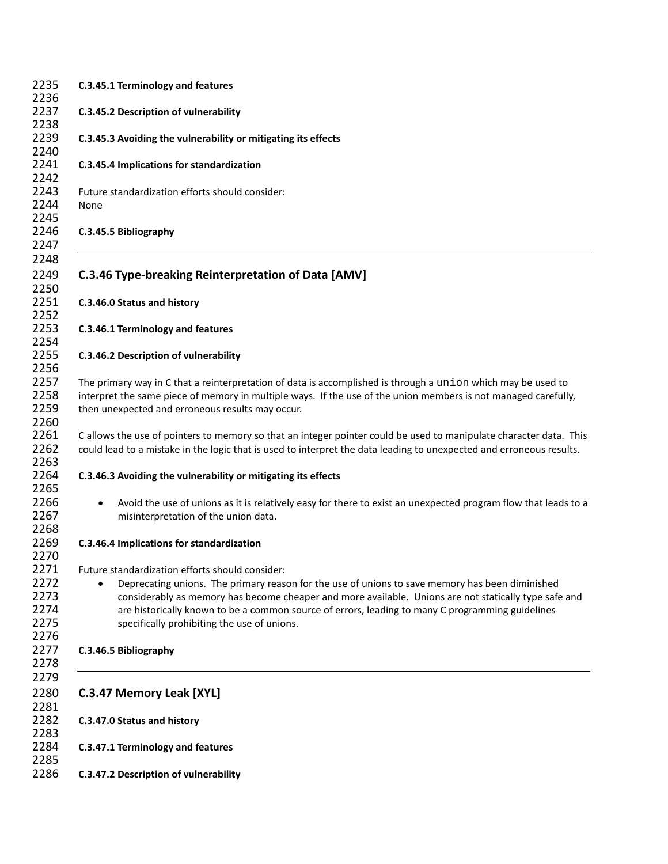| 2235<br>2236                         | C.3.45.1 Terminology and features                                                                                                                                                                                                                                                                                                                                                                              |
|--------------------------------------|----------------------------------------------------------------------------------------------------------------------------------------------------------------------------------------------------------------------------------------------------------------------------------------------------------------------------------------------------------------------------------------------------------------|
| 2237<br>2238                         | <b>C.3.45.2 Description of vulnerability</b>                                                                                                                                                                                                                                                                                                                                                                   |
| 2239<br>2240                         | C.3.45.3 Avoiding the vulnerability or mitigating its effects                                                                                                                                                                                                                                                                                                                                                  |
| 2241<br>2242                         | C.3.45.4 Implications for standardization                                                                                                                                                                                                                                                                                                                                                                      |
| 2243<br>2244<br>2245                 | Future standardization efforts should consider:<br>None                                                                                                                                                                                                                                                                                                                                                        |
| 2246<br>2247                         | C.3.45.5 Bibliography                                                                                                                                                                                                                                                                                                                                                                                          |
| 2248<br>2249<br>2250                 | <b>C.3.46 Type-breaking Reinterpretation of Data [AMV]</b>                                                                                                                                                                                                                                                                                                                                                     |
| 2251<br>2252                         | C.3.46.0 Status and history                                                                                                                                                                                                                                                                                                                                                                                    |
| 2253<br>2254                         | C.3.46.1 Terminology and features                                                                                                                                                                                                                                                                                                                                                                              |
| 2255                                 | C.3.46.2 Description of vulnerability                                                                                                                                                                                                                                                                                                                                                                          |
| 2256<br>2257<br>2258<br>2259<br>2260 | The primary way in C that a reinterpretation of data is accomplished is through a union which may be used to<br>interpret the same piece of memory in multiple ways. If the use of the union members is not managed carefully,<br>then unexpected and erroneous results may occur.                                                                                                                             |
| 2261<br>2262<br>2263                 | C allows the use of pointers to memory so that an integer pointer could be used to manipulate character data. This<br>could lead to a mistake in the logic that is used to interpret the data leading to unexpected and erroneous results.                                                                                                                                                                     |
| 2264<br>2265                         | C.3.46.3 Avoiding the vulnerability or mitigating its effects                                                                                                                                                                                                                                                                                                                                                  |
|                                      | Avoid the use of unions as it is relatively easy for there to exist an unexpected program flow that leads to a<br>$\bullet$<br>misinterpretation of the union data.                                                                                                                                                                                                                                            |
|                                      | C.3.46.4 Implications for standardization                                                                                                                                                                                                                                                                                                                                                                      |
|                                      | Future standardization efforts should consider:<br>Deprecating unions. The primary reason for the use of unions to save memory has been diminished<br>considerably as memory has become cheaper and more available. Unions are not statically type safe and<br>are historically known to be a common source of errors, leading to many C programming guidelines<br>specifically prohibiting the use of unions. |
| 2276<br>2277<br>2278                 | C.3.46.5 Bibliography                                                                                                                                                                                                                                                                                                                                                                                          |
| 2279<br>2280                         | C.3.47 Memory Leak [XYL]                                                                                                                                                                                                                                                                                                                                                                                       |
|                                      | C.3.47.0 Status and history                                                                                                                                                                                                                                                                                                                                                                                    |
|                                      | C.3.47.1 Terminology and features                                                                                                                                                                                                                                                                                                                                                                              |
| 2286                                 | C.3.47.2 Description of vulnerability                                                                                                                                                                                                                                                                                                                                                                          |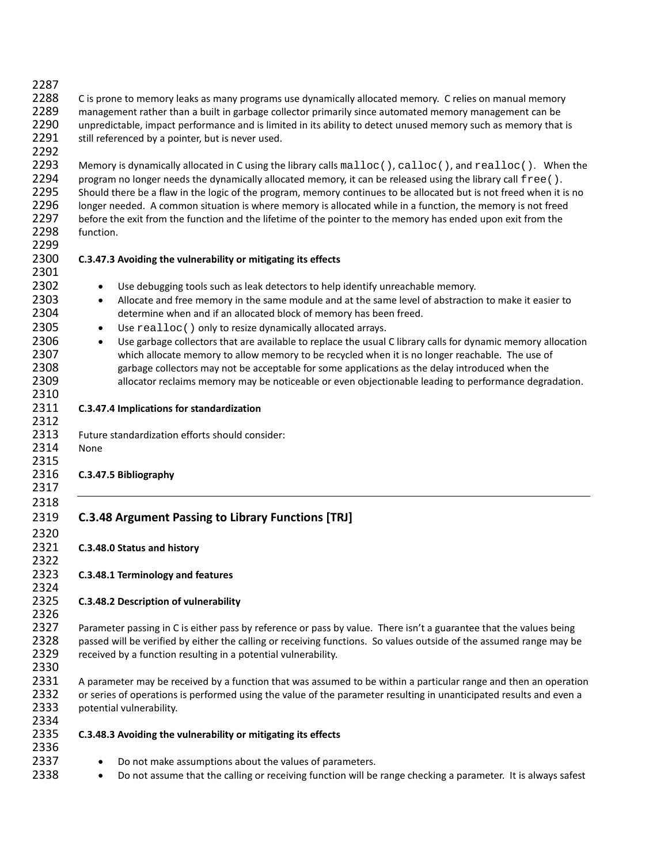2288 C is prone to memory leaks as many programs use dynamically allocated memory. C relies on manual memory 2289 management rather than a built in garbage collector primarily since automated memory management can be 2290 unpredictable, impact performance and is limited in its ability to detect unused memory such as memory that is 2291 still referenced by a pointer, but is never used. 2292 2293 Memory is dynamically allocated in C using the library calls malloc(), calloc(), and realloc(). When the 2294 program no longer needs the dynamically allocated memory, it can be released using the library call free ( 2294 program no longer needs the dynamically allocated memory, it can be released using the library call  $\text{free}(\cdot)$ .<br>2295 Should there be a flaw in the logic of the program, memory continues to be allocated but is not fre Should there be a flaw in the logic of the program, memory continues to be allocated but is not freed when it is no 2296 longer needed. A common situation is where memory is allocated while in a function, the memory is not freed 2297 before the exit from the function and the lifetime of the pointer to the memory has ended upon exit from the 2298 function. 2299 2300 **C.3.47.3 Avoiding the vulnerability or mitigating its effects** 2301 2302 • Use debugging tools such as leak detectors to help identify unreachable memory. 2303 • Allocate and free memory in the same module and at the same level of abstraction to make it easier to 2304 determine when and if an allocated block of memory has been freed. 2305 • Use  $realloc()$  only to resize dynamically allocated arrays.<br>2306 • Use garbage collectors that are available to replace the usual • Use garbage collectors that are available to replace the usual C library calls for dynamic memory allocation 2307 which allocate memory to allow memory to be recycled when it is no longer reachable. The use of 2308 garbage collectors may not be acceptable for some applications as the delay introduced when the 2309 allocator reclaims memory may be noticeable or even objectionable leading to performance degradation. 2310 2311 **C.3.47.4 Implications for standardization** 2312 2313 Future standardization efforts should consider: 2314 None 2315 2316 **C.3.47.5 Bibliography** 2317 2318 2319 **C.3.48 Argument Passing to Library Functions [TRJ]** 2320 2321 **C.3.48.0 Status and history** 2322 2323 **C.3.48.1 Terminology and features** 2324 2325 **C.3.48.2 Description of vulnerability** 2326 2327 Parameter passing in C is either pass by reference or pass by value. There isn't a guarantee that the values being 2328 passed will be verified by either the calling or receiving functions. So values outside of the assumed range may be 2329 received by a function resulting in a potential vulnerability. 2330 2331 A parameter may be received by a function that was assumed to be within a particular range and then an operation 2332 or series of operations is performed using the value of the parameter resulting in unanticipated results and even a 2333 potential vulnerability. 2334 2335 **C.3.48.3 Avoiding the vulnerability or mitigating its effects** 2336 2337 • Do not make assumptions about the values of parameters. 2338 • Do not assume that the calling or receiving function will be range checking a parameter. It is always safest

2287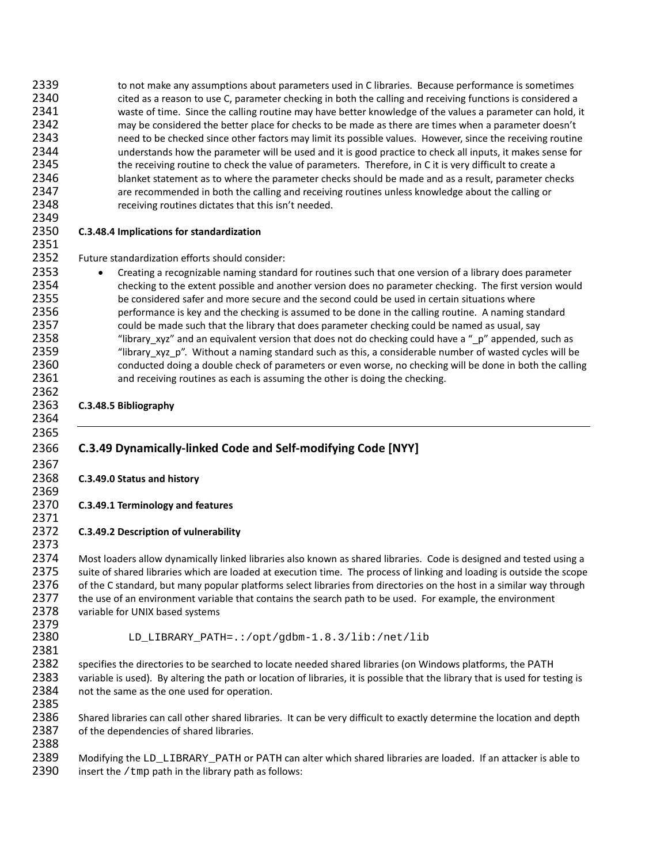2339 to not make any assumptions about parameters used in C libraries. Because performance is sometimes 2340 cited as a reason to use C, parameter checking in both the calling and receiving functions is considered a 2341 waste of time. Since the calling routine may have better knowledge of the values a parameter can hold, it 2342 may be considered the better place for checks to be made as there are times when a parameter doesn't 2343 need to be checked since other factors may limit its possible values. However, since the receiving routine 2344 understands how the parameter will be used and it is good practice to check all inputs, it makes sense for 2345 the receiving routine to check the value of parameters. Therefore, in C it is very difficult to create a 2346 blanket statement as to where the parameter checks should be made and as a result, parameter checks 2347 are recommended in both the calling and receiving routines unless knowledge about the calling or 2348 receiving routines dictates that this isn't needed. 2349 2350 **C.3.48.4 Implications for standardization** 2351 2352 Future standardization efforts should consider: 2353 • Creating a recognizable naming standard for routines such that one version of a library does parameter 2354 checking to the extent possible and another version does no parameter checking. The first version would 2355 be considered safer and more secure and the second could be used in certain situations where 2356 performance is key and the checking is assumed to be done in the calling routine. A naming standard 2357 could be made such that the library that does parameter checking could be named as usual, say 2358 "library\_xyz" and an equivalent version that does not do checking could have a "\_p" appended, such as 2359 "library\_xyz\_p". Without a naming standard such as this, a considerable number of wasted cycles will be 2360 conducted doing a double check of parameters or even worse, no checking will be done in both the calling 2361 and receiving routines as each is assuming the other is doing the checking. 2362 2363 **C.3.48.5 Bibliography** 2364 2365 2366 **C.3.49 Dynamically-linked Code and Self-modifying Code [NYY]** 2367 2368 **C.3.49.0 Status and history** 2369 2370 **C.3.49.1 Terminology and features** 2371 2372 **C.3.49.2 Description of vulnerability** 2373 2374 Most loaders allow dynamically linked libraries also known as shared libraries. Code is designed and tested using a 2375 suite of shared libraries which are loaded at execution time. The process of linking and loading is outside the scope 2376 of the C standard, but many popular platforms select libraries from directories on the host in a similar way through 2377 the use of an environment variable that contains the search path to be used. For example, the environment 2378 variable for UNIX based systems 2379 2380 LD\_LIBRARY\_PATH=.:/opt/gdbm-1.8.3/lib:/net/lib 2381 2382 specifies the directories to be searched to locate needed shared libraries (on Windows platforms, the PATH<br>2383 variable is used). By altering the path or location of libraries, it is possible that the library that is variable is used). By altering the path or location of libraries, it is possible that the library that is used for testing is 2384 not the same as the one used for operation. 2385 2386 Shared libraries can call other shared libraries. It can be very difficult to exactly determine the location and depth 2387 of the dependencies of shared libraries. 2388

2389 Modifying the LD\_LIBRARY\_PATH or PATH can alter which shared libraries are loaded. If an attacker is able to 2390 insert the /tmp path in the library path as follows: insert the  $/$ tmp path in the library path as follows: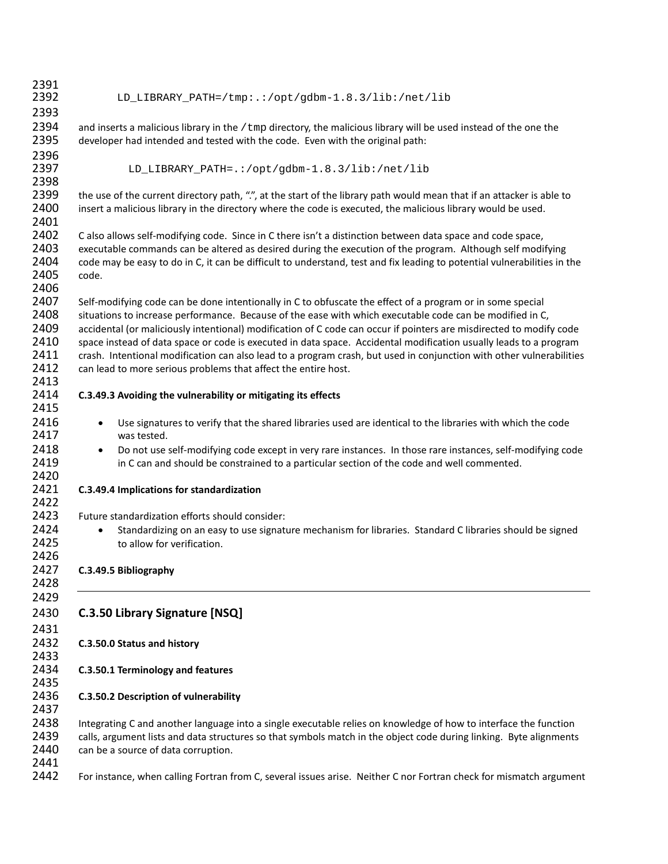| 2391         |                                                                                                                          |
|--------------|--------------------------------------------------------------------------------------------------------------------------|
| 2392         | LD_LIBRARY_PATH=/tmp:.:/opt/gdbm-1.8.3/lib:/net/lib                                                                      |
| 2393         |                                                                                                                          |
| 2394         | and inserts a malicious library in the /tmp directory, the malicious library will be used instead of the one the         |
| 2395         | developer had intended and tested with the code. Even with the original path:                                            |
| 2396         |                                                                                                                          |
| 2397         | LD_LIBRARY_PATH=.:/opt/gdbm-1.8.3/lib:/net/lib                                                                           |
| 2398         |                                                                                                                          |
| 2399         | the use of the current directory path, ".", at the start of the library path would mean that if an attacker is able to   |
| 2400         | insert a malicious library in the directory where the code is executed, the malicious library would be used.             |
| 2401         |                                                                                                                          |
| 2402         | C also allows self-modifying code. Since in C there isn't a distinction between data space and code space,               |
| 2403         | executable commands can be altered as desired during the execution of the program. Although self modifying               |
| 2404         | code may be easy to do in C, it can be difficult to understand, test and fix leading to potential vulnerabilities in the |
| 2405         | code.                                                                                                                    |
| 2406         |                                                                                                                          |
| 2407         | Self-modifying code can be done intentionally in C to obfuscate the effect of a program or in some special               |
| 2408         | situations to increase performance. Because of the ease with which executable code can be modified in C,                 |
| 2409         | accidental (or maliciously intentional) modification of C code can occur if pointers are misdirected to modify code      |
| 2410         | space instead of data space or code is executed in data space. Accidental modification usually leads to a program        |
| 2411         | crash. Intentional modification can also lead to a program crash, but used in conjunction with other vulnerabilities     |
| 2412         | can lead to more serious problems that affect the entire host.                                                           |
| 2413         |                                                                                                                          |
| 2414         | C.3.49.3 Avoiding the vulnerability or mitigating its effects                                                            |
| 2415         |                                                                                                                          |
| 2416         | Use signatures to verify that the shared libraries used are identical to the libraries with which the code<br>$\bullet$  |
| 2417         | was tested.                                                                                                              |
| 2418         | Do not use self-modifying code except in very rare instances. In those rare instances, self-modifying code<br>$\bullet$  |
| 2419<br>2420 | in C can and should be constrained to a particular section of the code and well commented.                               |
| 2421         | C.3.49.4 Implications for standardization                                                                                |
| 2422         |                                                                                                                          |
| 2423         | Future standardization efforts should consider:                                                                          |
| 2424         | Standardizing on an easy to use signature mechanism for libraries. Standard C libraries should be signed                 |
| 2425         | to allow for verification.                                                                                               |
| 2426         |                                                                                                                          |
| 2427         | C.3.49.5 Bibliography                                                                                                    |
| 2428         |                                                                                                                          |
| 2429         |                                                                                                                          |
| 2430         | C.3.50 Library Signature [NSQ]                                                                                           |
|              |                                                                                                                          |
| 2431         |                                                                                                                          |
| 2432         | C.3.50.0 Status and history                                                                                              |
| 2433         |                                                                                                                          |
| 2434<br>2435 | C.3.50.1 Terminology and features                                                                                        |
| 2436         |                                                                                                                          |
| 2437         | C.3.50.2 Description of vulnerability                                                                                    |
| 2438         | Integrating C and another language into a single executable relies on knowledge of how to interface the function         |
| 2439         | calls, argument lists and data structures so that symbols match in the object code during linking. Byte alignments       |
| 2440         | can be a source of data corruption.                                                                                      |
| 2441         |                                                                                                                          |
| 2442         | For instance, when calling Fortran from C, several issues arise. Neither C nor Fortran check for mismatch argument       |
|              |                                                                                                                          |